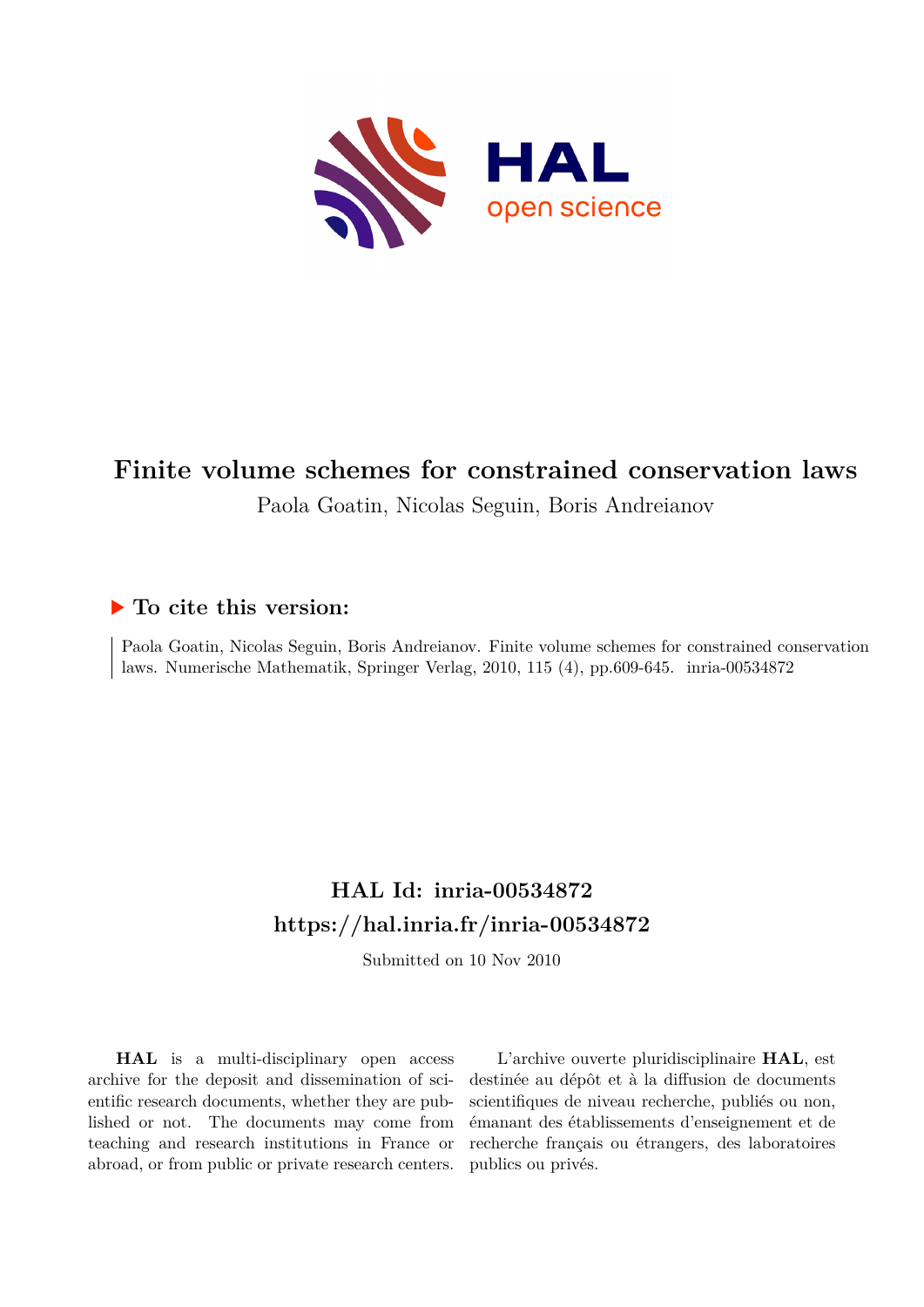<span id="page-0-0"></span>

# **Finite volume schemes for constrained conservation laws**

Paola Goatin, Nicolas Seguin, Boris Andreianov

# **To cite this version:**

Paola Goatin, Nicolas Seguin, Boris Andreianov. Finite volume schemes for constrained conservation laws. Numerische Mathematik, Springer Verlag, 2010, 115 (4), pp.609-645. inria-00534872

# **HAL Id: inria-00534872 <https://hal.inria.fr/inria-00534872>**

Submitted on 10 Nov 2010

**HAL** is a multi-disciplinary open access archive for the deposit and dissemination of scientific research documents, whether they are published or not. The documents may come from teaching and research institutions in France or abroad, or from public or private research centers.

L'archive ouverte pluridisciplinaire **HAL**, est destinée au dépôt et à la diffusion de documents scientifiques de niveau recherche, publiés ou non, émanant des établissements d'enseignement et de recherche français ou étrangers, des laboratoires publics ou privés.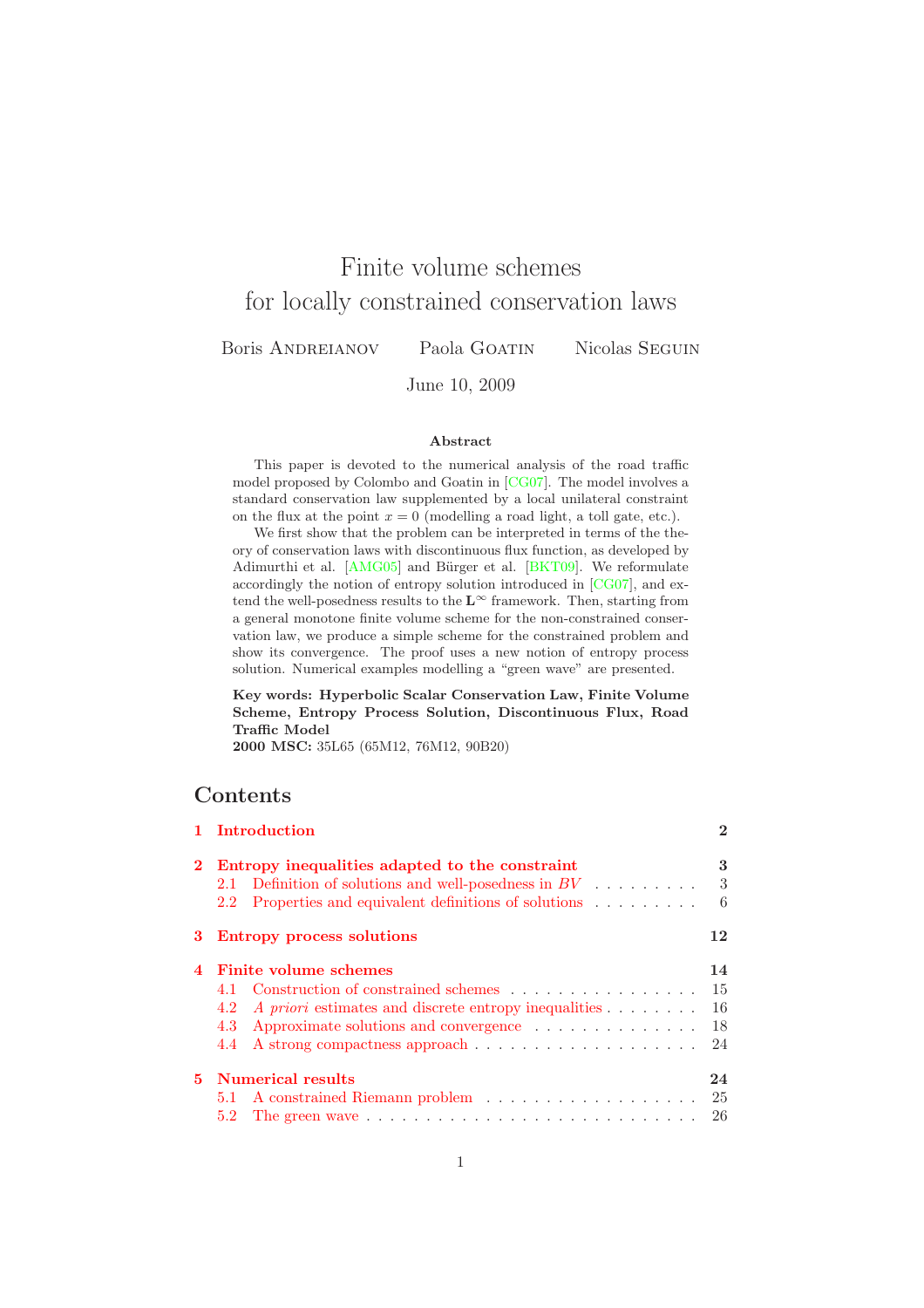# Finite volume schemes for locally constrained conservation laws

Boris Andreianov Paola Goatin Nicolas Seguin

June 10, 2009

### Abstract

This paper is devoted to the numerical analysis of the road traffic model proposed by Colombo and Goatin in [\[CG07\]](#page-33-0). The model involves a standard conservation law supplemented by a local unilateral constraint on the flux at the point  $x = 0$  (modelling a road light, a toll gate, etc.).

We first show that the problem can be interpreted in terms of the theory of conservation laws with discontinuous flux function, as developed by Adimurthi et al. [\[AMG05\]](#page-32-0) and Bürger et al. [\[BKT09\]](#page-33-1). We reformulate accordingly the notion of entropy solution introduced in [\[CG07\]](#page-33-0), and extend the well-posedness results to the  $L^{\infty}$  framework. Then, starting from a general monotone finite volume scheme for the non-constrained conservation law, we produce a simple scheme for the constrained problem and show its convergence. The proof uses a new notion of entropy process solution. Numerical examples modelling a "green wave" are presented.

Key words: Hyperbolic Scalar Conservation Law, Finite Volume Scheme, Entropy Process Solution, Discontinuous Flux, Road Traffic Model

2000 MSC: 35L65 (65M12, 76M12, 90B20)

# Contents

|   | 1 Introduction                                                                                                                                                                         | $\mathbf 2$                 |  |
|---|----------------------------------------------------------------------------------------------------------------------------------------------------------------------------------------|-----------------------------|--|
|   | Entropy inequalities adapted to the constraint<br>2.1 Definition of solutions and well-posedness in $BV$<br>2.2 Properties and equivalent definitions of solutions                     | 3<br>3<br>6                 |  |
|   | 3 Entropy process solutions                                                                                                                                                            |                             |  |
| 4 | Finite volume schemes<br>4.1 Construction of constrained schemes<br>A priori estimates and discrete entropy inequalities<br>4.2<br>Approximate solutions and convergence<br>4.3<br>4.4 | 14<br>15<br>-16<br>18<br>24 |  |
|   | 5 Numerical results                                                                                                                                                                    | 24<br>-25                   |  |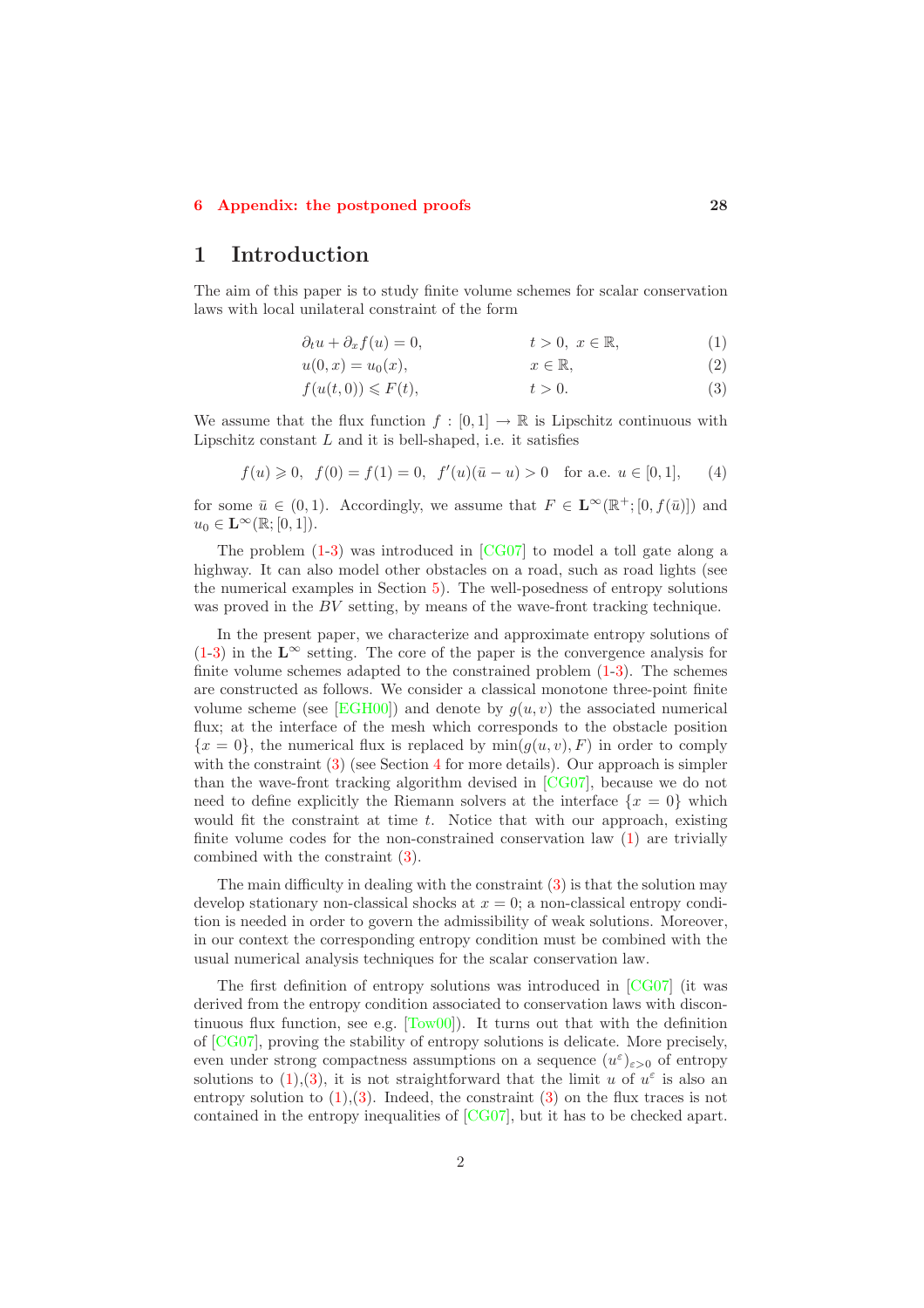### <span id="page-2-0"></span>[6 Appendix: the postponed proofs](#page-28-0) 28

# 1 Introduction

The aim of this paper is to study finite volume schemes for scalar conservation laws with local unilateral constraint of the form

<span id="page-2-4"></span><span id="page-2-1"></span>
$$
\partial_t u + \partial_x f(u) = 0, \qquad t > 0, \ x \in \mathbb{R}, \tag{1}
$$

$$
u(0,x) = u_0(x), \qquad x \in \mathbb{R}, \tag{2}
$$

<span id="page-2-2"></span>
$$
f(u(t,0)) \le F(t), \qquad t > 0. \tag{3}
$$

We assume that the flux function  $f : [0,1] \to \mathbb{R}$  is Lipschitz continuous with Lipschitz constant  $L$  and it is bell-shaped, i.e. it satisfies

<span id="page-2-3"></span>
$$
f(u) \ge 0, \ f(0) = f(1) = 0, \ f'(u)(\bar{u} - u) > 0 \text{ for a.e. } u \in [0, 1], \qquad (4)
$$

for some  $\bar{u} \in (0,1)$ . Accordingly, we assume that  $F \in \mathbf{L}^{\infty}(\mathbb{R}^+; [0, f(\bar{u})])$  and  $u_0 \in \mathbf{L}^{\infty}(\mathbb{R};[0,1]).$ 

The problem  $(1-3)$  $(1-3)$  was introduced in  $[CG07]$  to model a toll gate along a highway. It can also model other obstacles on a road, such as road lights (see the numerical examples in Section [5\)](#page-24-1). The well-posedness of entropy solutions was proved in the  $BV$  setting, by means of the wave-front tracking technique.

In the present paper, we characterize and approximate entropy solutions of  $(1-3)$  $(1-3)$  in the L<sup>∞</sup> setting. The core of the paper is the convergence analysis for finite volume schemes adapted to the constrained problem [\(1](#page-2-1)[-3\)](#page-2-2). The schemes are constructed as follows. We consider a classical monotone three-point finite volume scheme (see [\[EGH00\]](#page-33-2)) and denote by  $q(u, v)$  the associated numerical flux; at the interface of the mesh which corresponds to the obstacle position  ${x = 0}$ , the numerical flux is replaced by  $min(g(u, v), F)$  in order to comply with the constraint [\(3\)](#page-2-2) (see Section [4](#page-14-0) for more details). Our approach is simpler than the wave-front tracking algorithm devised in [\[CG07\]](#page-33-0), because we do not need to define explicitly the Riemann solvers at the interface  $\{x = 0\}$  which would fit the constraint at time  $t$ . Notice that with our approach, existing finite volume codes for the non-constrained conservation law [\(1\)](#page-2-1) are trivially combined with the constraint [\(3\)](#page-2-2).

The main difficulty in dealing with the constraint  $(3)$  is that the solution may develop stationary non-classical shocks at  $x = 0$ ; a non-classical entropy condition is needed in order to govern the admissibility of weak solutions. Moreover, in our context the corresponding entropy condition must be combined with the usual numerical analysis techniques for the scalar conservation law.

The first definition of entropy solutions was introduced in [\[CG07\]](#page-33-0) (it was derived from the entropy condition associated to conservation laws with discontinuous flux function, see e.g.  $[Tow00]$ . It turns out that with the definition of [\[CG07\]](#page-33-0), proving the stability of entropy solutions is delicate. More precisely, even under strong compactness assumptions on a sequence  $(u^{\varepsilon})_{\varepsilon>0}$  of entropy solutions to [\(1\)](#page-2-1),[\(3\)](#page-2-2), it is not straightforward that the limit u of  $u^{\varepsilon}$  is also an entropy solution to  $(1)$ ,  $(3)$ . Indeed, the constraint  $(3)$  on the flux traces is not contained in the entropy inequalities of [\[CG07\]](#page-33-0), but it has to be checked apart.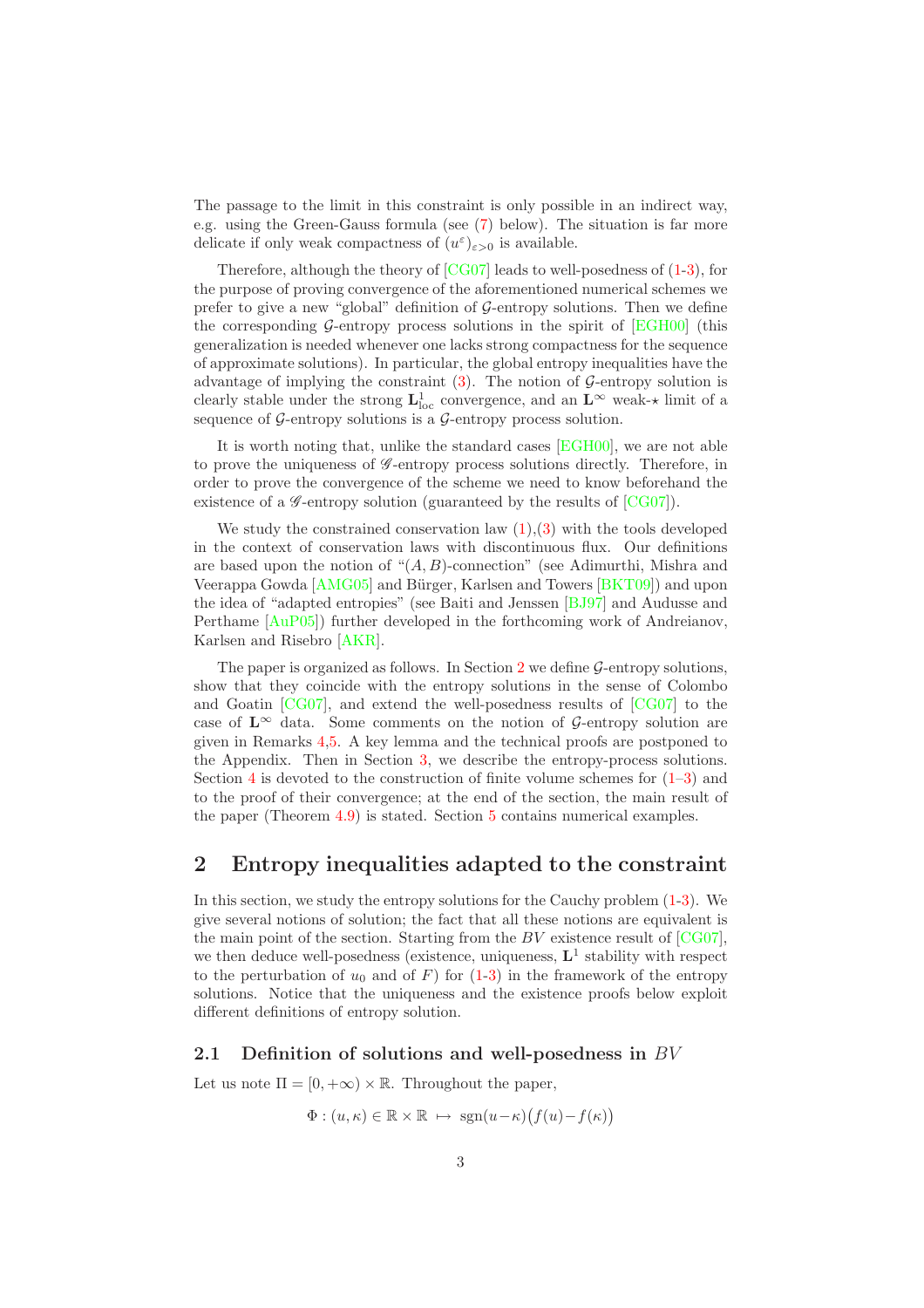The passage to the limit in this constraint is only possible in an indirect way, e.g. using the Green-Gauss formula (see [\(7\)](#page-4-0) below). The situation is far more delicate if only weak compactness of  $(u^{\varepsilon})_{\varepsilon>0}$  is available.

Therefore, although the theory of [\[CG07\]](#page-33-0) leads to well-posedness of [\(1](#page-2-1)[-3\)](#page-2-2), for the purpose of proving convergence of the aforementioned numerical schemes we prefer to give a new "global" definition of  $\mathcal{G}$ -entropy solutions. Then we define the corresponding G-entropy process solutions in the spirit of  $[EGH00]$  (this generalization is needed whenever one lacks strong compactness for the sequence of approximate solutions). In particular, the global entropy inequalities have the advantage of implying the constraint  $(3)$ . The notion of G-entropy solution is clearly stable under the strong  $L^1_{loc}$  convergence, and an  $L^{\infty}$  weak- $\star$  limit of a sequence of  $\mathcal G$ -entropy solutions is a  $\mathcal G$ -entropy process solution.

It is worth noting that, unlike the standard cases [\[EGH00\]](#page-33-2), we are not able to prove the uniqueness of *G*-entropy process solutions directly. Therefore, in order to prove the convergence of the scheme we need to know beforehand the existence of a  $\mathscr{G}\text{-entropy}$  solution (guaranteed by the results of [\[CG07\]](#page-33-0)).

We study the constrained conservation law  $(1),(3)$  $(1),(3)$  with the tools developed in the context of conservation laws with discontinuous flux. Our definitions are based upon the notion of  $\mathcal{H}(A, B)$ -connection" (see Adimurthi, Mishra and Veerappa Gowda [\[AMG05\]](#page-32-0) and Bürger, Karlsen and Towers [\[BKT09\]](#page-33-1)) and upon the idea of "adapted entropies" (see Baiti and Jenssen [\[BJ97\]](#page-33-3) and Audusse and Perthame [\[AuP05\]](#page-33-4)) further developed in the forthcoming work of Andreianov, Karlsen and Risebro [\[AKR\]](#page-33-5).

The paper is organized as follows. In Section  $2 \text{ we define } G\text{-entropy solutions},$  $2 \text{ we define } G\text{-entropy solutions},$ show that they coincide with the entropy solutions in the sense of Colombo and Goatin [\[CG07\]](#page-33-0), and extend the well-posedness results of [\[CG07\]](#page-33-0) to the case of  $\mathbf{L}^{\infty}$  data. Some comments on the notion of G-entropy solution are given in Remarks [4](#page-9-0)[,5.](#page-9-1) A key lemma and the technical proofs are postponed to the Appendix. Then in Section [3,](#page-12-0) we describe the entropy-process solutions. Section [4](#page-14-0) is devoted to the construction of finite volume schemes for  $(1-3)$  and to the proof of their convergence; at the end of the section, the main result of the paper (Theorem [4.9\)](#page-24-2) is stated. Section [5](#page-24-1) contains numerical examples.

# <span id="page-3-0"></span>2 Entropy inequalities adapted to the constraint

In this section, we study the entropy solutions for the Cauchy problem [\(1-](#page-2-1)[3\)](#page-2-2). We give several notions of solution; the fact that all these notions are equivalent is the main point of the section. Starting from the  $BV$  existence result of  $[CG07]$ , we then deduce well-posedness (existence, uniqueness,  $L<sup>1</sup>$  stability with respect to the perturbation of  $u_0$  and of F) for  $(1-3)$  $(1-3)$  in the framework of the entropy solutions. Notice that the uniqueness and the existence proofs below exploit different definitions of entropy solution.

### <span id="page-3-1"></span>2.1 Definition of solutions and well-posedness in  $BV$

Let us note  $\Pi = [0, +\infty) \times \mathbb{R}$ . Throughout the paper,

$$
\Phi: (u,\kappa) \in \mathbb{R} \times \mathbb{R} \mapsto \text{sgn}(u-\kappa) \big( f(u) - f(\kappa) \big)
$$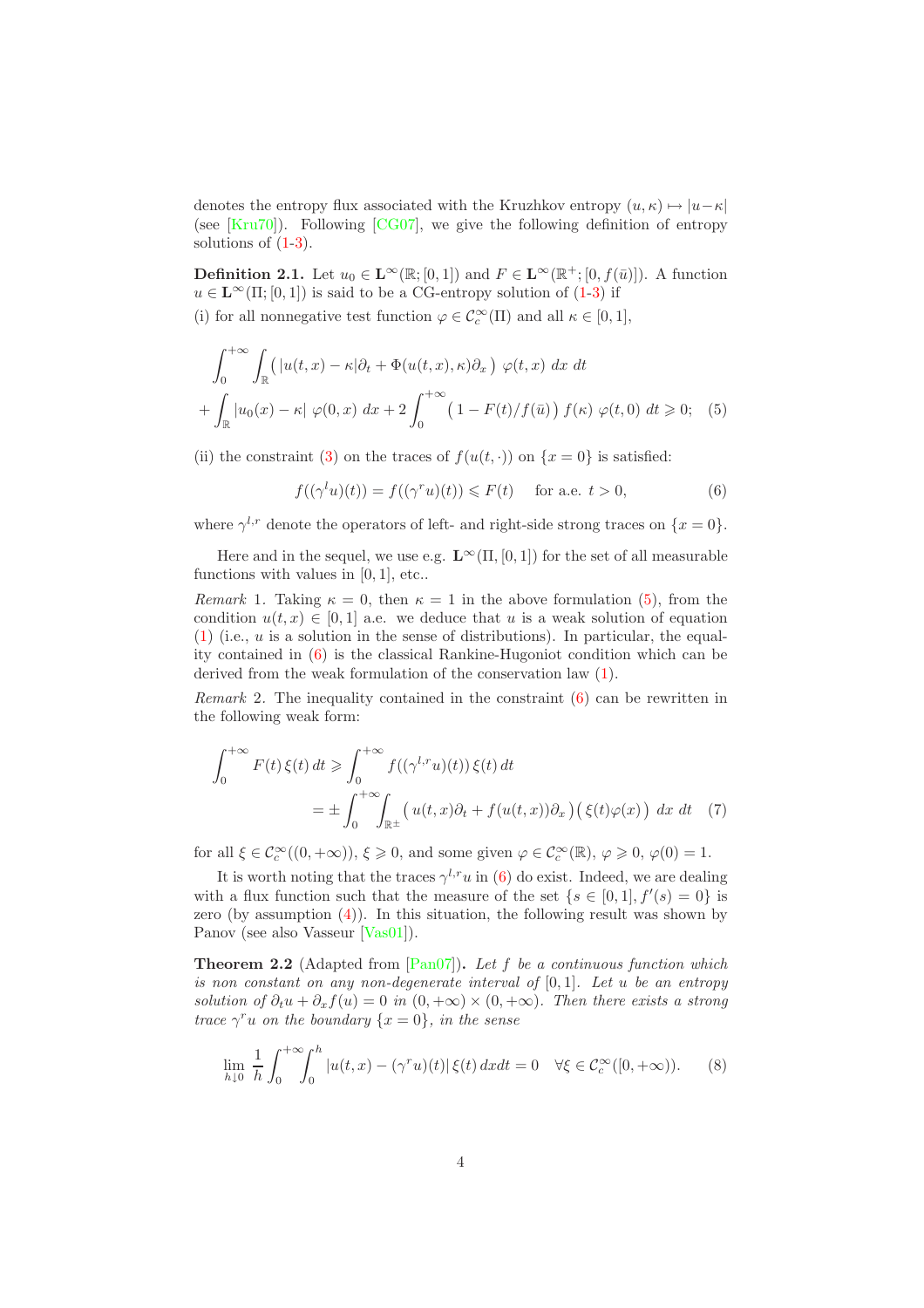denotes the entropy flux associated with the Kruzhkov entropy  $(u, \kappa) \mapsto |u-\kappa|$ (see  $[Kru70]$ ). Following  $[CG07]$ , we give the following definition of entropy solutions of  $(1-3)$  $(1-3)$ .

<span id="page-4-4"></span>**Definition 2.1.** Let  $u_0 \in \mathbf{L}^{\infty}(\mathbb{R};[0,1])$  and  $F \in \mathbf{L}^{\infty}(\mathbb{R}^+;[0, f(\bar{u})])$ . A function  $u \in \mathbf{L}^{\infty}(\Pi; [0, 1])$  is said to be a CG-entropy solution of  $(1-3)$  $(1-3)$  if

(i) for all nonnegative test function  $\varphi \in C_c^{\infty}(\Pi)$  and all  $\kappa \in [0,1],$ 

$$
\int_0^{+\infty} \int_{\mathbb{R}} \left( |u(t,x) - \kappa| \partial_t + \Phi(u(t,x), \kappa) \partial_x \right) \varphi(t,x) dx dt
$$

$$
+ \int_{\mathbb{R}} |u_0(x) - \kappa| \varphi(0,x) dx + 2 \int_0^{+\infty} \left( 1 - F(t)/f(\bar{u}) \right) f(\kappa) \varphi(t,0) dt \ge 0; \quad (5)
$$

(ii) the constraint [\(3\)](#page-2-2) on the traces of  $f(u(t, \cdot))$  on  $\{x = 0\}$  is satisfied:

<span id="page-4-2"></span><span id="page-4-1"></span>
$$
f((\gamma^{l}u)(t)) = f((\gamma^{r}u)(t)) \leq F(t) \quad \text{ for a.e. } t > 0,
$$
 (6)

where  $\gamma^{l,r}$  denote the operators of left- and right-side strong traces on  $\{x=0\}$ .

Here and in the sequel, we use e.g.  $\mathbf{L}^{\infty}(\Pi, [0, 1])$  for the set of all measurable functions with values in  $[0, 1]$ , etc...

*Remark* 1. Taking  $\kappa = 0$ , then  $\kappa = 1$  in the above formulation [\(5\)](#page-4-1), from the condition  $u(t, x) \in [0, 1]$  a.e. we deduce that u is a weak solution of equation  $(1)$  (i.e.,  $u$  is a solution in the sense of distributions). In particular, the equality contained in [\(6\)](#page-4-2) is the classical Rankine-Hugoniot condition which can be derived from the weak formulation of the conservation law [\(1\)](#page-2-1).

*Remark* 2*.* The inequality contained in the constraint [\(6\)](#page-4-2) can be rewritten in the following weak form:

<span id="page-4-0"></span>
$$
\int_0^{+\infty} F(t)\,\xi(t)\,dt \ge \int_0^{+\infty} f((\gamma^{l,r}u)(t))\,\xi(t)\,dt
$$

$$
= \pm \int_0^{+\infty} \int_{\mathbb{R}^{\pm}} \left( u(t,x)\partial_t + f(u(t,x))\partial_x \right) \left( \xi(t)\varphi(x) \right) \,dx\,dt \tag{7}
$$

for all  $\xi \in \mathcal{C}_c^{\infty}((0, +\infty)), \xi \geq 0$ , and some given  $\varphi \in \mathcal{C}_c^{\infty}(\mathbb{R}), \varphi \geq 0, \varphi(0) = 1$ .

It is worth noting that the traces  $\gamma^{l,r}u$  in [\(6\)](#page-4-2) do exist. Indeed, we are dealing with a flux function such that the measure of the set  $\{s \in [0,1], f'(s) = 0\}$  is zero (by assumption [\(4\)](#page-2-3)). In this situation, the following result was shown by Panov (see also Vasseur [\[Vas01\]](#page-34-1)).

<span id="page-4-5"></span>Theorem 2.2 (Adapted from [\[Pan07\]](#page-34-2)). *Let* f *be a continuous function which is non constant on any non-degenerate interval of* [0, 1]*. Let* u *be an entropy solution of*  $\partial_t u + \partial_x f(u) = 0$  *in*  $(0, +\infty) \times (0, +\infty)$ *. Then there exists a strong trace*  $\gamma^{r}u$  *on the boundary*  $\{x = 0\}$ *, in the sense* 

<span id="page-4-3"></span>
$$
\lim_{h \downarrow 0} \frac{1}{h} \int_0^{+\infty} \int_0^h |u(t, x) - (\gamma^r u)(t)| \xi(t) dx dt = 0 \quad \forall \xi \in C_c^{\infty}([0, +\infty)).
$$
 (8)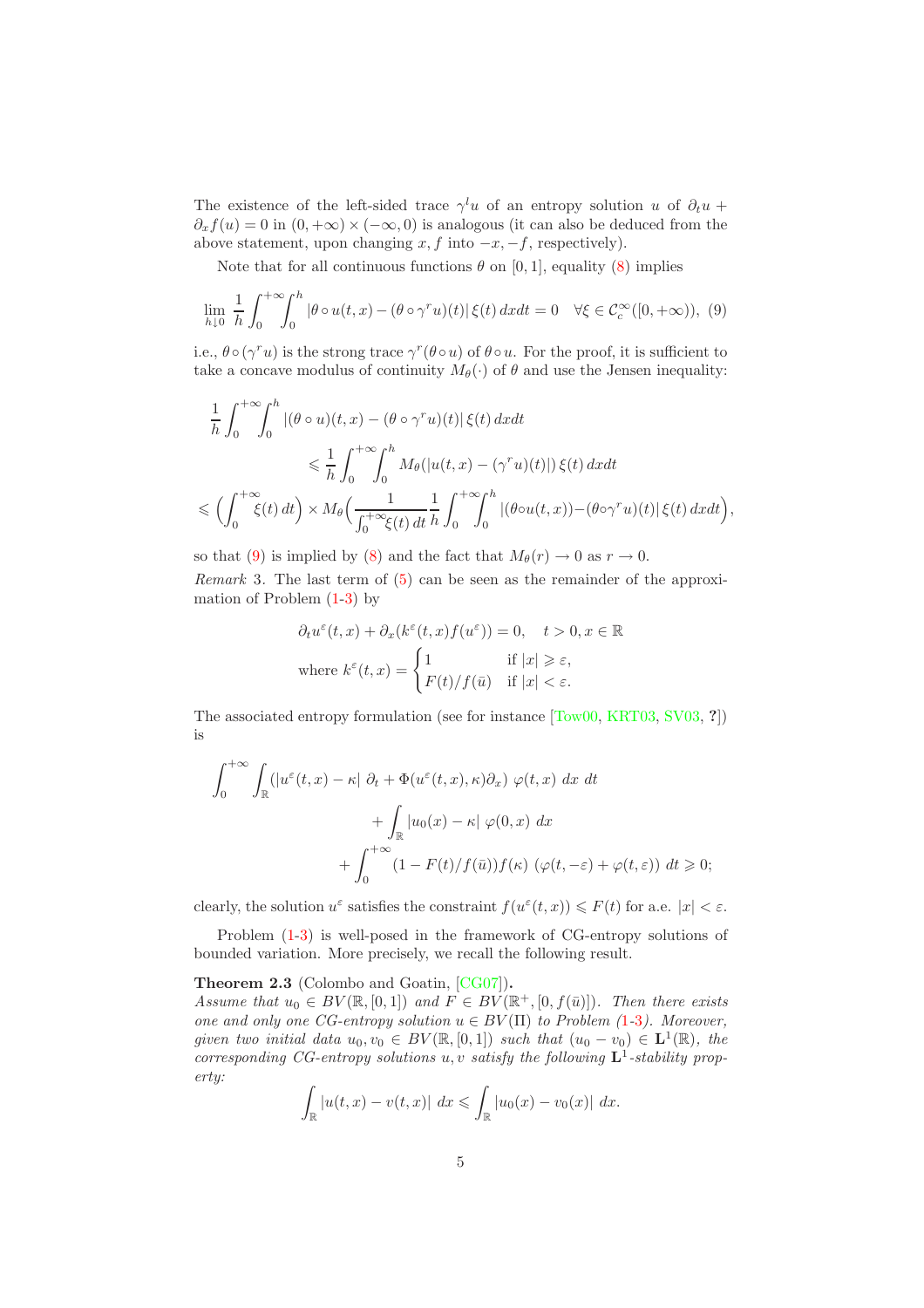The existence of the left-sided trace  $\gamma^l u$  of an entropy solution u of  $\partial_t u$  +  $\partial_x f(u) = 0$  in  $(0, +\infty) \times (-\infty, 0)$  is analogous (it can also be deduced from the above statement, upon changing  $x, f$  into  $-x, -f$ , respectively).

Note that for all continuous functions  $\theta$  on [0, 1], equality [\(8\)](#page-4-3) implies

<span id="page-5-0"></span>
$$
\lim_{h \downarrow 0} \frac{1}{h} \int_0^{+\infty} \int_0^h |\theta \circ u(t, x) - (\theta \circ \gamma^r u)(t)| \xi(t) dx dt = 0 \quad \forall \xi \in C_c^{\infty}([0, +\infty)), \tag{9}
$$

i.e.,  $\theta \circ (\gamma^r u)$  is the strong trace  $\gamma^r (\theta \circ u)$  of  $\theta \circ u$ . For the proof, it is sufficient to take a concave modulus of continuity  $M_{\theta}(\cdot)$  of  $\theta$  and use the Jensen inequality:

$$
\frac{1}{h} \int_0^{+\infty} \int_0^h |(\theta \circ u)(t, x) - (\theta \circ \gamma^r u)(t)| \xi(t) dx dt
$$
\n
$$
\leq \frac{1}{h} \int_0^{+\infty} \int_0^h M_\theta(|u(t, x) - (\gamma^r u)(t)|) \xi(t) dx dt
$$
\n
$$
\leq \left( \int_0^{+\infty} \xi(t) dt \right) \times M_\theta \left( \frac{1}{\int_0^{+\infty} \xi(t) dt} \frac{1}{h} \int_0^{+\infty} \int_0^h |(\theta \circ u(t, x)) - (\theta \circ \gamma^r u)(t)| \xi(t) dx dt \right),
$$

<span id="page-5-1"></span>so that [\(9\)](#page-5-0) is implied by [\(8\)](#page-4-3) and the fact that  $M_{\theta}(r) \rightarrow 0$  as  $r \rightarrow 0$ . *Remark* 3. The last term of [\(5\)](#page-4-1) can be seen as the remainder of the approximation of Problem [\(1-](#page-2-1)[3\)](#page-2-2) by

$$
\partial_t u^{\varepsilon}(t, x) + \partial_x (k^{\varepsilon}(t, x) f(u^{\varepsilon})) = 0, \quad t > 0, x \in \mathbb{R}
$$
  
where  $k^{\varepsilon}(t, x) = \begin{cases} 1 & \text{if } |x| \geq \varepsilon, \\ F(t)/f(\bar{u}) & \text{if } |x| < \varepsilon. \end{cases}$ 

The associated entropy formulation (see for instance [\[Tow00,](#page-34-0) [KRT03,](#page-33-7) [SV03,](#page-34-3) ?]) is

$$
\int_0^{+\infty} \int_{\mathbb{R}} \left( |u^{\varepsilon}(t,x) - \kappa| \partial_t + \Phi(u^{\varepsilon}(t,x), \kappa) \partial_x \right) \varphi(t,x) dx dt
$$

$$
+ \int_{\mathbb{R}} |u_0(x) - \kappa| \varphi(0,x) dx
$$

$$
+ \int_0^{+\infty} (1 - F(t)/f(\bar{u})) f(\kappa) \left( \varphi(t, -\varepsilon) + \varphi(t, \varepsilon) \right) dt \ge 0;
$$

clearly, the solution  $u^{\varepsilon}$  satisfies the constraint  $f(u^{\varepsilon}(t,x)) \leq F(t)$  for a.e.  $|x| < \varepsilon$ .

<span id="page-5-2"></span>Problem [\(1-](#page-2-1)[3\)](#page-2-2) is well-posed in the framework of CG-entropy solutions of bounded variation. More precisely, we recall the following result.

Theorem 2.3 (Colombo and Goatin, [\[CG07\]](#page-33-0)).

*Assume that*  $u_0 \in BV(\mathbb{R}, [0,1])$  *and*  $F \in BV(\mathbb{R}^+, [0, f(\bar{u})])$ *. Then there exists one and only one CG-entropy solution*  $u \in BV(\Pi)$  *to Problem ([1](#page-2-1)-[3](#page-2-2)). Moreover, given two initial data*  $u_0, v_0 \in BV(\mathbb{R}, [0, 1])$  *such that*  $(u_0 - v_0) \in \mathbf{L}^1(\mathbb{R})$ *, the corresponding CG-entropy solutions*  $u, v$  *satisfy the following*  $\mathbf{L}^1$ -stability prop*erty:*

$$
\int_{\mathbb{R}} |u(t,x) - v(t,x)| \, dx \leq \int_{\mathbb{R}} |u_0(x) - v_0(x)| \, dx.
$$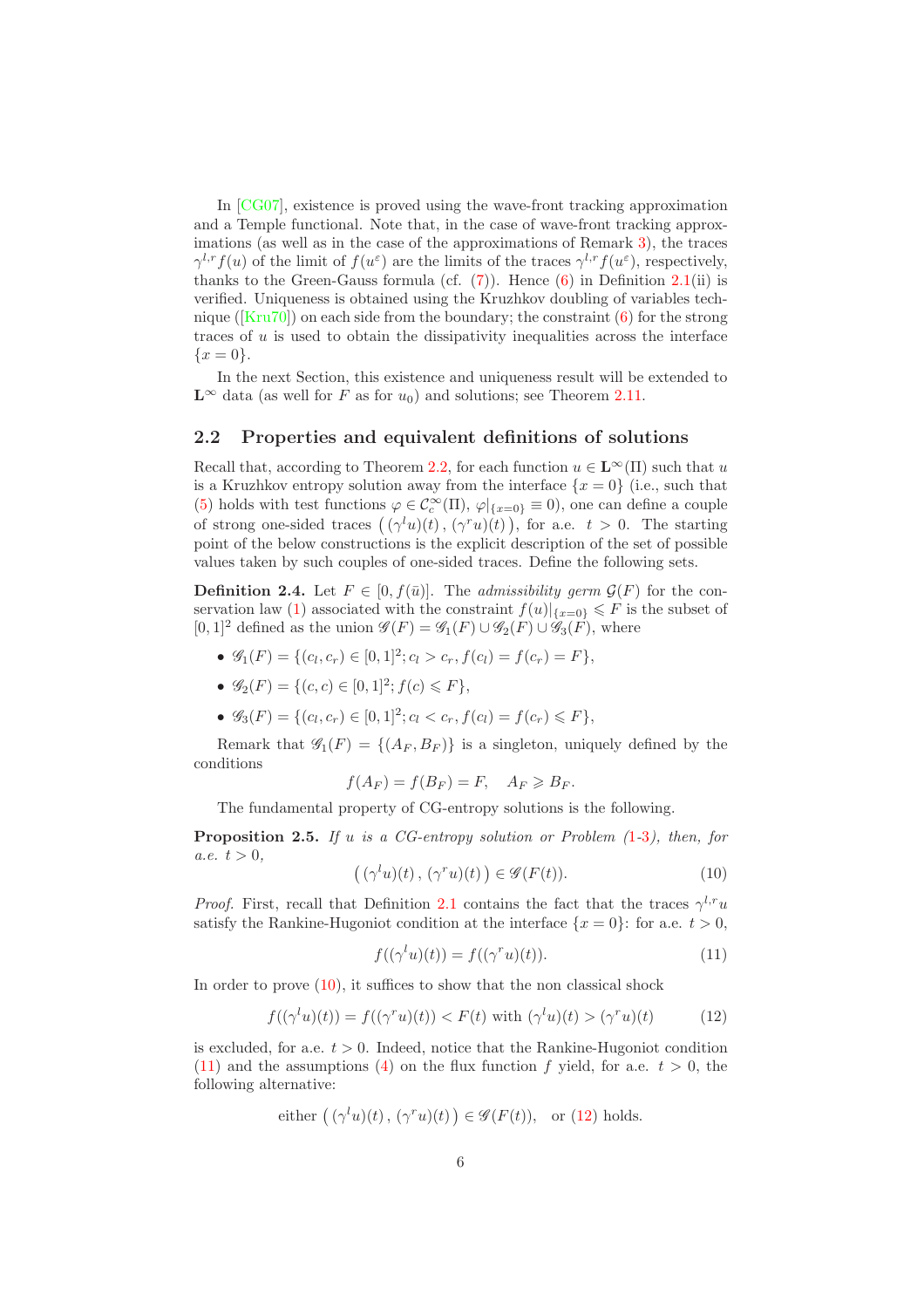In [\[CG07\]](#page-33-0), existence is proved using the wave-front tracking approximation and a Temple functional. Note that, in the case of wave-front tracking approximations (as well as in the case of the approximations of Remark [3\)](#page-5-1), the traces  $\gamma^{l,r} f(u)$  of the limit of  $f(u^{\varepsilon})$  are the limits of the traces  $\gamma^{l,r} f(u^{\varepsilon})$ , respectively, thanks to the Green-Gauss formula (cf.  $(7)$ ). Hence  $(6)$  in Definition [2.1\(](#page-4-4)ii) is verified. Uniqueness is obtained using the Kruzhkov doubling of variables technique ( $[Kru70]$ ) on each side from the boundary; the constraint  $(6)$  for the strong traces of  $u$  is used to obtain the dissipativity inequalities across the interface  $\{x = 0\}.$ 

In the next Section, this existence and uniqueness result will be extended to  $\mathbf{L}^{\infty}$  data (as well for F as for  $u_0$ ) and solutions; see Theorem [2.11.](#page-11-0)

### <span id="page-6-0"></span>2.2 Properties and equivalent definitions of solutions

Recall that, according to Theorem [2.2,](#page-4-5) for each function  $u \in L^{\infty}(\Pi)$  such that u is a Kruzhkov entropy solution away from the interface  $\{x=0\}$  (i.e., such that [\(5\)](#page-4-1) holds with test functions  $\varphi \in C_c^{\infty}(\Pi)$ ,  $\varphi|_{\{x=0\}} \equiv 0$ , one can define a couple of strong one-sided traces  $((\gamma^l u)(t), (\gamma^r u)(t))$ , for a.e.  $t > 0$ . The starting point of the below constructions is the explicit description of the set of possible values taken by such couples of one-sided traces. Define the following sets.

<span id="page-6-5"></span>**Definition 2.4.** Let  $F \in [0, f(\bar{u})]$ . The *admissibility germ*  $\mathcal{G}(F)$  for the con-servation law [\(1\)](#page-2-1) associated with the constraint  $f(u)|_{\{x=0\}} \leq F$  is the subset of  $[0,1]^2$  defined as the union  $\mathscr{G}(F) = \mathscr{G}_1(F) \cup \mathscr{G}_2(F) \cup \mathscr{G}_3(F)$ , where

- $\mathscr{G}_1(F) = \{(c_l, c_r) \in [0, 1]^2; c_l > c_r, f(c_l) = f(c_r) = F\},\$
- $\mathscr{G}_2(F) = \{(c, c) \in [0, 1]^2; f(c) \leq F\},\$
- $\mathscr{G}_3(F) = \{(c_l, c_r) \in [0, 1]^2; c_l < c_r, f(c_l) = f(c_r) \leq F\},\$

Remark that  $\mathscr{G}_1(F) = \{(A_F, B_F)\}\$ is a singleton, uniquely defined by the conditions

$$
f(A_F) = f(B_F) = F, \quad A_F \geq B_F.
$$

<span id="page-6-4"></span>The fundamental property of CG-entropy solutions is the following.

Proposition 2.5. *If* u *is a CG-entropy solution or Problem (*[1](#page-2-1)*-*[3](#page-2-2)*), then, for*  $a.e. t > 0,$ 

<span id="page-6-1"></span>
$$
((\gamma^l u)(t), (\gamma^r u)(t)) \in \mathscr{G}(F(t)).
$$
\n(10)

*Proof.* First, recall that Definition [2.1](#page-4-4) contains the fact that the traces  $\gamma^{l,r}u$ satisfy the Rankine-Hugoniot condition at the interface  $\{x = 0\}$ : for a.e.  $t > 0$ ,

<span id="page-6-2"></span>
$$
f((\gamma^l u)(t)) = f((\gamma^r u)(t)). \tag{11}
$$

In order to prove  $(10)$ , it suffices to show that the non classical shock

<span id="page-6-3"></span>
$$
f((\gamma^l u)(t)) = f((\gamma^r u)(t)) < F(t) \text{ with } (\gamma^l u)(t) > (\gamma^r u)(t) \tag{12}
$$

is excluded, for a.e.  $t > 0$ . Indeed, notice that the Rankine-Hugoniot condition [\(11\)](#page-6-2) and the assumptions [\(4\)](#page-2-3) on the flux function f yield, for a.e.  $t > 0$ , the following alternative:

either 
$$
((\gamma^l u)(t), (\gamma^r u)(t)) \in \mathscr{G}(F(t)),
$$
 or (12) holds.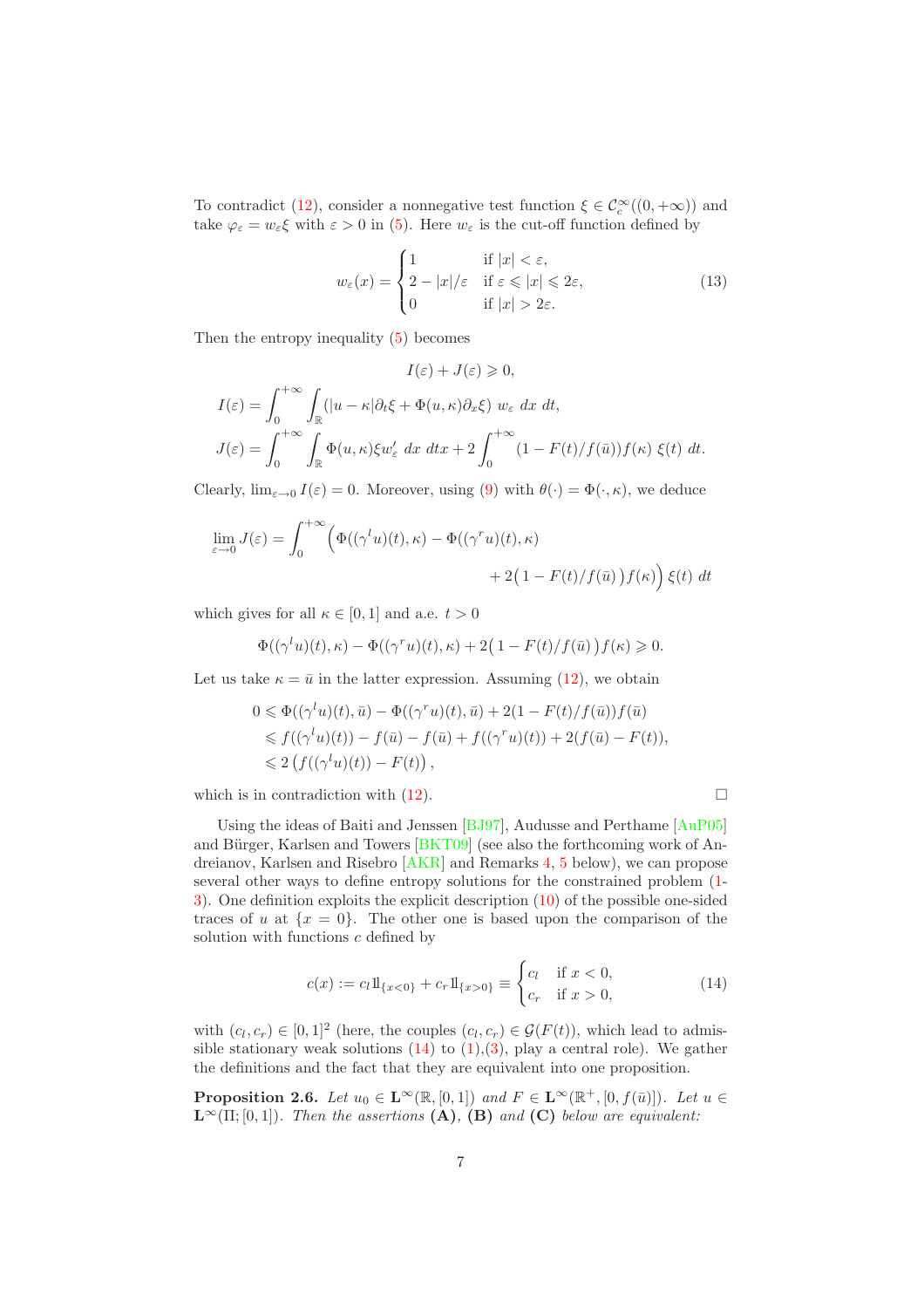To contradict [\(12\)](#page-6-3), consider a nonnegative test function  $\xi \in C_c^{\infty}((0, +\infty))$  and take  $\varphi_{\varepsilon} = w_{\varepsilon} \xi$  with  $\varepsilon > 0$  in [\(5\)](#page-4-1). Here  $w_{\varepsilon}$  is the cut-off function defined by

<span id="page-7-2"></span>
$$
w_{\varepsilon}(x) = \begin{cases} 1 & \text{if } |x| < \varepsilon, \\ 2 - |x|/\varepsilon & \text{if } \varepsilon \leq |x| \leq 2\varepsilon, \\ 0 & \text{if } |x| > 2\varepsilon. \end{cases}
$$
(13)

Then the entropy inequality [\(5\)](#page-4-1) becomes

$$
I(\varepsilon) + J(\varepsilon) \geq 0,
$$
  
\n
$$
I(\varepsilon) = \int_0^{+\infty} \int_{\mathbb{R}} (|u - \kappa| \partial_t \xi + \Phi(u, \kappa) \partial_x \xi) w_{\varepsilon} dx dt,
$$
  
\n
$$
J(\varepsilon) = \int_0^{+\infty} \int_{\mathbb{R}} \Phi(u, \kappa) \xi w_{\varepsilon}' dx dt + 2 \int_0^{+\infty} (1 - F(t)/f(\bar{u})) f(\kappa) \xi(t) dt.
$$

Clearly,  $\lim_{\varepsilon\to 0} I(\varepsilon) = 0$ . Moreover, using [\(9\)](#page-5-0) with  $\theta(\cdot) = \Phi(\cdot, \kappa)$ , we deduce

$$
\lim_{\varepsilon \to 0} J(\varepsilon) = \int_0^{+\infty} \left( \Phi((\gamma^t u)(t), \kappa) - \Phi((\gamma^r u)(t), \kappa) + 2(1 - F(t)/f(\bar{u})) f(\kappa) \right) \xi(t) dt
$$

which gives for all  $\kappa \in [0, 1]$  and a.e.  $t > 0$ 

$$
\Phi((\gamma^l u)(t), \kappa) - \Phi((\gamma^r u)(t), \kappa) + 2\left(1 - F(t)/f(\bar{u})\right)f(\kappa) \ge 0.
$$

Let us take  $\kappa = \bar{u}$  in the latter expression. Assuming [\(12\)](#page-6-3), we obtain

$$
0 \leq \Phi((\gamma^l u)(t), \bar{u}) - \Phi((\gamma^r u)(t), \bar{u}) + 2(1 - F(t)/f(\bar{u}))f(\bar{u})
$$
  
\n
$$
\leq f((\gamma^l u)(t)) - f(\bar{u}) - f(\bar{u}) + f((\gamma^r u)(t)) + 2(f(\bar{u}) - F(t)),
$$
  
\n
$$
\leq 2(f((\gamma^l u)(t)) - F(t)),
$$

which is in contradiction with  $(12)$ .

Using the ideas of Baiti and Jenssen [\[BJ97\]](#page-33-3), Audusse and Perthame [\[AuP05\]](#page-33-4) and Bürger, Karlsen and Towers  $[BKT09]$  (see also the forthcoming work of Andreianov, Karlsen and Risebro [\[AKR\]](#page-33-5) and Remarks [4,](#page-9-0) [5](#page-9-1) below), we can propose several other ways to define entropy solutions for the constrained problem [\(1-](#page-2-1) [3\)](#page-2-2). One definition exploits the explicit description [\(10\)](#page-6-1) of the possible one-sided traces of u at  $\{x = 0\}$ . The other one is based upon the comparison of the solution with functions  $c$  defined by

<span id="page-7-0"></span>
$$
c(x) := c_l 1\!\mathrm{l}_{\{x<0\}} + c_r 1\!\mathrm{l}_{\{x>0\}} \equiv \begin{cases} c_l & \text{if } x<0, \\ c_r & \text{if } x>0, \end{cases}
$$
 (14)

with  $(c_l, c_r) \in [0, 1]^2$  (here, the couples  $(c_l, c_r) \in \mathcal{G}(F(t))$ , which lead to admissible stationary weak solutions  $(14)$  to  $(1),(3)$  $(1),(3)$ , play a central role). We gather the definitions and the fact that they are equivalent into one proposition.

<span id="page-7-1"></span>**Proposition 2.6.** *Let*  $u_0 \in \mathbf{L}^{\infty}(\mathbb{R}, [0,1])$  *and*  $F \in \mathbf{L}^{\infty}(\mathbb{R}^+, [0, f(\bar{u})])$ *. Let*  $u \in$  $\mathbf{L}^{\infty}(\Pi; [0, 1])$ *. Then the assertions*  $(\mathbf{A})$ *,*  $(\mathbf{B})$  *and*  $(\mathbf{C})$  *below are equivalent:*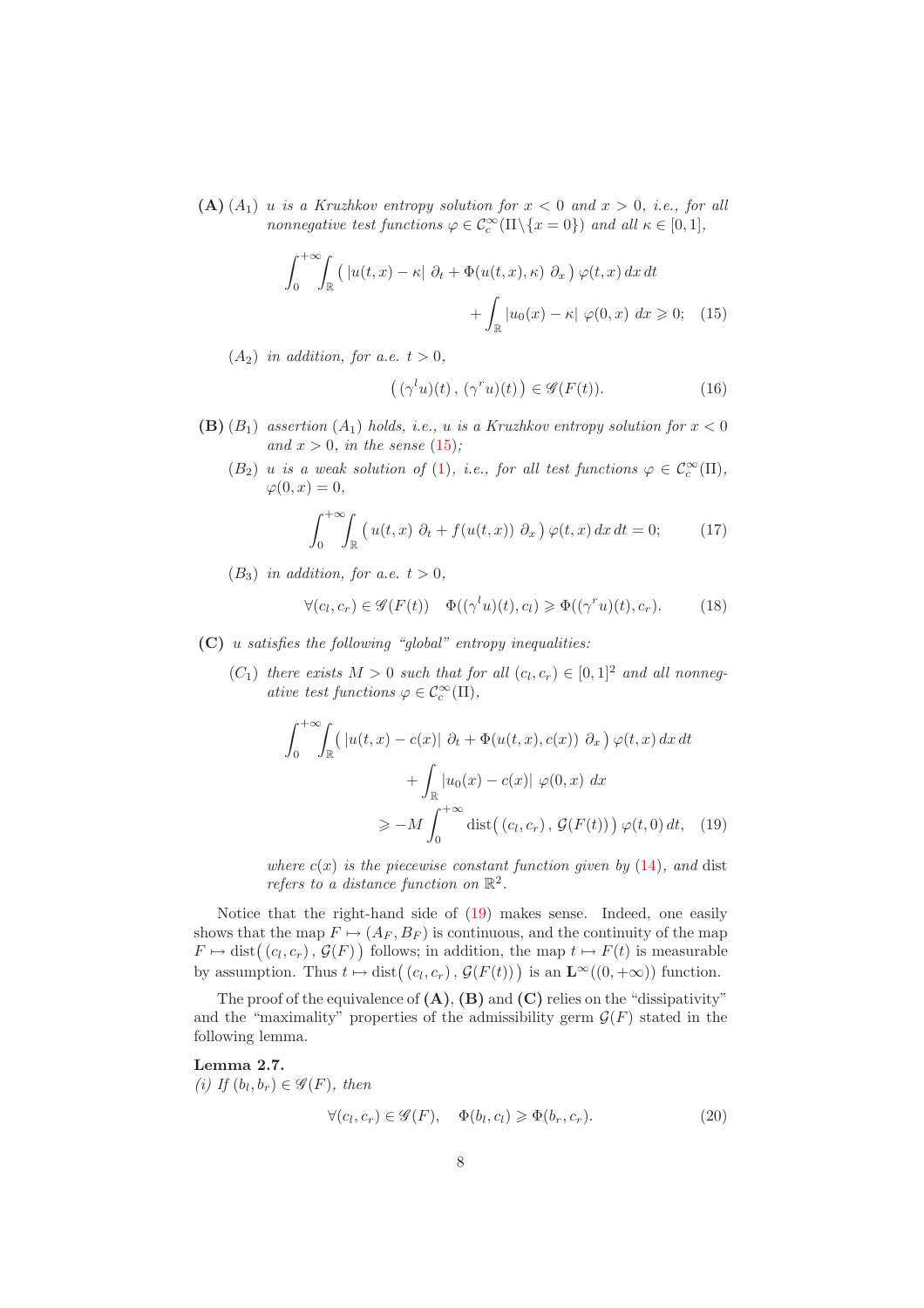(A)  $(A_1)$  u *is a Kruzhkov entropy solution for*  $x < 0$  *and*  $x > 0$ *, i.e., for all nonnegative test functions*  $\varphi \in C_c^{\infty}(\Pi \setminus \{x = 0\})$  *and all*  $\kappa \in [0, 1]$ *,* 

$$
\int_0^{+\infty} \int_{\mathbb{R}} \left( |u(t,x) - \kappa| \partial_t + \Phi(u(t,x), \kappa) \partial_x \right) \varphi(t,x) dx dt
$$

$$
+ \int_{\mathbb{R}} |u_0(x) - \kappa| \varphi(0,x) dx \ge 0; \quad (15)
$$

 $(A_2)$  *in addition, for a.e.*  $t > 0$ *,* 

<span id="page-8-0"></span>
$$
((\gamma^l u)(t), (\gamma^r u)(t)) \in \mathscr{G}(F(t)).
$$
\n(16)

- (B)  $(B_1)$  *assertion*  $(A_1)$  *holds, i.e., u is a Kruzhkov entropy solution for*  $x < 0$ and  $x > 0$ *, in the sense* [\(15\)](#page-8-0);
	- $(B_2)$  *u is a weak solution of* [\(1\)](#page-2-1), *i.e.*, for all test functions  $\varphi \in C_c^{\infty}(\Pi)$ ,  $\varphi(0, x) = 0,$

$$
\int_0^{+\infty} \int_{\mathbb{R}} \left( u(t,x) \partial_t + f(u(t,x)) \partial_x \right) \varphi(t,x) dx dt = 0; \qquad (17)
$$

 $(B_3)$  *in addition, for a.e.*  $t > 0$ *,* 

<span id="page-8-4"></span>
$$
\forall (c_l, c_r) \in \mathscr{G}(F(t)) \quad \Phi((\gamma^l u)(t), c_l) \geq \Phi((\gamma^r u)(t), c_r). \tag{18}
$$

- (C) u *satisfies the following "global" entropy inequalities:*
	- $(C_1)$  *there exists*  $M > 0$  *such that for all*  $(c_l, c_r) \in [0, 1]^2$  *and all nonnegative test functions*  $\varphi \in C_c^{\infty}(\Pi)$ ,

<span id="page-8-1"></span>
$$
\int_0^{+\infty} \int_{\mathbb{R}} \left( |u(t,x) - c(x)| \partial_t + \Phi(u(t,x), c(x)) \partial_x \right) \varphi(t, x) dx dt
$$

$$
+ \int_{\mathbb{R}} |u_0(x) - c(x)| \varphi(0, x) dx
$$

$$
\geq -M \int_0^{+\infty} \text{dist}((c_l, c_r), \mathcal{G}(F(t))) \varphi(t, 0) dt, (19)
$$

*where*  $c(x)$  *is the piecewise constant function given by* [\(14\)](#page-7-0)*, and* dist *refers to a distance function on*  $\mathbb{R}^2$ .

Notice that the right-hand side of [\(19\)](#page-8-1) makes sense. Indeed, one easily shows that the map  $F \mapsto (A_F, B_F)$  is continuous, and the continuity of the map  $F \mapsto \text{dist}((c_l, c_r), \mathcal{G}(F))$  follows; in addition, the map  $t \mapsto F(t)$  is measurable by assumption. Thus  $t \mapsto \text{dist}((c_l, c_r), \mathcal{G}(F(t)))$  is an  $\mathbf{L}^{\infty}((0, +\infty))$  function.

The proof of the equivalence of  $(A)$ ,  $(B)$  and  $(C)$  relies on the "dissipativity" and the "maximality" properties of the admissibility germ  $\mathcal{G}(F)$  stated in the following lemma.

<span id="page-8-3"></span><span id="page-8-2"></span>**Lemma 2.7.**  
\n(i) If 
$$
(b_l, b_r) \in \mathscr{G}(F)
$$
, then  
\n
$$
\forall (c_l, c_r) \in \mathscr{G}(F), \quad \Phi(b_l, c_l) \geq \Phi(b_r, c_r).
$$
\n(20)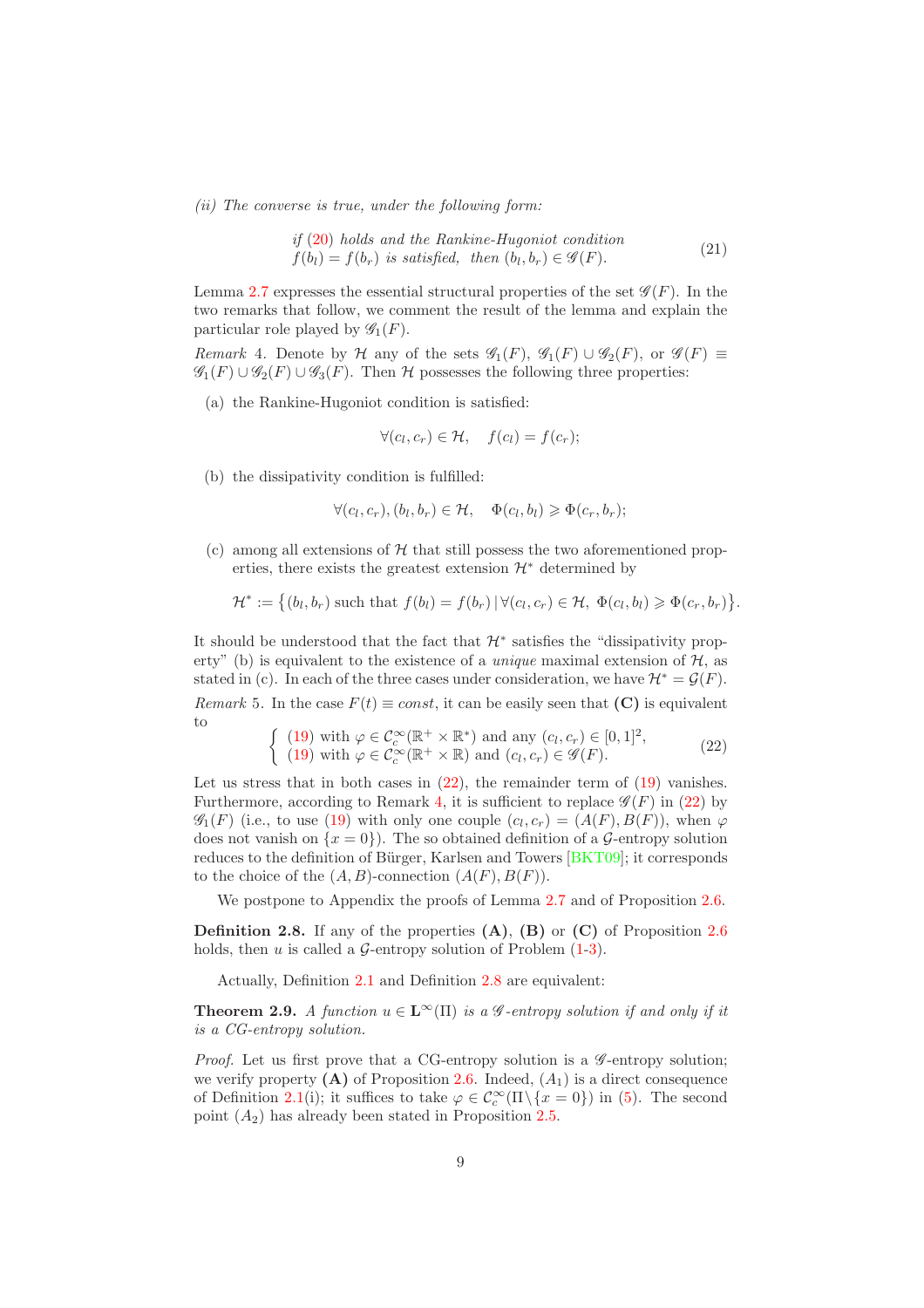*(ii) The converse is true, under the following form:*

if (20) holds and the Rankine-Hugoniot condition  
\n
$$
f(b_l) = f(b_r) \text{ is satisfied, then } (b_l, b_r) \in \mathcal{G}(F). \tag{21}
$$

Lemma [2.7](#page-8-3) expresses the essential structural properties of the set  $\mathscr{G}(F)$ . In the two remarks that follow, we comment the result of the lemma and explain the particular role played by  $\mathscr{G}_1(F)$ .

<span id="page-9-0"></span>*Remark* 4. Denote by H any of the sets  $\mathscr{G}_1(F)$ ,  $\mathscr{G}_1(F) \cup \mathscr{G}_2(F)$ , or  $\mathscr{G}(F) \equiv$  $\mathscr{G}_1(F) \cup \mathscr{G}_2(F) \cup \mathscr{G}_3(F)$ . Then H possesses the following three properties:

(a) the Rankine-Hugoniot condition is satisfied:

$$
\forall (c_l, c_r) \in \mathcal{H}, \quad f(c_l) = f(c_r);
$$

(b) the dissipativity condition is fulfilled:

$$
\forall (c_l, c_r), (b_l, b_r) \in \mathcal{H}, \quad \Phi(c_l, b_l) \geq \Phi(c_r, b_r);
$$

(c) among all extensions of  $H$  that still possess the two aforementioned properties, there exists the greatest extension  $\mathcal{H}^*$  determined by

$$
\mathcal{H}^* := \big\{ (b_l, b_r) \text{ such that } f(b_l) = f(b_r) \, | \, \forall (c_l, c_r) \in \mathcal{H}, \, \Phi(c_l, b_l) \geq \Phi(c_r, b_r) \big\}.
$$

It should be understood that the fact that  $\mathcal{H}^*$  satisfies the "dissipativity property" (b) is equivalent to the existence of a *unique* maximal extension of  $H$ , as stated in (c). In each of the three cases under consideration, we have  $\mathcal{H}^* = \mathcal{G}(F)$ .

<span id="page-9-1"></span>*Remark* 5. In the case  $F(t) \equiv const$ , it can be easily seen that (C) is equivalent to

<span id="page-9-2"></span>
$$
\begin{cases}\n(19) \text{ with } \varphi \in C_c^{\infty}(\mathbb{R}^+ \times \mathbb{R}^*) \text{ and any } (c_l, c_r) \in [0, 1]^2, \\
(19) \text{ with } \varphi \in C_c^{\infty}(\mathbb{R}^+ \times \mathbb{R}) \text{ and } (c_l, c_r) \in \mathscr{G}(F).\n\end{cases}
$$
\n(22)

Let us stress that in both cases in  $(22)$ , the remainder term of  $(19)$  vanishes. Furthermore, according to Remark [4,](#page-9-0) it is sufficient to replace  $\mathscr{G}(F)$  in [\(22\)](#page-9-2) by  $\mathscr{G}_1(F)$  (i.e., to use [\(19\)](#page-8-1) with only one couple  $(c_l, c_r) = (A(F), B(F))$ , when  $\varphi$ does not vanish on  $\{x = 0\}$ . The so obtained definition of a G-entropy solution reduces to the definition of Bürger, Karlsen and Towers [\[BKT09\]](#page-33-1); it corresponds to the choice of the  $(A, B)$ -connection  $(A(F), B(F))$ .

<span id="page-9-3"></span>We postpone to Appendix the proofs of Lemma [2.7](#page-8-3) and of Proposition [2.6.](#page-7-1)

**Definition 2.8.** If any of the properties  $(A)$ ,  $(B)$  or  $(C)$  of Proposition [2.6](#page-7-1) holds, then u is called a  $\mathcal{G}$ -entropy solution of Problem  $(1-3)$  $(1-3)$ .

<span id="page-9-4"></span>Actually, Definition [2.1](#page-4-4) and Definition [2.8](#page-9-3) are equivalent:

**Theorem 2.9.** *A function*  $u \in L^{\infty}(\Pi)$  *is a*  $\mathscr G$ *-entropy solution if and only if it is a CG-entropy solution.*

*Proof.* Let us first prove that a CG-entropy solution is a  $\mathscr G$ -entropy solution; we verify property  $(A)$  of Proposition [2.6.](#page-7-1) Indeed,  $(A_1)$  is a direct consequence of Definition [2.1\(](#page-4-4)i); it suffices to take  $\varphi \in C_c^{\infty}(\Pi \setminus \{x = 0\})$  in [\(5\)](#page-4-1). The second point  $(A_2)$  has already been stated in Proposition [2.5.](#page-6-4)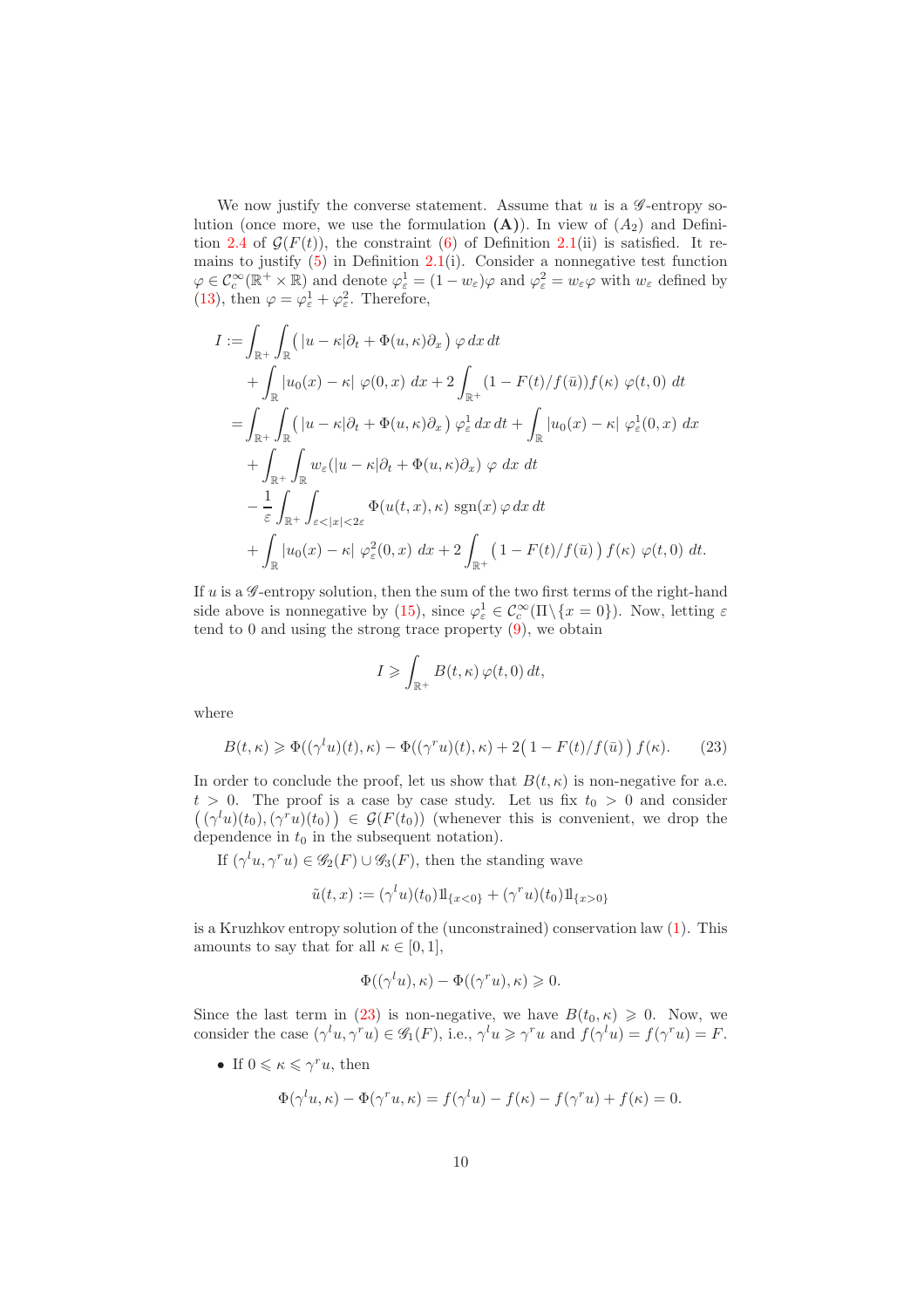We now justify the converse statement. Assume that  $u$  is a  $\mathscr G$ -entropy solution (once more, we use the formulation  $(A)$ ). In view of  $(A_2)$  and Defini-tion [2.4](#page-6-5) of  $\mathcal{G}(F(t))$ , the constraint [\(6\)](#page-4-2) of Definition [2.1\(](#page-4-4)ii) is satisfied. It remains to justify  $(5)$  in Definition [2.1\(](#page-4-4)i). Consider a nonnegative test function  $\varphi \in C_c^{\infty}(\mathbb{R}^+ \times \mathbb{R})$  and denote  $\varphi_{\varepsilon}^1 = (1 - w_{\varepsilon})\varphi$  and  $\varphi_{\varepsilon}^2 = w_{\varepsilon}\varphi$  with  $w_{\varepsilon}$  defined by [\(13\)](#page-7-2), then  $\varphi = \varphi_{\varepsilon}^1 + \varphi_{\varepsilon}^2$ . Therefore,

$$
I := \int_{\mathbb{R}^+} \int_{\mathbb{R}} \left( |u - \kappa| \partial_t + \Phi(u, \kappa) \partial_x \right) \varphi \, dx \, dt
$$
  
+ 
$$
\int_{\mathbb{R}} |u_0(x) - \kappa| \varphi(0, x) \, dx + 2 \int_{\mathbb{R}^+} (1 - F(t)/f(\bar{u})) f(\kappa) \varphi(t, 0) \, dt
$$
  
= 
$$
\int_{\mathbb{R}^+} \int_{\mathbb{R}} \left( |u - \kappa| \partial_t + \Phi(u, \kappa) \partial_x \right) \varphi_{\varepsilon}^1 \, dx \, dt + \int_{\mathbb{R}} |u_0(x) - \kappa| \varphi_{\varepsilon}^1(0, x) \, dx
$$
  
+ 
$$
\int_{\mathbb{R}^+} \int_{\mathbb{R}^+} w_{\varepsilon} (|u - \kappa| \partial_t + \Phi(u, \kappa) \partial_x) \varphi \, dx \, dt
$$
  
- 
$$
\frac{1}{\varepsilon} \int_{\mathbb{R}^+} \int_{\varepsilon < |x| < 2\varepsilon} \Phi(u(t, x), \kappa) \, \text{sgn}(x) \varphi \, dx \, dt
$$
  
+ 
$$
\int_{\mathbb{R}} |u_0(x) - \kappa| \varphi_{\varepsilon}^2(0, x) \, dx + 2 \int_{\mathbb{R}^+} (1 - F(t)/f(\bar{u})) f(\kappa) \varphi(t, 0) \, dt.
$$

If  $u$  is a  $\mathscr G$ -entropy solution, then the sum of the two first terms of the right-hand side above is nonnegative by [\(15\)](#page-8-0), since  $\varphi_{\varepsilon}^1 \in C_c^{\infty}(\Pi \setminus \{x = 0\})$ . Now, letting  $\varepsilon$ tend to 0 and using the strong trace property [\(9\)](#page-5-0), we obtain

<span id="page-10-0"></span>
$$
I \geqslant \int_{\mathbb{R}^+} B(t,\kappa) \, \varphi(t,0) \, dt,
$$

where

$$
B(t,\kappa) \geq \Phi((\gamma^l u)(t),\kappa) - \Phi((\gamma^r u)(t),\kappa) + 2\left(1 - F(t)/f(\bar{u})\right)f(\kappa). \tag{23}
$$

In order to conclude the proof, let us show that  $B(t, \kappa)$  is non-negative for a.e.  $t > 0$ . The proof is a case by case study. Let us fix  $t_0 > 0$  and consider  $((\gamma^l u)(t_0),(\gamma^r u)(t_0)) \in \mathcal{G}(F(t_0))$  (whenever this is convenient, we drop the dependence in  $t_0$  in the subsequent notation).

If  $(\gamma^l u, \gamma^r u) \in \mathscr{G}_2(F) \cup \mathscr{G}_3(F)$ , then the standing wave

$$
\tilde{u}(t,x) := (\gamma^l u)(t_0) 1\!\mathrm{l}_{\{x<0\}} + (\gamma^r u)(t_0) 1\!\mathrm{l}_{\{x>0\}}
$$

is a Kruzhkov entropy solution of the (unconstrained) conservation law [\(1\)](#page-2-1). This amounts to say that for all  $\kappa \in [0,1]$ ,

$$
\Phi((\gamma^l u), \kappa) - \Phi((\gamma^r u), \kappa) \geqslant 0.
$$

Since the last term in [\(23\)](#page-10-0) is non-negative, we have  $B(t_0, \kappa) \geq 0$ . Now, we consider the case  $(\gamma^l u, \gamma^r u) \in \mathscr{G}_1(F)$ , i.e.,  $\gamma^l u \geq \gamma^r u$  and  $f(\gamma^l u) = f(\gamma^r u) = F$ .

• If  $0 \leq \kappa \leq \gamma^r u$ , then

$$
\Phi(\gamma^l u, \kappa) - \Phi(\gamma^r u, \kappa) = f(\gamma^l u) - f(\kappa) - f(\gamma^r u) + f(\kappa) = 0.
$$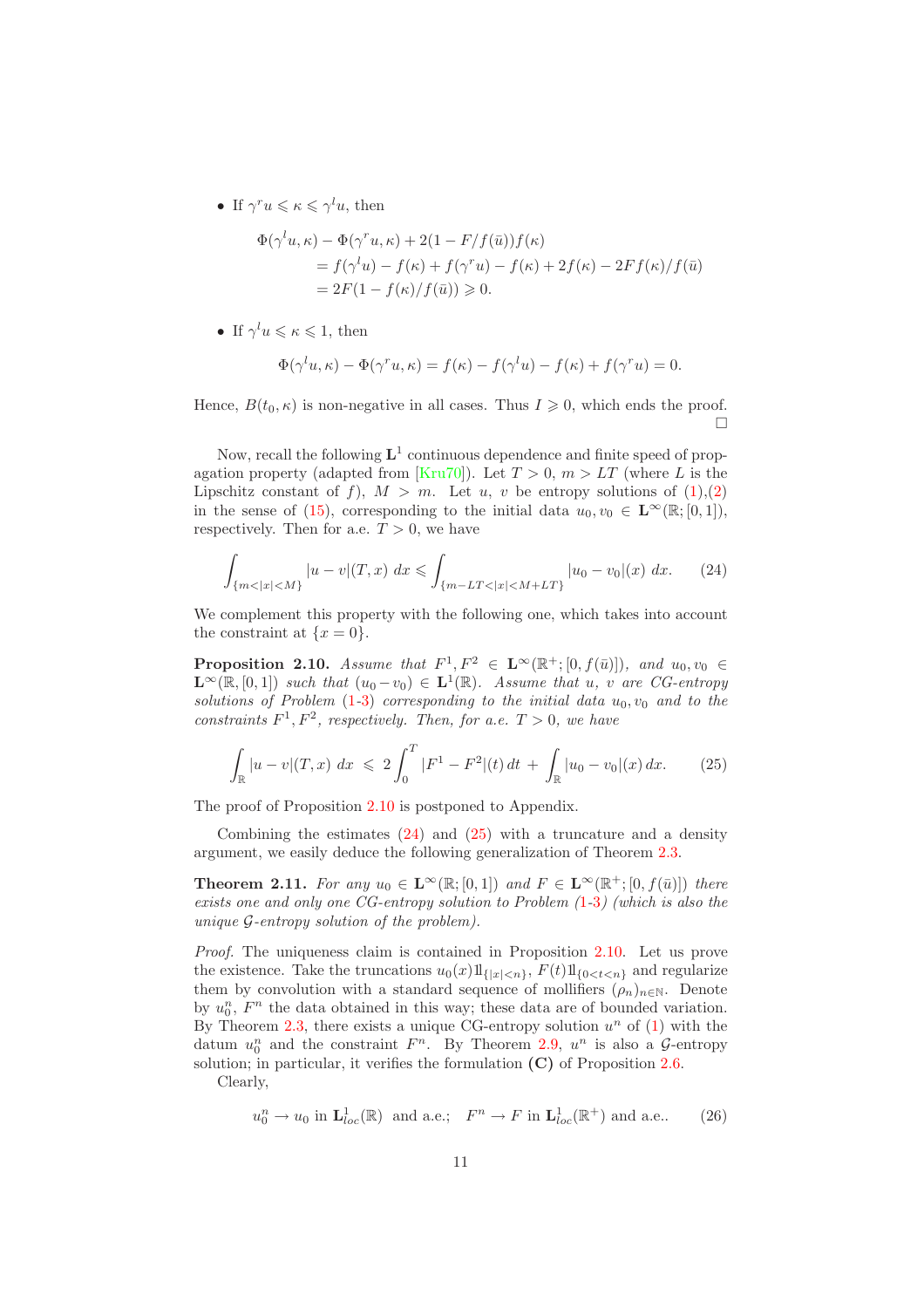• If  $\gamma^r u \leqslant \kappa \leqslant \gamma^l u$ , then

$$
\Phi(\gamma^l u, \kappa) - \Phi(\gamma^r u, \kappa) + 2(1 - F/f(\bar{u}))f(\kappa)
$$
  
=  $f(\gamma^l u) - f(\kappa) + f(\gamma^r u) - f(\kappa) + 2f(\kappa) - 2Ff(\kappa)/f(\bar{u})$   
=  $2F(1 - f(\kappa)/f(\bar{u})) \ge 0$ .

• If  $\gamma^l u \leqslant \kappa \leqslant 1$ , then

$$
\Phi(\gamma^l u, \kappa) - \Phi(\gamma^r u, \kappa) = f(\kappa) - f(\gamma^l u) - f(\kappa) + f(\gamma^r u) = 0.
$$

Hence,  $B(t_0, \kappa)$  is non-negative in all cases. Thus  $I \geq 0$ , which ends the proof.  $\Box$ 

Now, recall the following  $L^1$  continuous dependence and finite speed of prop-agation property (adapted from [\[Kru70\]](#page-33-6)). Let  $T > 0$ ,  $m > LT$  (where L is the Lipschitz constant of f),  $M > m$ . Let u, v be entropy solutions of  $(1),(2)$  $(1),(2)$ in the sense of [\(15\)](#page-8-0), corresponding to the initial data  $u_0, v_0 \in \mathbf{L}^{\infty}(\mathbb{R};[0,1]),$ respectively. Then for a.e.  $T > 0$ , we have

<span id="page-11-2"></span>
$$
\int_{\{m<|x|
$$

<span id="page-11-1"></span>We complement this property with the following one, which takes into account the constraint at  $\{x=0\}.$ 

**Proposition 2.10.** *Assume that*  $F^1, F^2 \in \mathbb{L}^\infty(\mathbb{R}^+; [0, f(\bar{u})])$ *, and*  $u_0, v_0 \in$  $\mathbf{L}^{\infty}(\mathbb{R}, [0, 1])$  *such that*  $(u_0 - v_0) \in \mathbf{L}^1(\mathbb{R})$ *. Assume that*  $u, v$  *are CG-entropy solutions of Problem*  $(1-3)$  $(1-3)$  $(1-3)$  *corresponding to the initial data*  $u_0, v_0$  *and to the constraints*  $F^1, F^2$ *, respectively. Then, for a.e.*  $T > 0$ *, we have* 

<span id="page-11-3"></span>
$$
\int_{\mathbb{R}} |u - v| (T, x) \ dx \ \leqslant \ 2 \int_{0}^{T} |F^{1} - F^{2}|(t) \ dt \ + \ \int_{\mathbb{R}} |u_{0} - v_{0}|(x) \ dx. \tag{25}
$$

The proof of Proposition [2.10](#page-11-1) is postponed to Appendix.

<span id="page-11-0"></span>Combining the estimates  $(24)$  and  $(25)$  with a truncature and a density argument, we easily deduce the following generalization of Theorem [2.3.](#page-5-2)

**Theorem 2.11.** For any  $u_0 \in \mathbf{L}^{\infty}(\mathbb{R};[0,1])$  and  $F \in \mathbf{L}^{\infty}(\mathbb{R}^+;[0,f(\bar{u})])$  there *exists one and only one CG-entropy solution to Problem (*[1](#page-2-1)*-*[3](#page-2-2)*) (which is also the unique* G*-entropy solution of the problem).*

*Proof.* The uniqueness claim is contained in Proposition [2.10.](#page-11-1) Let us prove the existence. Take the truncations  $u_0(x) 1\!\!1_{\{|x|< n\}}$ ,  $F(t) 1\!\!1_{\{0< t< n\}}$  and regularize them by convolution with a standard sequence of mollifiers  $(\rho_n)_{n\in\mathbb{N}}$ . Denote by  $u_0^n$ ,  $F^n$  the data obtained in this way; these data are of bounded variation. By Theorem [2.3,](#page-5-2) there exists a unique CG-entropy solution  $u^n$  of  $(1)$  with the datum  $u_0^n$  and the constraint  $F^n$ . By Theorem [2.9,](#page-9-4)  $u^n$  is also a G-entropy solution; in particular, it verifies the formulation  $(C)$  of Proposition [2.6.](#page-7-1)

Clearly,

<span id="page-11-4"></span>
$$
u_0^n \to u_0
$$
 in  $\mathbf{L}_{loc}^1(\mathbb{R})$  and a.e.;  $F^n \to F$  in  $\mathbf{L}_{loc}^1(\mathbb{R}^+)$  and a.e., (26)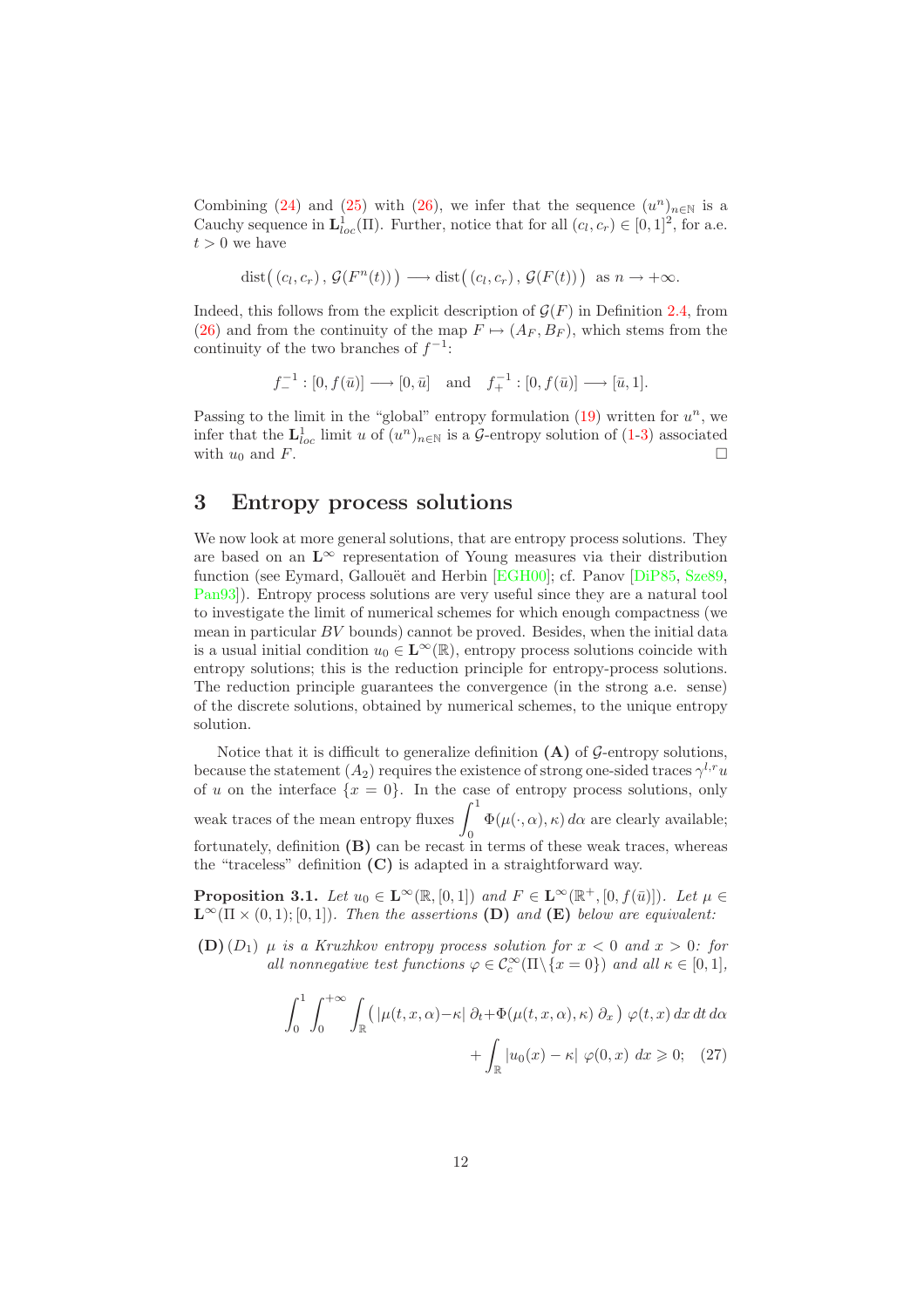Combining [\(24\)](#page-11-2) and [\(25\)](#page-11-3) with [\(26\)](#page-11-4), we infer that the sequence  $(u^n)_{n\in\mathbb{N}}$  is a Cauchy sequence in  $\mathbf{L}_{loc}^1(\Pi)$ . Further, notice that for all  $(c_l, c_r) \in [0, 1]^2$ , for a.e.  $t > 0$  we have

$$
dist((c_l, c_r), \mathcal{G}(F^n(t))) \longrightarrow dist((c_l, c_r), \mathcal{G}(F(t))) \text{ as } n \to +\infty.
$$

Indeed, this follows from the explicit description of  $\mathcal{G}(F)$  in Definition [2.4,](#page-6-5) from [\(26\)](#page-11-4) and from the continuity of the map  $F \mapsto (A_F, B_F)$ , which stems from the continuity of the two branches of  $f^{-1}$ :

$$
f_-^{-1}:[0, f(\bar u)] \longrightarrow [0, \bar u] \quad \text{and} \quad f_+^{-1}:[0, f(\bar u)] \longrightarrow [\bar u, 1].
$$

Passing to the limit in the "global" entropy formulation  $(19)$  written for  $u^n$ , we infer that the  $\mathbf{L}_{loc}^1$  limit u of  $(u^n)_{n\in\mathbb{N}}$  is a  $\mathcal{G}$ -entropy solution of [\(1](#page-2-1)[-3\)](#page-2-2) associated with  $u_0$  and F.

# <span id="page-12-0"></span>3 Entropy process solutions

We now look at more general solutions, that are entropy process solutions. They are based on an  $L^{\infty}$  representation of Young measures via their distribution function (see Eymard, Gallouët and Herbin [\[EGH00\]](#page-33-2); cf. Panov [\[DiP85,](#page-33-8) [Sze89,](#page-34-4) [Pan93\]](#page-34-5)). Entropy process solutions are very useful since they are a natural tool to investigate the limit of numerical schemes for which enough compactness (we mean in particular  $BV$  bounds) cannot be proved. Besides, when the initial data is a usual initial condition  $u_0 \in \mathbf{L}^{\infty}(\mathbb{R})$ , entropy process solutions coincide with entropy solutions; this is the reduction principle for entropy-process solutions. The reduction principle guarantees the convergence (in the strong a.e. sense) of the discrete solutions, obtained by numerical schemes, to the unique entropy solution.

Notice that it is difficult to generalize definition  $(A)$  of  $G$ -entropy solutions, because the statement  $(A_2)$  requires the existence of strong one-sided traces  $\gamma^{l,r}u$ of u on the interface  $\{x = 0\}$ . In the case of entropy process solutions, only weak traces of the mean entropy fluxes  $\int_1^1$  $\Phi(\mu(\cdot,\alpha),\kappa) d\alpha$  are clearly available; fortunately, definition (B) can be recast in terms of these weak traces, whereas the "traceless" definition  $(C)$  is adapted in a straightforward way.

<span id="page-12-2"></span>**Proposition 3.1.** *Let*  $u_0 \in \mathbf{L}^{\infty}(\mathbb{R}, [0,1])$  and  $F \in \mathbf{L}^{\infty}(\mathbb{R}^+, [0, f(\bar{u})])$ *. Let*  $\mu \in$  $\mathbf{L}^{\infty}(\Pi \times (0,1);[0,1])$ *. Then the assertions* (D) *and* (E) *below are equivalent:* 

(D)  $(D_1)$   $\mu$  *is a Kruzhkov entropy process solution for*  $x < 0$  *and*  $x > 0$ *: for all nonnegative test functions*  $\varphi \in C_c^{\infty}(\Pi \setminus \{x = 0\})$  *and all*  $\kappa \in [0, 1]$ *,* 

<span id="page-12-1"></span>
$$
\int_0^1 \int_0^{+\infty} \int_{\mathbb{R}} \left( |\mu(t, x, \alpha) - \kappa| \partial_t + \Phi(\mu(t, x, \alpha), \kappa) \partial_x \right) \varphi(t, x) dx dt d\alpha
$$

$$
+ \int_{\mathbb{R}} |u_0(x) - \kappa| \varphi(0, x) dx \ge 0; \quad (27)
$$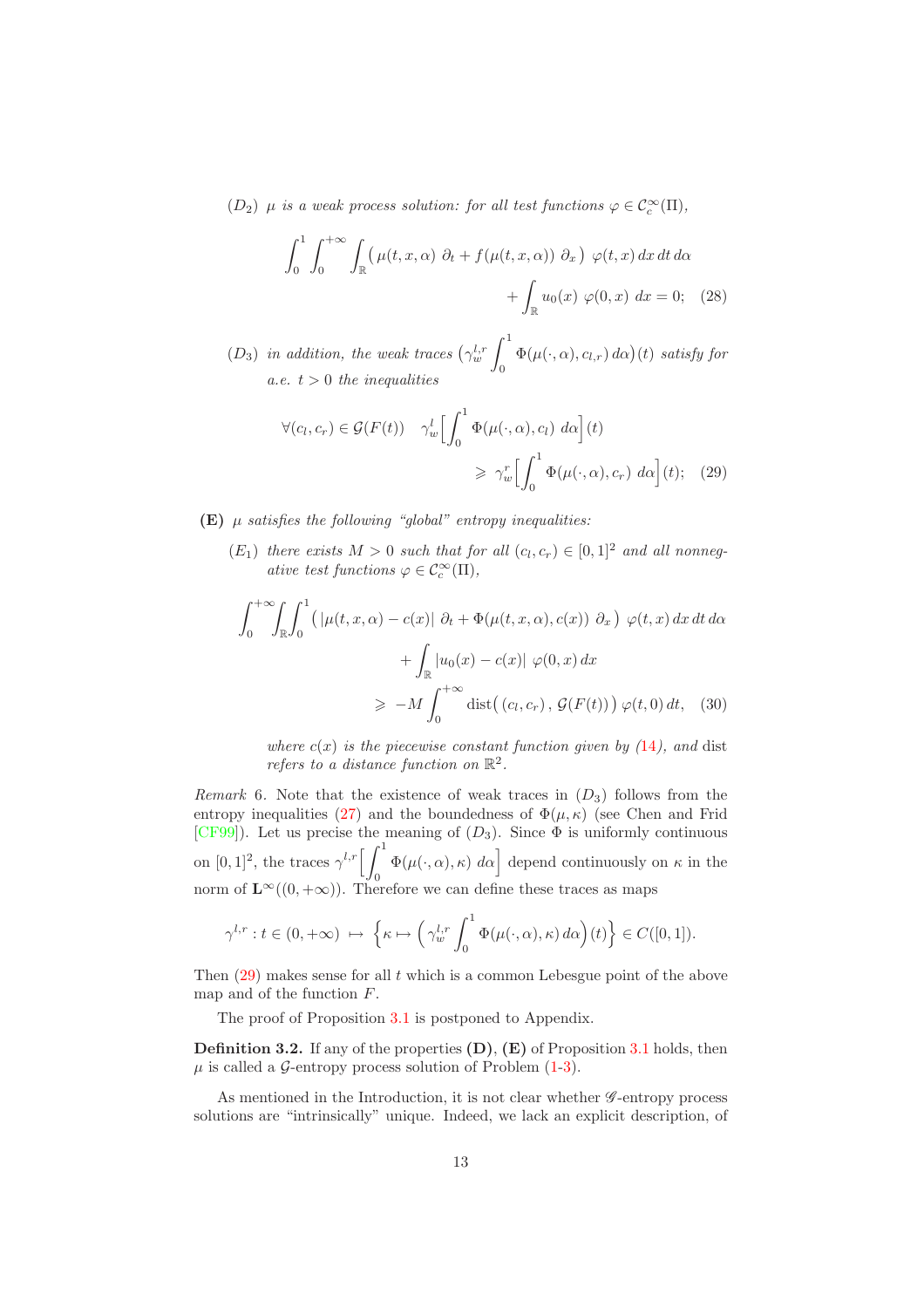$(D_2)$   $\mu$  *is a weak process solution: for all test functions*  $\varphi \in C_c^{\infty}(\Pi)$ ,

$$
\int_0^1 \int_0^{+\infty} \int_{\mathbb{R}} \left( \mu(t, x, \alpha) \partial_t + f(\mu(t, x, \alpha)) \partial_x \right) \varphi(t, x) dx dt d\alpha
$$

$$
+ \int_{\mathbb{R}} u_0(x) \varphi(0, x) dx = 0; \quad (28)
$$

 $(D_3)$  *in addition, the weak traces*  $(\gamma_w^{l,r} \int_0^1$  $\int\limits_{0}^{\pi}\Phi(\mu(\cdot,\alpha),c_{l,r})\,d\alpha)(t)$  satisfy for *a.e.*  $t > 0$  *the inequalities* 

<span id="page-13-0"></span>
$$
\forall (c_l, c_r) \in \mathcal{G}(F(t)) \quad \gamma_w^l \left[ \int_0^1 \Phi(\mu(\cdot, \alpha), c_l) \, d\alpha \right](t)
$$

$$
\geq \gamma_w^r \left[ \int_0^1 \Phi(\mu(\cdot, \alpha), c_r) \, d\alpha \right](t); \quad (29)
$$

(E) µ *satisfies the following "global" entropy inequalities:*

 $(E_1)$  *there exists*  $M > 0$  *such that for all*  $(c_l, c_r) \in [0, 1]^2$  *and all nonnegative test functions*  $\varphi \in C_c^{\infty}(\Pi)$ ,

$$
\int_0^{+\infty} \int_{\mathbb{R}} \int_0^1 \left( |\mu(t, x, \alpha) - c(x)| \partial_t + \Phi(\mu(t, x, \alpha), c(x)) \partial_x \right) \varphi(t, x) dx dt d\alpha
$$

$$
+ \int_{\mathbb{R}} |u_0(x) - c(x)| \varphi(0, x) dx
$$

$$
\geq -M \int_0^{+\infty} \text{dist}((c_l, c_r), \mathcal{G}(F(t))) \varphi(t, 0) dt, \quad (30)
$$

<span id="page-13-2"></span>*where*  $c(x)$  *is the piecewise constant function given by*  $(14)$  $(14)$  $(14)$ *, and* dist *refers to a distance function on*  $\mathbb{R}^2$ .

<span id="page-13-1"></span>*Remark* 6. Note that the existence of weak traces in  $(D_3)$  follows from the entropy inequalities [\(27\)](#page-12-1) and the boundedness of  $\Phi(\mu, \kappa)$  (see Chen and Frid [\[CF99\]](#page-33-9)). Let us precise the meaning of  $(D_3)$ . Since  $\Phi$  is uniformly continuous on  $[0, 1]^2$ , the traces  $\gamma^{l,r} \left[ \int_0^1$  $\left[\Phi(\mu(\cdot,\alpha),\kappa) \, d\alpha\right]$  depend continuously on  $\kappa$  in the norm of  $\mathbf{L}^{\infty}((0, +\infty))$ . Therefore we can define these traces as maps

$$
\gamma^{l,r}: t \in (0, +\infty) \; \mapsto \; \left\{ \kappa \mapsto \left( \gamma_w^{l,r} \int_0^1 \Phi(\mu(\cdot, \alpha), \kappa) \, d\alpha \right) (t) \right\} \in C([0, 1]).
$$

Then  $(29)$  makes sense for all t which is a common Lebesgue point of the above map and of the function F.

The proof of Proposition [3.1](#page-12-2) is postponed to Appendix.

**Definition 3.2.** If any of the properties  $(D)$ ,  $(E)$  of Proposition [3.1](#page-12-2) holds, then  $\mu$  is called a G-entropy process solution of Problem  $(1-3)$  $(1-3)$ .

As mentioned in the Introduction, it is not clear whether  $\mathscr{G}\text{-entropy process}$ solutions are "intrinsically" unique. Indeed, we lack an explicit description, of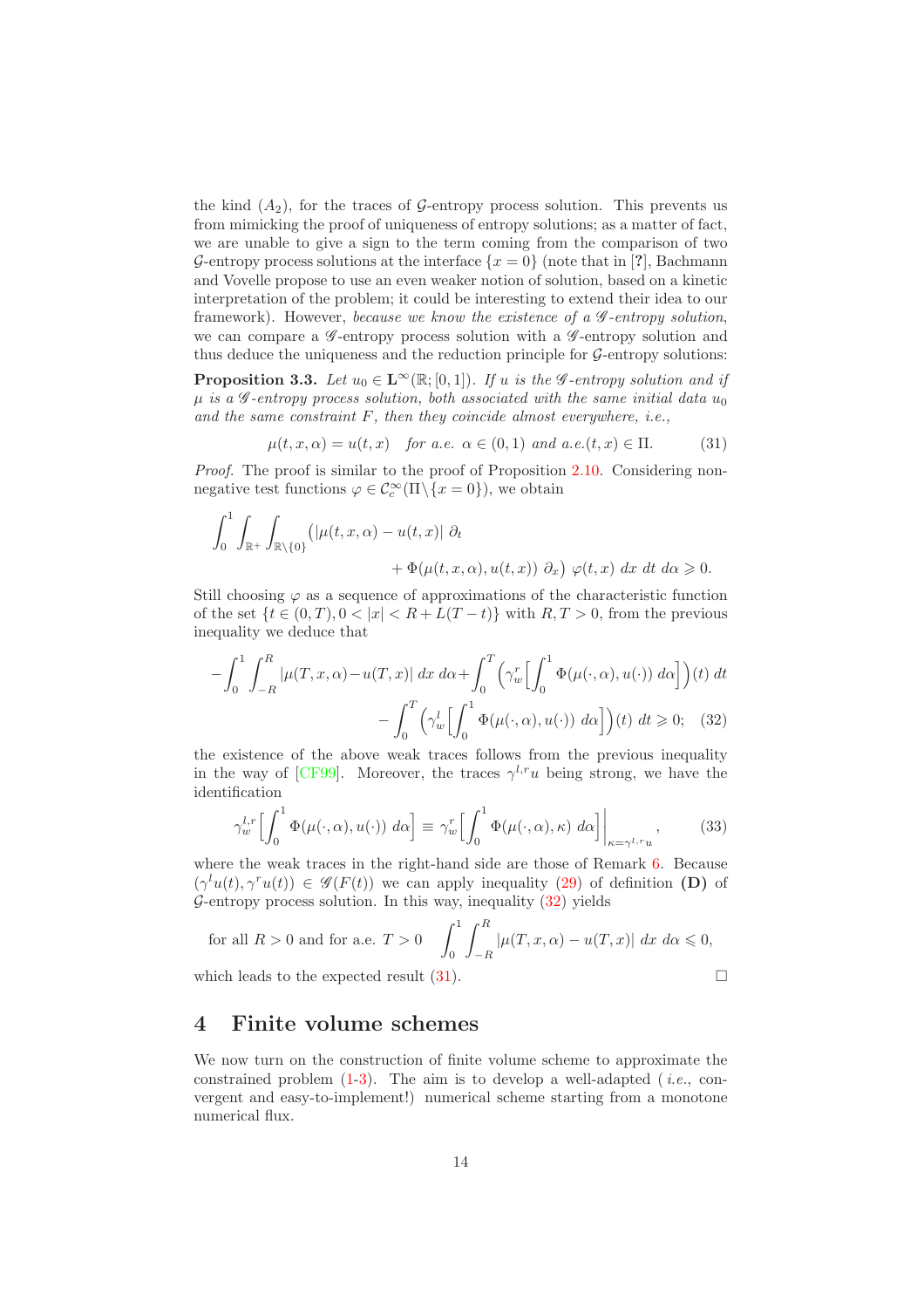the kind  $(A_2)$ , for the traces of G-entropy process solution. This prevents us from mimicking the proof of uniqueness of entropy solutions; as a matter of fact, we are unable to give a sign to the term coming from the comparison of two G-entropy process solutions at the interface  $\{x=0\}$  (note that in [?], Bachmann and Vovelle propose to use an even weaker notion of solution, based on a kinetic interpretation of the problem; it could be interesting to extend their idea to our framework). However, *because we know the existence of a* G *-entropy solution*, we can compare a  $\mathscr G$ -entropy process solution with a  $\mathscr G$ -entropy solution and thus deduce the uniqueness and the reduction principle for  $G$ -entropy solutions:

<span id="page-14-3"></span>**Proposition 3.3.** *Let*  $u_0 \in \mathbb{L}^\infty(\mathbb{R};[0,1])$ *. If*  $u$  *is the*  $\mathscr{G}$ *-entropy solution and if*  $\mu$  *is a G*-entropy process solution, both associated with the same initial data  $u_0$ *and the same constraint* F*, then they coincide almost everywhere, i.e.,*

<span id="page-14-2"></span>
$$
\mu(t, x, \alpha) = u(t, x) \quad \text{for a.e. } \alpha \in (0, 1) \text{ and a.e.}(t, x) \in \Pi. \tag{31}
$$

*Proof.* The proof is similar to the proof of Proposition [2.10.](#page-11-1) Considering nonnegative test functions  $\varphi \in C_c^{\infty}(\Pi \setminus \{x = 0\})$ , we obtain

$$
\int_0^1 \int_{\mathbb{R}^+} \int_{\mathbb{R}\setminus\{0\}} \left( |\mu(t, x, \alpha) - u(t, x)| \right) \partial_t
$$
  
+ 
$$
\Phi(\mu(t, x, \alpha), u(t, x)) \partial_x \right) \varphi(t, x) dx dt d\alpha \ge 0.
$$

Still choosing  $\varphi$  as a sequence of approximations of the characteristic function of the set  $\{t \in (0,T), 0 < |x| < R + L(T-t)\}\$  with  $R, T > 0$ , from the previous inequality we deduce that

$$
-\int_0^1 \int_{-R}^R |\mu(T, x, \alpha) - u(T, x)| dx d\alpha + \int_0^T \left(\gamma_w^r \left[\int_0^1 \Phi(\mu(\cdot, \alpha), u(\cdot)) d\alpha\right]\right)(t) dt
$$

$$
-\int_0^T \left(\gamma_w^l \left[\int_0^1 \Phi(\mu(\cdot, \alpha), u(\cdot)) d\alpha\right]\right)(t) dt \ge 0; \quad (32)
$$

the existence of the above weak traces follows from the previous inequality in the way of [\[CF99\]](#page-33-9). Moreover, the traces  $\gamma^{l,r}u$  being strong, we have the identification

<span id="page-14-1"></span>
$$
\gamma_w^{l,r} \Biggl[ \int_0^1 \Phi(\mu(\cdot, \alpha), u(\cdot)) \, d\alpha \Biggr] \equiv \gamma_w^r \Biggl[ \int_0^1 \Phi(\mu(\cdot, \alpha), \kappa) \, d\alpha \Biggr] \Biggr|_{\kappa = \gamma^{l,r} u}, \tag{33}
$$

where the weak traces in the right-hand side are those of Remark [6.](#page-13-1) Because  $(\gamma^l u(t), \gamma^r u(t)) \in \mathscr{G}(F(t))$  we can apply inequality [\(29\)](#page-13-0) of definition (D) of G-entropy process solution. In this way, inequality  $(32)$  yields

for all 
$$
R > 0
$$
 and for a.e.  $T > 0$  
$$
\int_0^1 \int_{-R}^R |\mu(T, x, \alpha) - u(T, x)| dx d\alpha \le 0,
$$

which leads to the expected result  $(31)$ .

# <span id="page-14-0"></span>4 Finite volume schemes

We now turn on the construction of finite volume scheme to approximate the constrained problem [\(1](#page-2-1)[-3\)](#page-2-2). The aim is to develop a well-adapted (*i.e.*, convergent and easy-to-implement!) numerical scheme starting from a monotone numerical flux.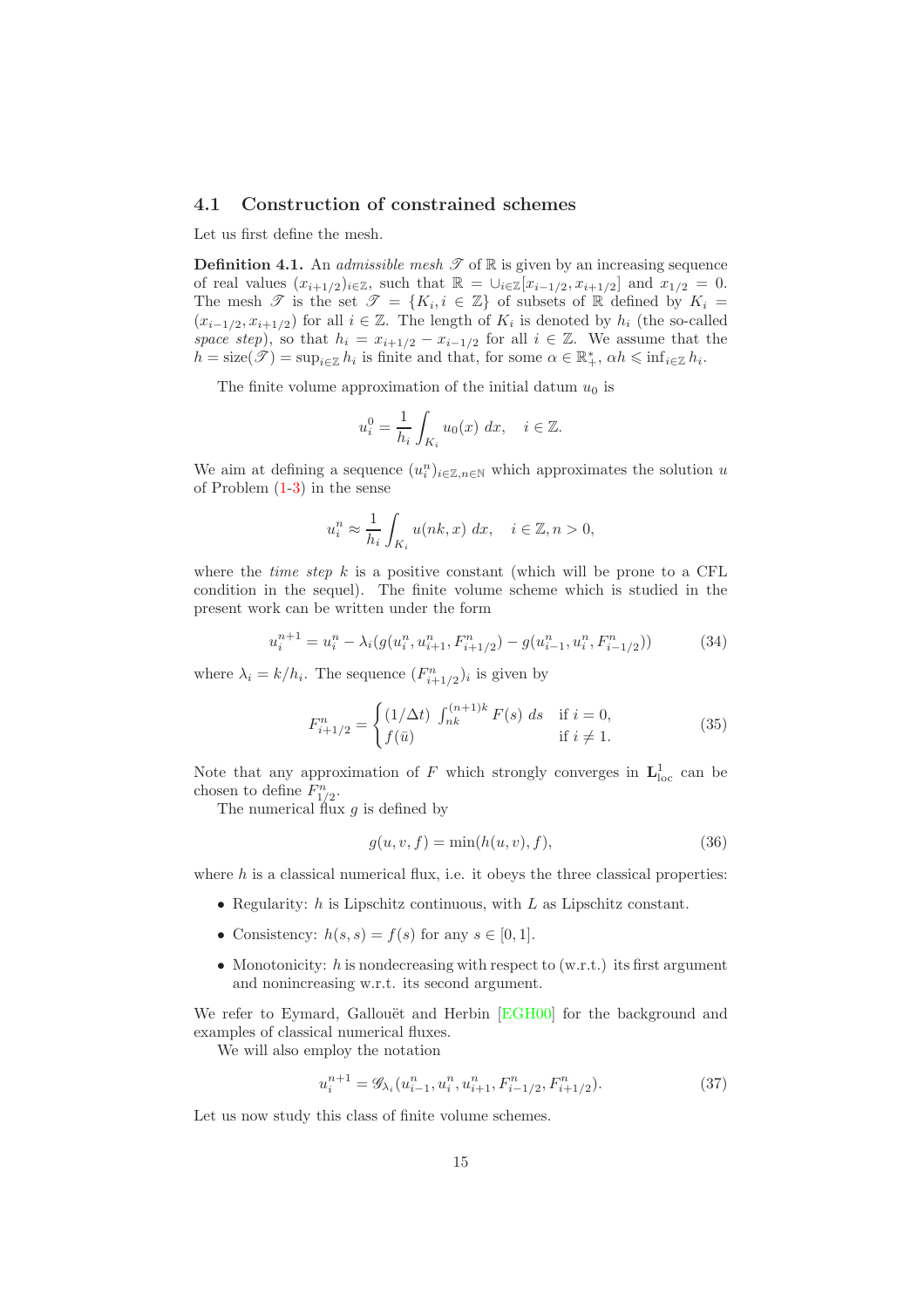### <span id="page-15-0"></span>4.1 Construction of constrained schemes

Let us first define the mesh.

**Definition 4.1.** An *admissible mesh*  $\mathscr{T}$  of  $\mathbb{R}$  is given by an increasing sequence of real values  $(x_{i+1/2})_{i\in\mathbb{Z}}$ , such that  $\mathbb{R} = \bigcup_{i\in\mathbb{Z}} [x_{i-1/2}, x_{i+1/2}]$  and  $x_{1/2} = 0$ . The mesh  $\mathscr{T}$  is the set  $\mathscr{T} = \{K_i, i \in \mathbb{Z}\}\)$  of subsets of  $\mathbb R$  defined by  $K_i =$  $(x_{i-1/2}, x_{i+1/2})$  for all  $i \in \mathbb{Z}$ . The length of  $K_i$  is denoted by  $h_i$  (the so-called *space step*), so that  $h_i = x_{i+1/2} - x_{i-1/2}$  for all  $i \in \mathbb{Z}$ . We assume that the  $h = \text{size}(\mathscr{T}) = \sup_{i \in \mathbb{Z}} h_i$  is finite and that, for some  $\alpha \in \mathbb{R}_+^*$ ,  $\alpha h \leq \inf_{i \in \mathbb{Z}} h_i$ .

The finite volume approximation of the initial datum  $u_0$  is

$$
u_i^0 = \frac{1}{h_i} \int_{K_i} u_0(x) \, dx, \quad i \in \mathbb{Z}.
$$

We aim at defining a sequence  $(u_i^n)_{i \in \mathbb{Z}, n \in \mathbb{N}}$  which approximates the solution u of Problem [\(1](#page-2-1)[-3\)](#page-2-2) in the sense

$$
u_i^n \approx \frac{1}{h_i} \int_{K_i} u(nk, x) \, dx, \quad i \in \mathbb{Z}, n > 0,
$$

where the *time step* k is a positive constant (which will be prone to a CFL condition in the sequel). The finite volume scheme which is studied in the present work can be written under the form

<span id="page-15-1"></span>
$$
u_i^{n+1} = u_i^n - \lambda_i(g(u_i^n, u_{i+1}^n, F_{i+1/2}^n) - g(u_{i-1}^n, u_i^n, F_{i-1/2}^n))
$$
(34)

where  $\lambda_i = k/h_i$ . The sequence  $(F_{i+1/2}^n)_i$  is given by

$$
F_{i+1/2}^{n} = \begin{cases} (1/\Delta t) \ \int_{nk}^{(n+1)k} F(s) \ ds & \text{if } i = 0, \\ f(\bar{u}) & \text{if } i \neq 1. \end{cases}
$$
 (35)

Note that any approximation of F which strongly converges in  $\mathbf{L}^1_{\text{loc}}$  can be chosen to define  $F_{1/2}^n$ .

The numerical flux  $g$  is defined by

<span id="page-15-2"></span>
$$
g(u, v, f) = \min(h(u, v), f),\tag{36}
$$

where  $h$  is a classical numerical flux, i.e. it obeys the three classical properties:

- Regularity:  $h$  is Lipschitz continuous, with  $L$  as Lipschitz constant.
- Consistency:  $h(s, s) = f(s)$  for any  $s \in [0, 1]$ .
- Monotonicity:  $h$  is nondecreasing with respect to (w.r.t.) its first argument and nonincreasing w.r.t. its second argument.

We refer to Eymard, Gallouët and Herbin [\[EGH00\]](#page-33-2) for the background and examples of classical numerical fluxes.

We will also employ the notation

$$
u_i^{n+1} = \mathscr{G}_{\lambda_i}(u_{i-1}^n, u_i^n, u_{i+1}^n, F_{i-1/2}^n, F_{i+1/2}^n). \tag{37}
$$

Let us now study this class of finite volume schemes.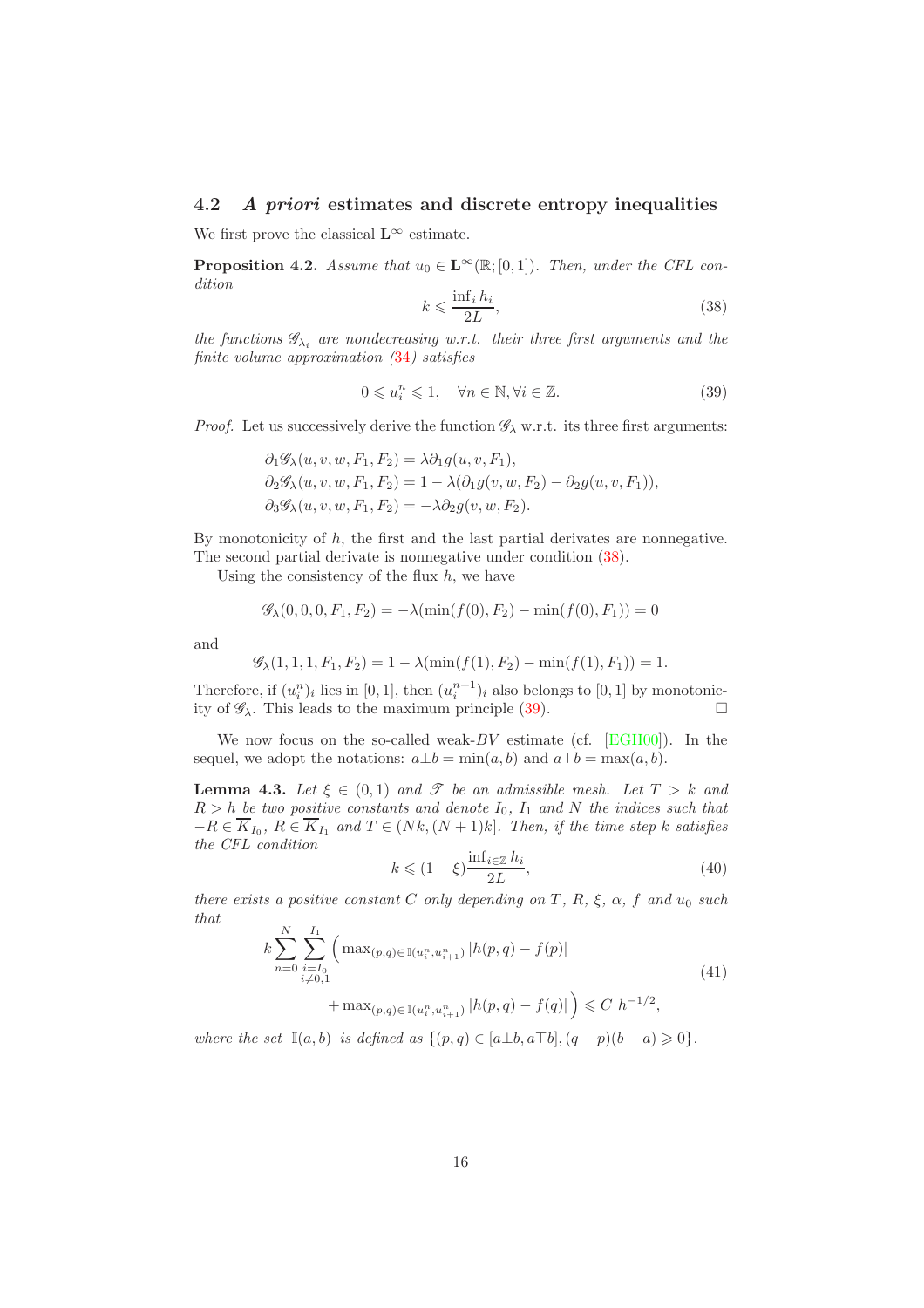### <span id="page-16-0"></span>4.2 A priori estimates and discrete entropy inequalities

<span id="page-16-4"></span>We first prove the classical  $\mathbf{L}^{\infty}$  estimate.

**Proposition 4.2.** *Assume that*  $u_0 \in \mathbf{L}^{\infty}(\mathbb{R};[0,1])$ *. Then, under the CFL condition*

<span id="page-16-1"></span>
$$
k \leqslant \frac{\inf_i h_i}{2L},\tag{38}
$$

*the functions*  $\mathscr{G}_{\lambda_i}$  *are nondecreasing w.r.t. their three first arguments and the finite volume approximation (*[34](#page-15-1)*) satisfies*

<span id="page-16-2"></span>
$$
0 \leqslant u_i^n \leqslant 1, \quad \forall n \in \mathbb{N}, \forall i \in \mathbb{Z}.
$$

*Proof.* Let us successively derive the function  $\mathscr{G}_{\lambda}$  w.r.t. its three first arguments:

$$
\partial_1 \mathscr{G}_{\lambda}(u, v, w, F_1, F_2) = \lambda \partial_1 g(u, v, F_1),
$$
  
\n
$$
\partial_2 \mathscr{G}_{\lambda}(u, v, w, F_1, F_2) = 1 - \lambda (\partial_1 g(v, w, F_2) - \partial_2 g(u, v, F_1)),
$$
  
\n
$$
\partial_3 \mathscr{G}_{\lambda}(u, v, w, F_1, F_2) = -\lambda \partial_2 g(v, w, F_2).
$$

By monotonicity of  $h$ , the first and the last partial derivates are nonnegative. The second partial derivate is nonnegative under condition [\(38\)](#page-16-1).

Using the consistency of the flux  $h$ , we have

$$
\mathscr{G}_{\lambda}(0,0,0,F_1,F_2) = -\lambda(\min(f(0),F_2) - \min(f(0),F_1)) = 0
$$

and

$$
\mathscr{G}_{\lambda}(1,1,1,F_1,F_2) = 1 - \lambda(\min(f(1),F_2) - \min(f(1),F_1)) = 1.
$$

Therefore, if  $(u_i^n)_i$  lies in [0, 1], then  $(u_i^{n+1})_i$  also belongs to [0, 1] by monotonicity of  $\mathscr{G}_{\lambda}$ . This leads to the maximum principle [\(39\)](#page-16-2).

<span id="page-16-5"></span>We now focus on the so-called weak- $BV$  estimate (cf. [\[EGH00\]](#page-33-2)). In the sequel, we adopt the notations:  $a \bot b = \min(a, b)$  and  $a \top b = \max(a, b)$ .

**Lemma 4.3.** *Let*  $\xi \in (0,1)$  *and*  $\mathcal{T}$  *be an admissible mesh. Let*  $T > k$  *and*  $R > h$  be two positive constants and denote  $I_0$ ,  $I_1$  and N the indices such that  $-R \in K_{I_0}, R \in K_{I_1}$  and  $T \in (Nk, (N+1)k]$ *. Then, if the time step k satisfies the CFL condition*

$$
k \leqslant (1 - \xi) \frac{\inf_{i \in \mathbb{Z}} h_i}{2L},\tag{40}
$$

*there exists a positive constant*  $C$  *only depending on*  $T$ *, R<sub>i</sub>*,  $\xi$ *,*  $\alpha$ *<sub><i>f*</sub> and  $u_0$  *such that*

<span id="page-16-3"></span>
$$
k\sum_{n=0}^{N}\sum_{\substack{i=I_0\\i\neq 0,1}}^{I_1} \left( \max_{(p,q)\in\mathbb{I}(u_i^n, u_{i+1}^n)} |h(p,q) - f(p)| \right) \tag{41}
$$

$$
+\max_{(p,q)\in \mathbb{I}(u_i^n, u_{i+1}^n)} |h(p,q) - f(q)|\big) \leq C h^{-1/2},
$$

*where the set*  $\mathbb{I}(a, b)$  *is defined as*  $\{(p, q) \in [a \perp b, a \top b], (q - p)(b - a) \geq 0\}.$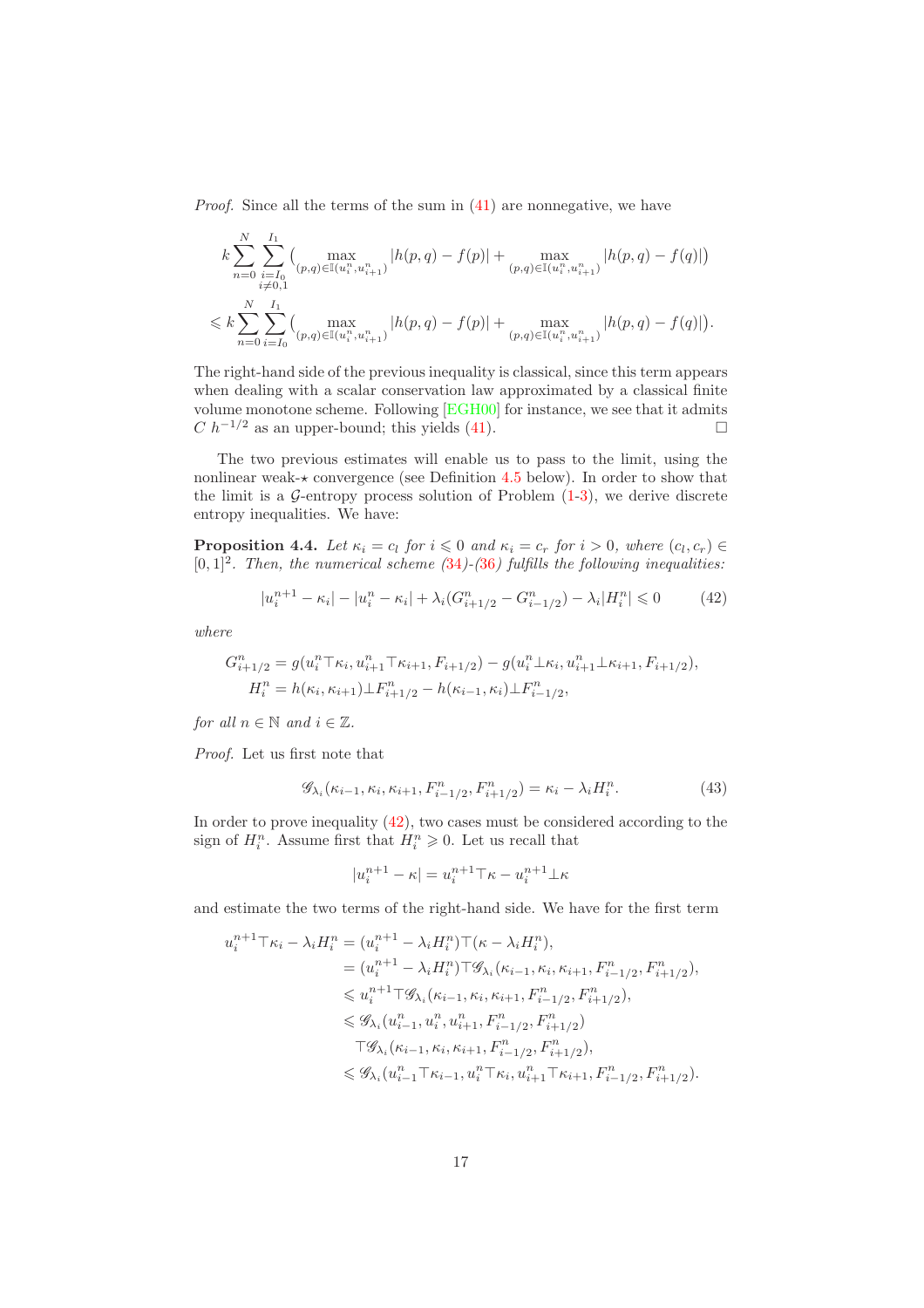*Proof.* Since all the terms of the sum in  $(41)$  are nonnegative, we have

$$
k \sum_{n=0}^{N} \sum_{\substack{i=I_0 \\ i \neq 0,1}}^{I_1} \left( \max_{(p,q) \in \mathbb{I}(u_i^n, u_{i+1}^n)} |h(p,q) - f(p)| + \max_{(p,q) \in \mathbb{I}(u_i^n, u_{i+1}^n)} |h(p,q) - f(q)| \right)
$$
  

$$
\leq k \sum_{n=0}^{N} \sum_{i=I_0}^{I_1} \left( \max_{(p,q) \in \mathbb{I}(u_i^n, u_{i+1}^n)} |h(p,q) - f(p)| + \max_{(p,q) \in \mathbb{I}(u_i^n, u_{i+1}^n)} |h(p,q) - f(q)| \right).
$$

The right-hand side of the previous inequality is classical, since this term appears when dealing with a scalar conservation law approximated by a classical finite volume monotone scheme. Following [\[EGH00\]](#page-33-2) for instance, we see that it admits  $C h^{-1/2}$  as an upper-bound; this yields [\(41\)](#page-16-3).

The two previous estimates will enable us to pass to the limit, using the nonlinear weak- $\star$  convergence (see Definition [4.5](#page-18-1) below). In order to show that the limit is a  $\mathcal{G}\text{-entropy process solution of Problem (1-3), we derive discrete}$  $\mathcal{G}\text{-entropy process solution of Problem (1-3), we derive discrete}$  $\mathcal{G}\text{-entropy process solution of Problem (1-3), we derive discrete}$  $\mathcal{G}\text{-entropy process solution of Problem (1-3), we derive discrete}$ entropy inequalities. We have:

**Proposition 4.4.** Let  $\kappa_i = c_l$  for  $i \leq 0$  and  $\kappa_i = c_r$  for  $i > 0$ , where  $(c_l, c_r) \in$ [0, 1]<sup>2</sup> *. Then, the numerical scheme (*[34](#page-15-1)*)-(*[36](#page-15-2)*) fulfills the following inequalities:*

<span id="page-17-0"></span>
$$
|u_i^{n+1} - \kappa_i| - |u_i^n - \kappa_i| + \lambda_i (G_{i+1/2}^n - G_{i-1/2}^n) - \lambda_i |H_i^n| \leq 0
$$
 (42)

*where*

$$
G_{i+1/2}^n = g(u_i^n \top \kappa_i, u_{i+1}^n \top \kappa_{i+1}, F_{i+1/2}) - g(u_i^n \bot \kappa_i, u_{i+1}^n \bot \kappa_{i+1}, F_{i+1/2}),
$$
  
\n
$$
H_i^n = h(\kappa_i, \kappa_{i+1}) \bot F_{i+1/2}^n - h(\kappa_{i-1}, \kappa_i) \bot F_{i-1/2}^n,
$$

*for all*  $n \in \mathbb{N}$  *and*  $i \in \mathbb{Z}$ *.* 

*Proof.* Let us first note that

$$
\mathscr{G}_{\lambda_i}(\kappa_{i-1}, \kappa_i, \kappa_{i+1}, F_{i-1/2}^n, F_{i+1/2}^n) = \kappa_i - \lambda_i H_i^n.
$$
 (43)

In order to prove inequality  $(42)$ , two cases must be considered according to the sign of  $H_i^n$ . Assume first that  $H_i^n \geq 0$ . Let us recall that

$$
|u_i^{n+1} - \kappa| = u_i^{n+1} \top \kappa - u_i^{n+1} \bot \kappa
$$

and estimate the two terms of the right-hand side. We have for the first term

$$
u_i^{n+1} \top \kappa_i - \lambda_i H_i^n = (u_i^{n+1} - \lambda_i H_i^n) \top (\kappa - \lambda_i H_i^n),
$$
  
\n
$$
= (u_i^{n+1} - \lambda_i H_i^n) \top \mathcal{G}_{\lambda_i}(\kappa_{i-1}, \kappa_i, \kappa_{i+1}, F_{i-1/2}^n, F_{i+1/2}^n),
$$
  
\n
$$
\leq u_i^{n+1} \top \mathcal{G}_{\lambda_i}(\kappa_{i-1}, \kappa_i, \kappa_{i+1}, F_{i-1/2}^n, F_{i+1/2}^n),
$$
  
\n
$$
\leq \mathcal{G}_{\lambda_i} (u_{i-1}^n, u_i^n, u_{i+1}^n, F_{i-1/2}^n, F_{i+1/2}^n),
$$
  
\n
$$
\top \mathcal{G}_{\lambda_i}(\kappa_{i-1}, \kappa_i, \kappa_{i+1}, F_{i-1/2}^n, F_{i+1/2}^n),
$$
  
\n
$$
\leq \mathcal{G}_{\lambda_i} (u_{i-1}^n \top \kappa_{i-1}, u_i^n \top \kappa_i, u_{i+1}^n \top \kappa_{i+1}, F_{i-1/2}^n, F_{i+1/2}^n).
$$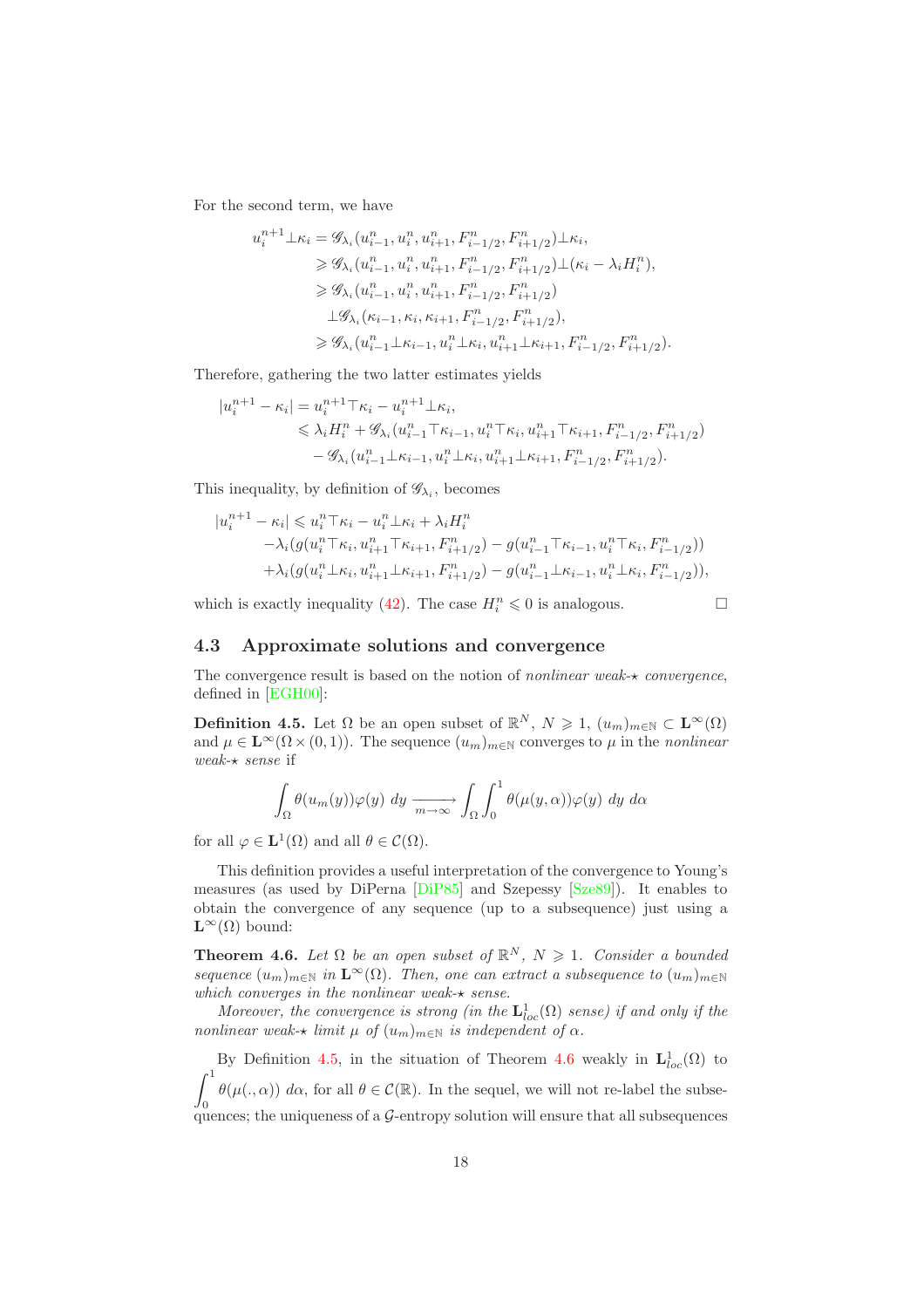For the second term, we have

$$
u_i^{n+1} \perp \kappa_i = \mathscr{G}_{\lambda_i} (u_{i-1}^n, u_i^n, u_{i+1}^n, F_{i-1/2}^n, F_{i+1/2}^n) \perp \kappa_i,
$$
  
\n
$$
\ge \mathscr{G}_{\lambda_i} (u_{i-1}^n, u_i^n, u_{i+1}^n, F_{i-1/2}^n, F_{i+1/2}^n) \perp (\kappa_i - \lambda_i H_i^n),
$$
  
\n
$$
\ge \mathscr{G}_{\lambda_i} (u_{i-1}^n, u_i^n, u_{i+1}^n, F_{i-1/2}^n, F_{i+1/2}^n)
$$
  
\n
$$
\perp \mathscr{G}_{\lambda_i} (\kappa_{i-1}, \kappa_i, \kappa_{i+1}, F_{i-1/2}^n, F_{i+1/2}^n),
$$
  
\n
$$
\ge \mathscr{G}_{\lambda_i} (u_{i-1}^n \perp \kappa_{i-1}, u_i^n \perp \kappa_i, u_{i+1}^n \perp \kappa_{i+1}, F_{i-1/2}^n, F_{i+1/2}^n).
$$

Therefore, gathering the two latter estimates yields

$$
|u_i^{n+1} - \kappa_i| = u_i^{n+1} \top \kappa_i - u_i^{n+1} \bot \kappa_i,
$$
  
\n
$$
\leq \lambda_i H_i^n + \mathcal{G}_{\lambda_i} (u_{i-1}^n \top \kappa_{i-1}, u_i^n \top \kappa_i, u_{i+1}^n \top \kappa_{i+1}, F_{i-1/2}^n, F_{i+1/2}^n)
$$
  
\n
$$
- \mathcal{G}_{\lambda_i} (u_{i-1}^n \bot \kappa_{i-1}, u_i^n \bot \kappa_i, u_{i+1}^n \bot \kappa_{i+1}, F_{i-1/2}^n, F_{i+1/2}^n).
$$

This inequality, by definition of  $\mathscr{G}_{\lambda_i}$ , becomes

$$
|u_i^{n+1} - \kappa_i| \leq u_i^n \mathsf{T} \kappa_i - u_i^n \mathsf{T} \kappa_i + \lambda_i H_i^n
$$
  
 
$$
- \lambda_i (g(u_i^n \mathsf{T} \kappa_i, u_{i+1}^n \mathsf{T} \kappa_{i+1}, F_{i+1/2}^n) - g(u_{i-1}^n \mathsf{T} \kappa_{i-1}, u_i^n \mathsf{T} \kappa_i, F_{i-1/2}^n))
$$
  
 
$$
+ \lambda_i (g(u_i^n \mathsf{T} \kappa_i, u_{i+1}^n \mathsf{T} \kappa_{i+1}, F_{i+1/2}^n) - g(u_{i-1}^n \mathsf{T} \kappa_{i-1}, u_i^n \mathsf{T} \kappa_i, F_{i-1/2}^n)),
$$

which is exactly inequality [\(42\)](#page-17-0). The case  $H_i^n \leq 0$  is analogous.

### <span id="page-18-0"></span>4.3 Approximate solutions and convergence

<span id="page-18-1"></span>The convergence result is based on the notion of *nonlinear weak-*⋆ *convergence*, defined in [\[EGH00\]](#page-33-2):

**Definition 4.5.** Let  $\Omega$  be an open subset of  $\mathbb{R}^N$ ,  $N \geq 1$ ,  $(u_m)_{m \in \mathbb{N}} \subset \mathbf{L}^{\infty}(\Omega)$ and  $\mu \in \mathbf{L}^{\infty}(\Omega \times (0, 1))$ . The sequence  $(u_m)_{m \in \mathbb{N}}$  converges to  $\mu$  in the *nonlinear weak-*⋆ *sense* if

$$
\int_{\Omega} \theta(u_m(y))\varphi(y) dy \xrightarrow[m \to \infty]{} \int_{\Omega} \int_0^1 \theta(\mu(y, \alpha))\varphi(y) dy d\alpha
$$

for all  $\varphi \in \mathbf{L}^1(\Omega)$  and all  $\theta \in \mathcal{C}(\Omega)$ .

This definition provides a useful interpretation of the convergence to Young's measures (as used by DiPerna [\[DiP85\]](#page-33-8) and Szepessy [\[Sze89\]](#page-34-4)). It enables to obtain the convergence of any sequence (up to a subsequence) just using a  $\mathbf{L}^{\infty}(\Omega)$  bound:

<span id="page-18-2"></span>**Theorem 4.6.** Let  $\Omega$  be an open subset of  $\mathbb{R}^N$ ,  $N \geq 1$ . Consider a bounded *sequence*  $(u_m)_{m \in \mathbb{N}}$  *in*  $\mathbf{L}^{\infty}(\Omega)$ *. Then, one can extract a subsequence to*  $(u_m)_{m \in \mathbb{N}}$ *which converges in the nonlinear weak-*⋆ *sense.*

*Moreover, the convergence is strong (in the*  $\mathbf{L}^1_{loc}(\Omega)$  *sense) if and only if the nonlinear weak-* $\star$  *limit*  $\mu$  *of*  $(u_m)_{m \in \mathbb{N}}$  *is independent of*  $\alpha$ *.* 

By Definition [4.5,](#page-18-1) in the situation of Theorem [4.6](#page-18-2) weakly in  $\mathbf{L}^1_{loc}(\Omega)$  to  $\int_{0}^{1} \theta(\mu(.,\alpha)) \, d\alpha$ , for all  $\theta \in \mathcal{C}(\mathbb{R})$ . In the sequel, we will not re-label the subse- $J_0$  quences; the uniqueness of a  $\mathcal G$ -entropy solution will ensure that all subsequences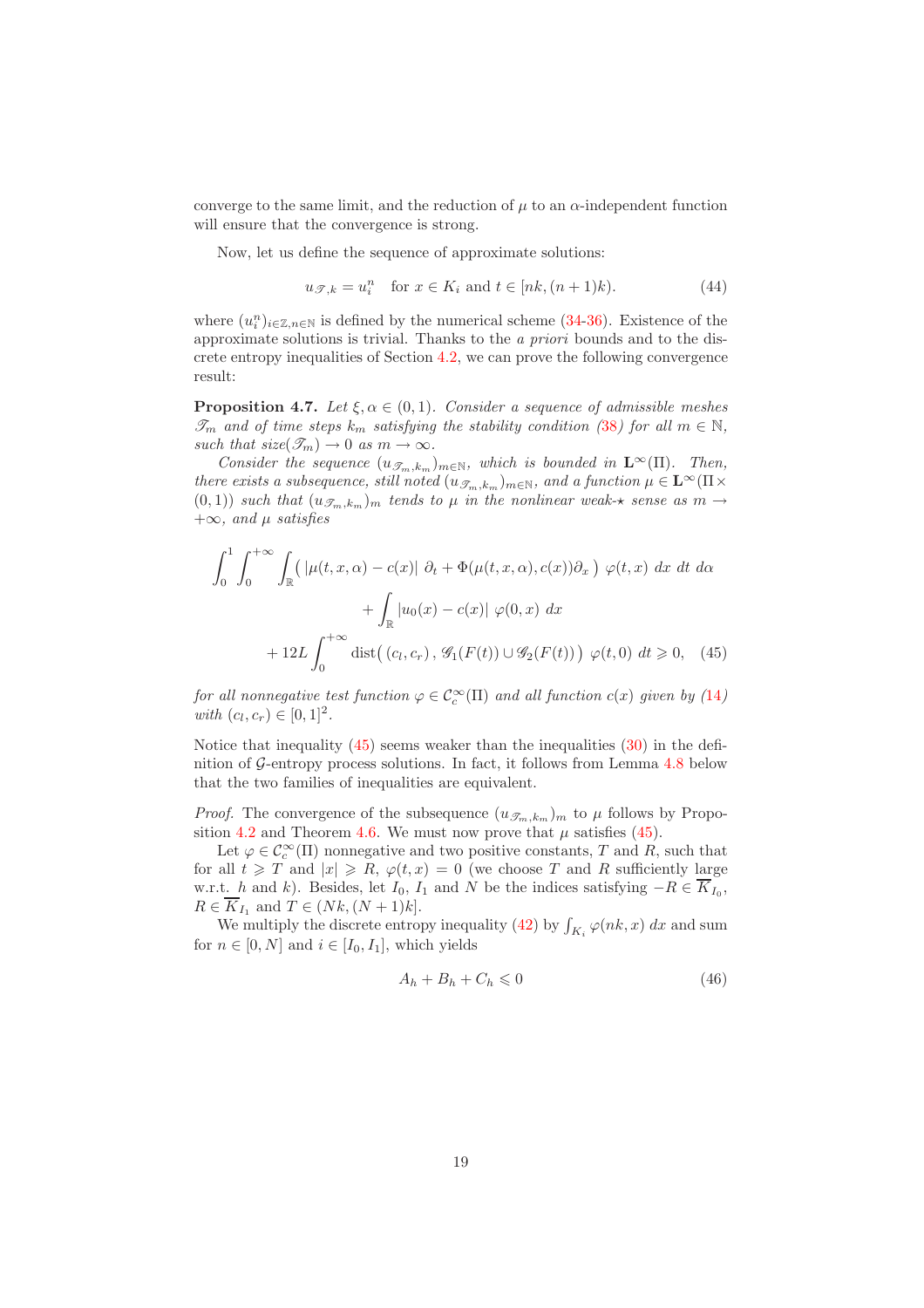converge to the same limit, and the reduction of  $\mu$  to an  $\alpha$ -independent function will ensure that the convergence is strong.

Now, let us define the sequence of approximate solutions:

$$
u_{\mathcal{T},k} = u_i^n \quad \text{for } x \in K_i \text{ and } t \in [nk, (n+1)k). \tag{44}
$$

where  $(u_i^n)_{i\in\mathbb{Z},n\in\mathbb{N}}$  is defined by the numerical scheme [\(34-](#page-15-1)[36\)](#page-15-2). Existence of the approximate solutions is trivial. Thanks to the *a priori* bounds and to the discrete entropy inequalities of Section [4.2,](#page-16-0) we can prove the following convergence result:

<span id="page-19-2"></span>**Proposition 4.7.** *Let*  $\xi, \alpha \in (0, 1)$ *. Consider a sequence of admissible meshes*  $\mathscr{T}_m$  and of time steps  $k_m$  satisfying the stability condition ([38](#page-16-1)) for all  $m \in \mathbb{N}$ , *such that size*( $\mathscr{T}_m$ )  $\to$  0 *as*  $m \to \infty$ *.* 

*Consider the sequence*  $(u_{\mathcal{F}_m,k_m})_{m\in\mathbb{N}}$ , which is bounded in  $\mathbf{L}^{\infty}(\Pi)$ . Then, *there exists a subsequence, still noted*  $(u_{\mathcal{F}_m,k_m})_{m\in\mathbb{N}}$ *, and a function*  $\mu \in \mathbf{L}^{\infty}(\Pi \times$  $(0, 1)$ ) *such that*  $(u_{\mathscr{T}_m,k_m})_m$  *tends to*  $\mu$  *in the nonlinear weak-* $\star$  *sense as*  $m \rightarrow$ +∞*, and* µ *satisfies*

$$
\int_0^1 \int_0^{+\infty} \int_{\mathbb{R}} \left( |\mu(t, x, \alpha) - c(x)| \partial_t + \Phi(\mu(t, x, \alpha), c(x)) \partial_x \right) \varphi(t, x) dx dt d\alpha
$$

$$
+ \int_{\mathbb{R}} |u_0(x) - c(x)| \varphi(0, x) dx
$$

$$
+ 12L \int_0^{+\infty} \text{dist}((c_l, c_r), \mathcal{G}_1(F(t)) \cup \mathcal{G}_2(F(t))) \varphi(t, 0) dt \ge 0, \quad (45)
$$

*for all nonnegative test function*  $\varphi \in C_c^{\infty}(\Pi)$  *and all function*  $c(x)$  *given by* ([14](#page-7-0))  $with (c_l, c_r) \in [0, 1]^2.$ 

Notice that inequality  $(45)$  seems weaker than the inequalities  $(30)$  in the definition of  $\mathcal{G}\text{-entropy process solutions.}$  In fact, it follows from Lemma [4.8](#page-23-0) below that the two families of inequalities are equivalent.

*Proof.* The convergence of the subsequence  $(u_{\mathcal{F}_m,k_m})_m$  to  $\mu$  follows by Propo-sition [4.2](#page-16-4) and Theorem [4.6.](#page-18-2) We must now prove that  $\mu$  satisfies [\(45\)](#page-19-0).

Let  $\varphi \in C_c^{\infty}(\Pi)$  nonnegative and two positive constants, T and R, such that for all  $t \geqslant T$  and  $|x| \geqslant R$ ,  $\varphi(t,x) = 0$  (we choose T and R sufficiently large w.r.t. h and k). Besides, let  $I_0$ ,  $I_1$  and N be the indices satisfying  $-R \in K_{I_0}$ ,  $R \in \overline{K}_{I_1}$  and  $T \in (Nk, (N+1)k]$ .

We multiply the discrete entropy inequality [\(42\)](#page-17-0) by  $\int_{K_i} \varphi(nk, x) dx$  and sum for  $n \in [0, N]$  and  $i \in [I_0, I_1]$ , which yields

<span id="page-19-1"></span><span id="page-19-0"></span>
$$
A_h + B_h + C_h \leqslant 0 \tag{46}
$$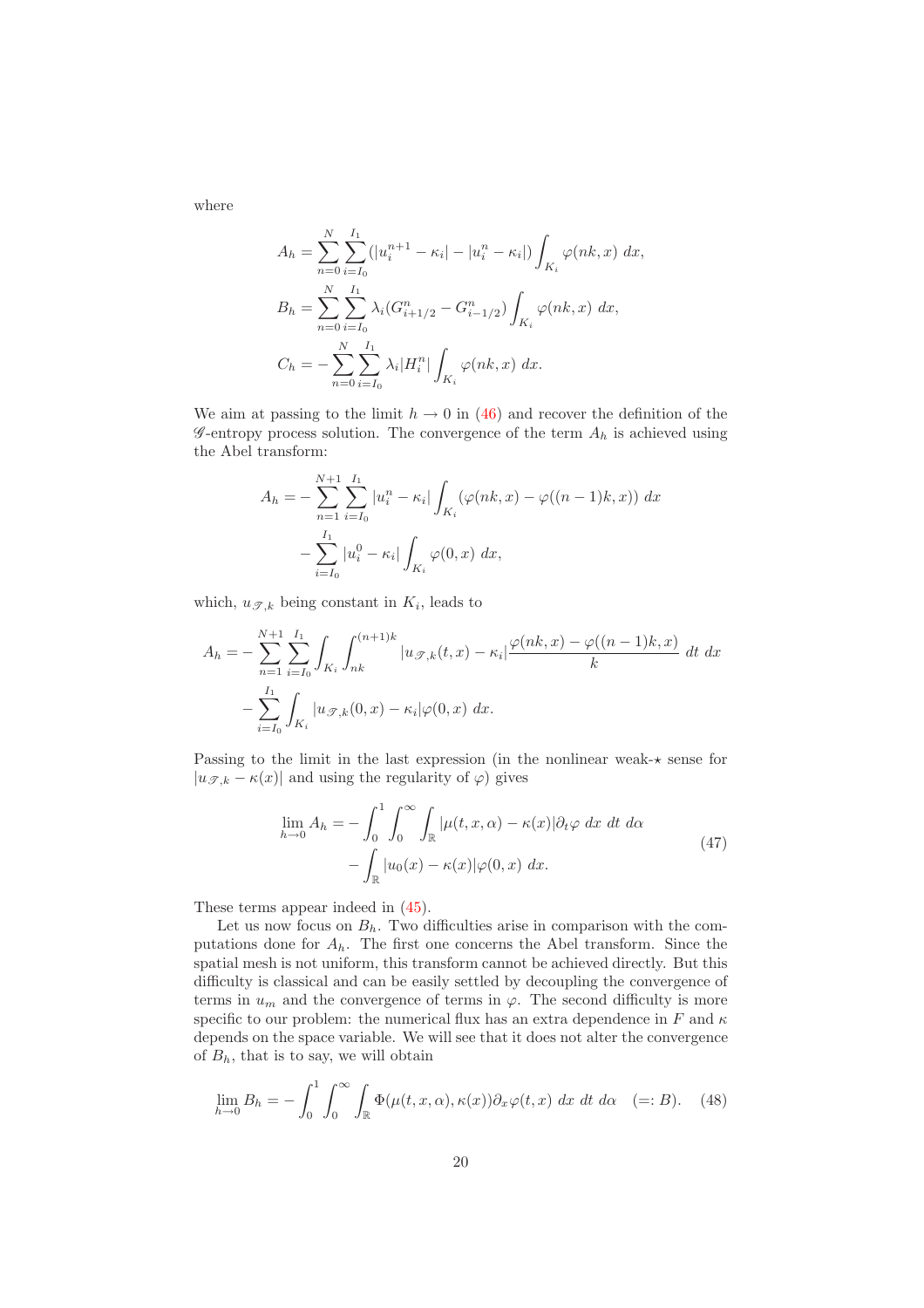where

$$
A_h = \sum_{n=0}^{N} \sum_{i=I_0}^{I_1} (|u_i^{n+1} - \kappa_i| - |u_i^n - \kappa_i|) \int_{K_i} \varphi(nk, x) dx,
$$
  
\n
$$
B_h = \sum_{n=0}^{N} \sum_{i=I_0}^{I_1} \lambda_i (G_{i+1/2}^n - G_{i-1/2}^n) \int_{K_i} \varphi(nk, x) dx,
$$
  
\n
$$
C_h = - \sum_{n=0}^{N} \sum_{i=I_0}^{I_1} \lambda_i |H_i^n| \int_{K_i} \varphi(nk, x) dx.
$$

We aim at passing to the limit  $h \to 0$  in [\(46\)](#page-19-1) and recover the definition of the  $\mathscr{G}$ -entropy process solution. The convergence of the term  $A_h$  is achieved using the Abel transform:

$$
A_h = -\sum_{n=1}^{N+1} \sum_{i=I_0}^{I_1} |u_i^n - \kappa_i| \int_{K_i} (\varphi(nk, x) - \varphi((n-1)k, x)) dx
$$
  

$$
-\sum_{i=I_0}^{I_1} |u_i^0 - \kappa_i| \int_{K_i} \varphi(0, x) dx,
$$

which,  $u_{\mathscr{T},k}$  being constant in  $K_i$ , leads to

$$
A_h = -\sum_{n=1}^{N+1} \sum_{i=I_0}^{I_1} \int_{K_i} \int_{nk}^{(n+1)k} |u_{\mathcal{F},k}(t,x) - \kappa_i| \frac{\varphi(nk,x) - \varphi((n-1)k,x)}{k} dt dx
$$
  

$$
-\sum_{i=I_0}^{I_1} \int_{K_i} |u_{\mathcal{F},k}(0,x) - \kappa_i| \varphi(0,x) dx.
$$

Passing to the limit in the last expression (in the nonlinear weak- $\star$  sense for  $|u_{\mathscr{T},k} - \kappa(x)|$  and using the regularity of  $\varphi$ ) gives

$$
\lim_{h \to 0} A_h = -\int_0^1 \int_0^\infty \int_{\mathbb{R}} |\mu(t, x, \alpha) - \kappa(x)| \partial_t \varphi \, dx \, dt \, d\alpha
$$
\n
$$
- \int_{\mathbb{R}} |u_0(x) - \kappa(x)| \varphi(0, x) \, dx. \tag{47}
$$

These terms appear indeed in [\(45\)](#page-19-0).

Let us now focus on  $B_h$ . Two difficulties arise in comparison with the computations done for  $A_h$ . The first one concerns the Abel transform. Since the spatial mesh is not uniform, this transform cannot be achieved directly. But this difficulty is classical and can be easily settled by decoupling the convergence of terms in  $u_m$  and the convergence of terms in  $\varphi$ . The second difficulty is more specific to our problem: the numerical flux has an extra dependence in F and  $\kappa$ depends on the space variable. We will see that it does not alter the convergence of  $B_h$ , that is to say, we will obtain

<span id="page-20-0"></span>
$$
\lim_{h \to 0} B_h = -\int_0^1 \int_0^\infty \int_{\mathbb{R}} \Phi(\mu(t, x, \alpha), \kappa(x)) \partial_x \varphi(t, x) \, dx \, dt \, d\alpha \quad (= : B). \tag{48}
$$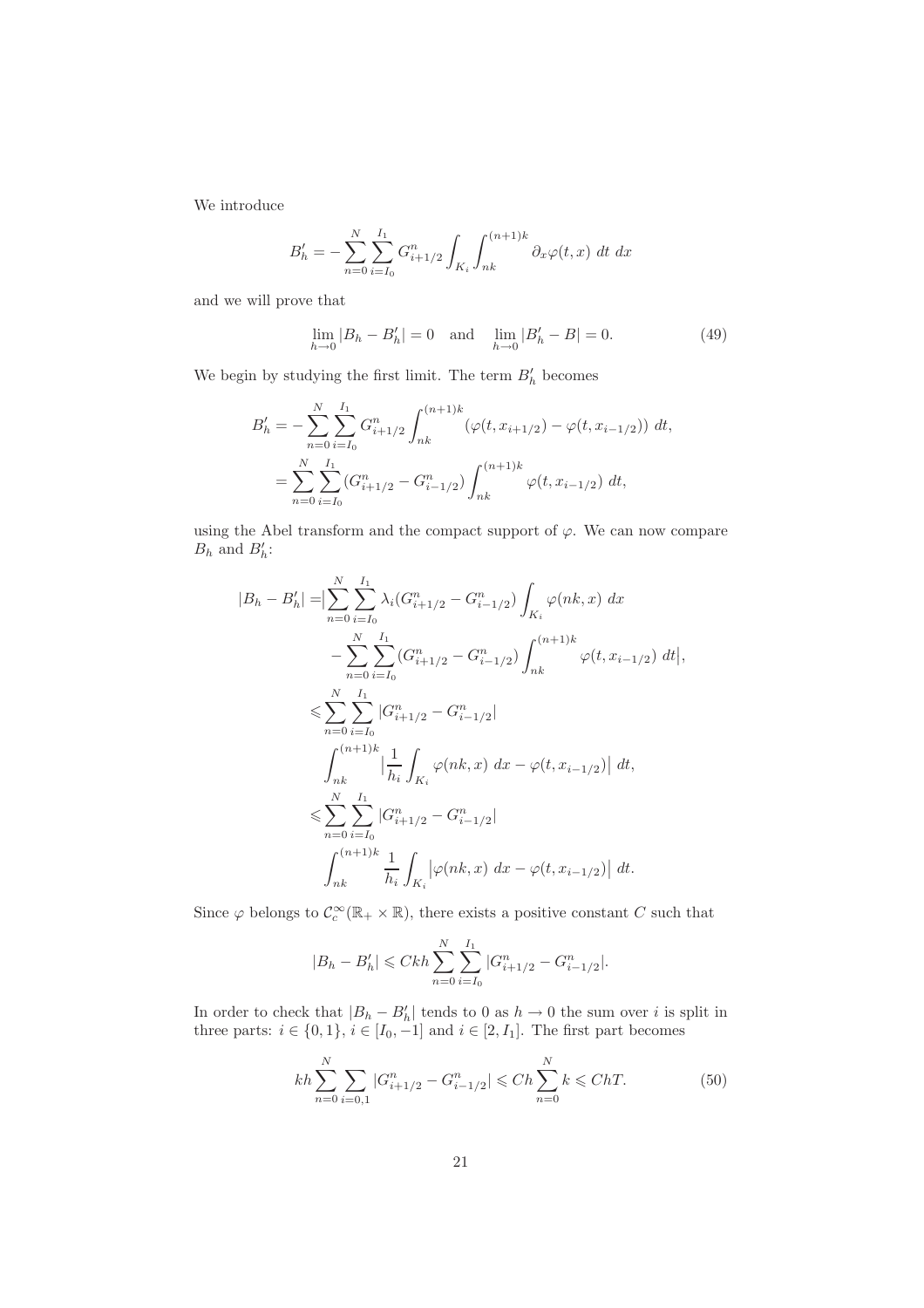We introduce

$$
B'_{h} = -\sum_{n=0}^{N} \sum_{i=I_0}^{I_1} G_{i+1/2}^{n} \int_{K_i} \int_{nk}^{(n+1)k} \partial_x \varphi(t, x) dt dx
$$

and we will prove that

<span id="page-21-1"></span>
$$
\lim_{h \to 0} |B_h - B'_h| = 0 \text{ and } \lim_{h \to 0} |B'_h - B| = 0.
$$
 (49)

We begin by studying the first limit. The term  $B_{h}^{\prime}$  becomes

$$
B'_{h} = -\sum_{n=0}^{N} \sum_{i=I_{0}}^{I_{1}} G_{i+1/2}^{n} \int_{nk}^{(n+1)k} (\varphi(t, x_{i+1/2}) - \varphi(t, x_{i-1/2})) dt,
$$
  

$$
= \sum_{n=0}^{N} \sum_{i=I_{0}}^{I_{1}} (G_{i+1/2}^{n} - G_{i-1/2}^{n}) \int_{nk}^{(n+1)k} \varphi(t, x_{i-1/2}) dt,
$$

using the Abel transform and the compact support of  $\varphi$ . We can now compare  $B_h$  and  $B'_h$ :

$$
|B_{h} - B'_{h}| = \Big| \sum_{n=0}^{N} \sum_{i=I_{0}}^{I_{1}} \lambda_{i} (G_{i+1/2}^{n} - G_{i-1/2}^{n}) \int_{K_{i}} \varphi(nk, x) dx
$$
  

$$
- \sum_{n=0}^{N} \sum_{i=I_{0}}^{I_{1}} (G_{i+1/2}^{n} - G_{i-1/2}^{n}) \int_{nk}^{(n+1)k} \varphi(t, x_{i-1/2}) dt \Big|,
$$
  

$$
\leqslant \sum_{n=0}^{N} \sum_{i=I_{0}}^{I_{1}} |G_{i+1/2}^{n} - G_{i-1/2}^{n}|
$$
  

$$
\int_{nk}^{(n+1)k} \Big| \frac{1}{h_{i}} \int_{K_{i}} \varphi(nk, x) dx - \varphi(t, x_{i-1/2}) dt \Big|,
$$
  

$$
\leqslant \sum_{n=0}^{N} \sum_{i=I_{0}}^{I_{1}} |G_{i+1/2}^{n} - G_{i-1/2}^{n}|
$$
  

$$
\int_{nk}^{(n+1)k} \frac{1}{h_{i}} \int_{K_{i}} |\varphi(nk, x) dx - \varphi(t, x_{i-1/2})| dt.
$$

Since  $\varphi$  belongs to  $\mathcal{C}_c^{\infty}(\mathbb{R}_+ \times \mathbb{R})$ , there exists a positive constant C such that

$$
|B_h - B'_h| \leqslant Ckh \sum_{n=0}^{N} \sum_{i=I_0}^{I_1} |G_{i+1/2}^n - G_{i-1/2}^n|.
$$

In order to check that  $|B_h - B'_h|$  tends to 0 as  $h \to 0$  the sum over i is split in three parts:  $i \in \{0, 1\}, i \in [I_0, -1]$  and  $i \in [2, I_1]$ . The first part becomes

<span id="page-21-0"></span>
$$
kh\sum_{n=0}^{N}\sum_{i=0,1}|G_{i+1/2}^{n}-G_{i-1/2}^{n}| \leqslant Ch\sum_{n=0}^{N}k \leqslant ChT.
$$
 (50)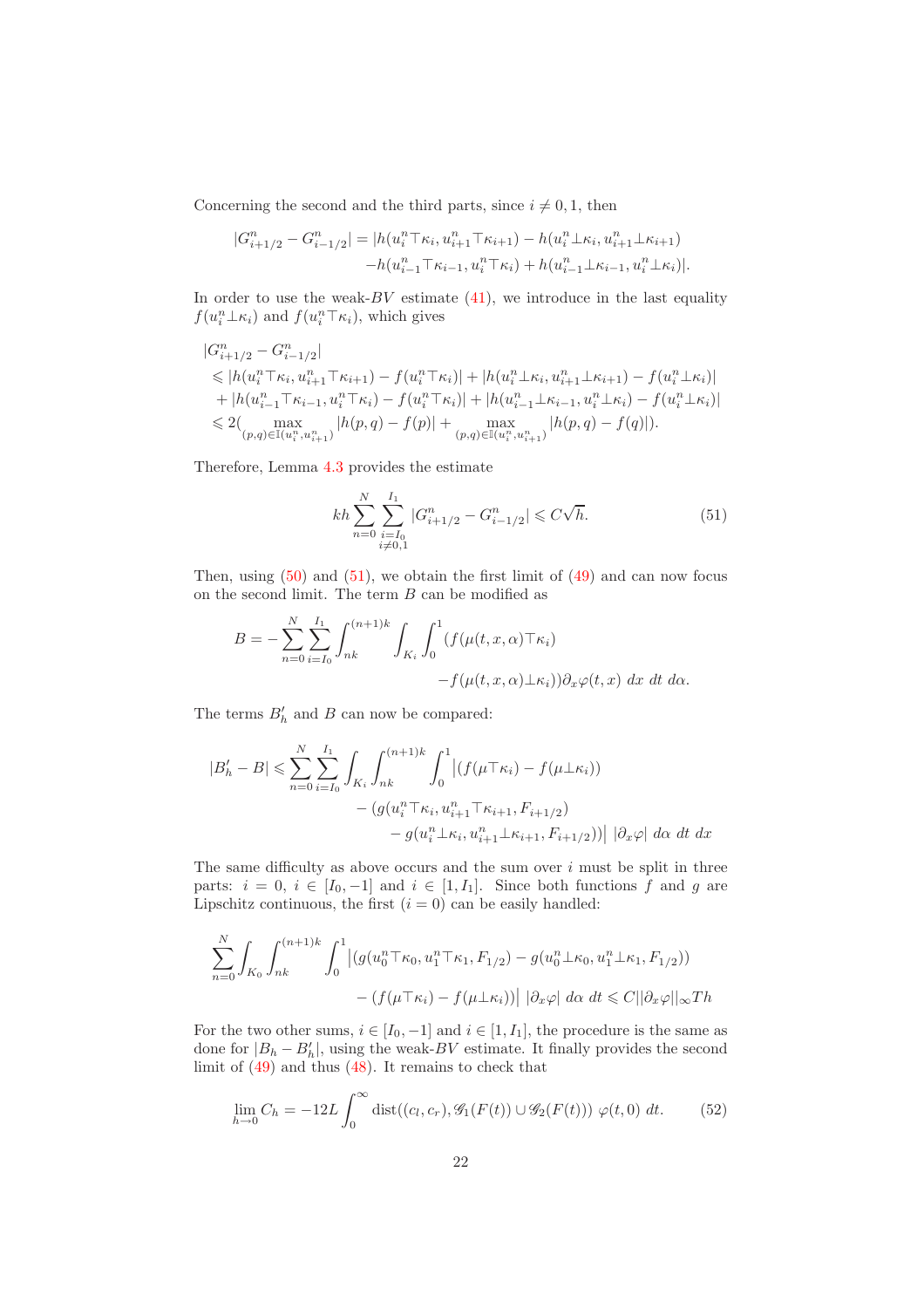Concerning the second and the third parts, since  $i \neq 0, 1$ , then

$$
|G_{i+1/2}^n - G_{i-1/2}^n| = |h(u_i^n \top \kappa_i, u_{i+1}^n \top \kappa_{i+1}) - h(u_i^n \bot \kappa_i, u_{i+1}^n \bot \kappa_{i+1}) -h(u_{i-1}^n \top \kappa_{i-1}, u_i^n \top \kappa_i) + h(u_{i-1}^n \bot \kappa_{i-1}, u_i^n \bot \kappa_i)|.
$$

In order to use the weak- $BV$  estimate [\(41\)](#page-16-3), we introduce in the last equality  $f(u_i^n \perp \kappa_i)$  and  $f(u_i^n \top \kappa_i)$ , which gives

$$
|G_{i+1/2}^{n} - G_{i-1/2}^{n}|
$$
  
\n
$$
\leq |h(u_i^n \top \kappa_i, u_{i+1}^n \top \kappa_{i+1}) - f(u_i^n \top \kappa_i)| + |h(u_i^n \bot \kappa_i, u_{i+1}^n \bot \kappa_{i+1}) - f(u_i^n \bot \kappa_i)|
$$
  
\n
$$
+ |h(u_{i-1}^n \top \kappa_{i-1}, u_i^n \top \kappa_i) - f(u_i^n \top \kappa_i)| + |h(u_{i-1}^n \bot \kappa_{i-1}, u_i^n \bot \kappa_i) - f(u_i^n \bot \kappa_i)|
$$
  
\n
$$
\leq 2(\max_{(p,q) \in \mathbb{I}(u_i^n, u_{i+1}^n)} |h(p,q) - f(p)| + \max_{(p,q) \in \mathbb{I}(u_i^n, u_{i+1}^n)} |h(p,q) - f(q)|).
$$

Therefore, Lemma [4.3](#page-16-5) provides the estimate

<span id="page-22-0"></span>
$$
kh\sum_{n=0}^{N}\sum_{\substack{i=I_0\\i\neq 0,1}}^{I_1}|G_{i+1/2}^n - G_{i-1/2}^n| \leqslant C\sqrt{h}.\tag{51}
$$

Then, using  $(50)$  and  $(51)$ , we obtain the first limit of  $(49)$  and can now focus on the second limit. The term  ${\cal B}$  can be modified as

$$
B = -\sum_{n=0}^{N} \sum_{i=I_0}^{I_1} \int_{nk}^{(n+1)k} \int_{K_i} \int_0^1 (f(\mu(t, x, \alpha) \top \kappa_i) -f(\mu(t, x, \alpha) \bot \kappa_i)) \partial_x \varphi(t, x) dx dt d\alpha.
$$

The terms  $B'_h$  and B can now be compared:

$$
|B'_{h} - B| \leqslant \sum_{n=0}^{N} \sum_{i=I_0}^{I_1} \int_{K_i} \int_{nk}^{(n+1)k} \int_0^1 \left| (f(\mu \top \kappa_i) - f(\mu \bot \kappa_i)) \right|
$$

$$
- (g(u_i^n \top \kappa_i, u_{i+1}^n \top \kappa_{i+1}, F_{i+1/2}) - g(u_i^n \bot \kappa_i, u_{i+1}^n \bot \kappa_{i+1}, F_{i+1/2})) \right| |\partial_x \varphi| d\alpha dt dx
$$

The same difficulty as above occurs and the sum over  $i$  must be split in three parts:  $i = 0, i \in [I_0, -1]$  and  $i \in [1, I_1]$ . Since both functions f and g are Lipschitz continuous, the first  $(i = 0)$  can be easily handled:

$$
\sum_{n=0}^{N} \int_{K_0} \int_{nk}^{(n+1)k} \int_0^1 \left| \left( g(u_0^n \top \kappa_0, u_1^n \top \kappa_1, F_{1/2}) - g(u_0^n \bot \kappa_0, u_1^n \bot \kappa_1, F_{1/2}) \right) \right|
$$

$$
- \left( f(\mu \top \kappa_i) - f(\mu \bot \kappa_i) \right) \left| \partial_x \varphi \right| d\alpha \, dt \leq C \|\partial_x \varphi\|_{\infty} Th
$$

For the two other sums,  $i \in [I_0, -1]$  and  $i \in [1, I_1]$ , the procedure is the same as done for  $|B_h - B'_h|$ , using the weak-BV estimate. It finally provides the second limit of [\(49\)](#page-21-1) and thus [\(48\)](#page-20-0). It remains to check that

$$
\lim_{h \to 0} C_h = -12L \int_0^\infty \text{dist}((c_l, c_r), \mathcal{G}_1(F(t)) \cup \mathcal{G}_2(F(t))) \varphi(t, 0) dt. \tag{52}
$$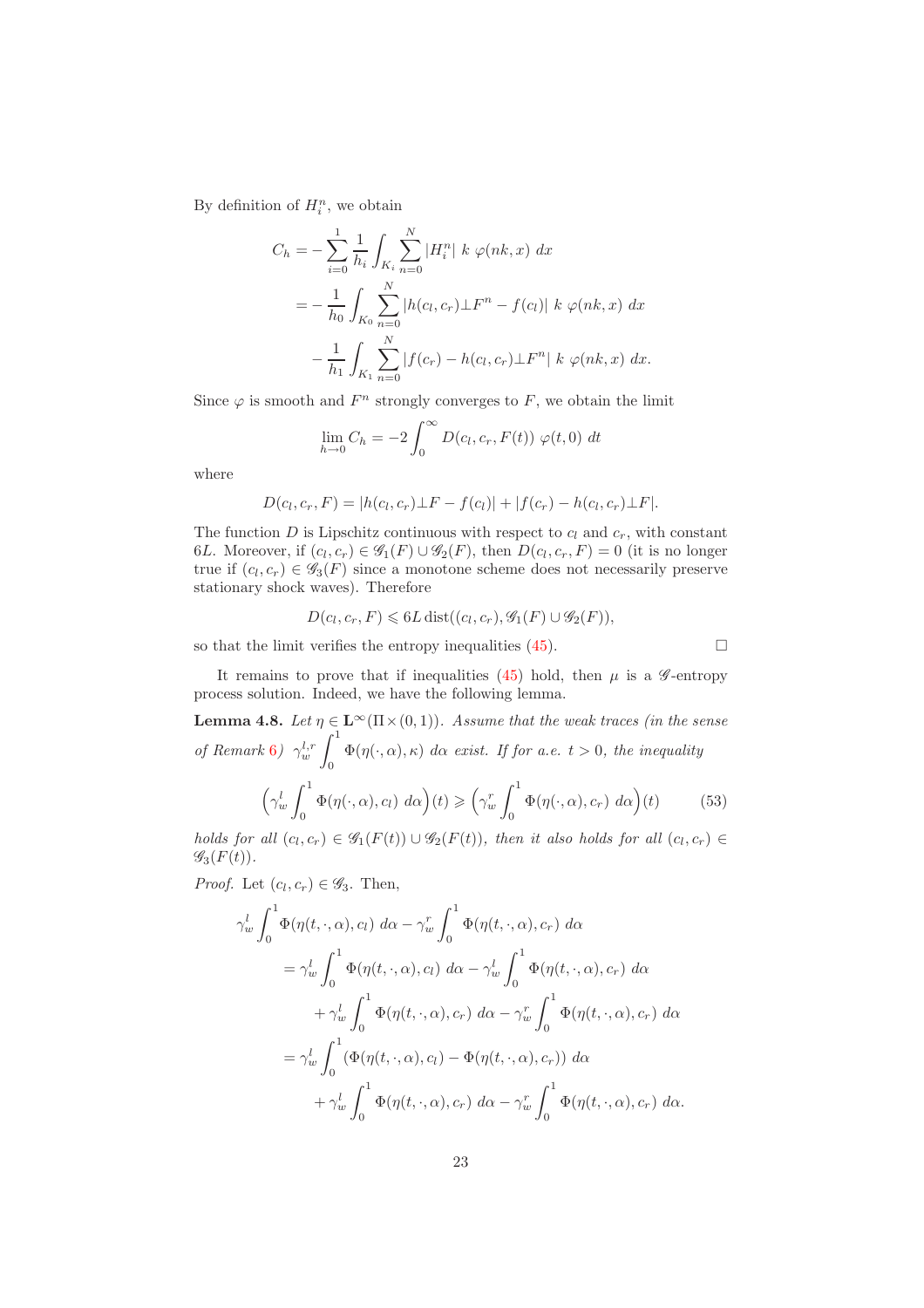By definition of  $H_i^n$ , we obtain

$$
C_h = -\sum_{i=0}^{1} \frac{1}{h_i} \int_{K_i} \sum_{n=0}^{N} |H_i^n| k \varphi(nk, x) dx
$$
  
= 
$$
- \frac{1}{h_0} \int_{K_0} \sum_{n=0}^{N} |h(c_l, c_r) \perp F^n - f(c_l)| k \varphi(nk, x) dx
$$
  

$$
- \frac{1}{h_1} \int_{K_1} \sum_{n=0}^{N} |f(c_r) - h(c_l, c_r) \perp F^n| k \varphi(nk, x) dx.
$$

Since  $\varphi$  is smooth and  $F^n$  strongly converges to F, we obtain the limit

$$
\lim_{h \to 0} C_h = -2 \int_0^\infty D(c_l, c_r, F(t)) \varphi(t, 0) dt
$$

where

$$
D(c_l, c_r, F) = |h(c_l, c_r) \perp F - f(c_l)| + |f(c_r) - h(c_l, c_r) \perp F|.
$$

The function  $D$  is Lipschitz continuous with respect to  $c_l$  and  $c_r$ , with constant 6L. Moreover, if  $(c_l, c_r) \in \mathscr{G}_1(F) \cup \mathscr{G}_2(F)$ , then  $D(c_l, c_r, F) = 0$  (it is no longer true if  $(c_l, c_r) \in \mathscr{G}_3(F)$  since a monotone scheme does not necessarily preserve stationary shock waves). Therefore

$$
D(c_l, c_r, F) \leqslant 6L \operatorname{dist}((c_l, c_r), \mathscr{G}_1(F) \cup \mathscr{G}_2(F)),
$$

so that the limit verifies the entropy inequalities [\(45\)](#page-19-0).

$$
\Box
$$

<span id="page-23-0"></span>It remains to prove that if inequalities [\(45\)](#page-19-0) hold, then  $\mu$  is a  $\mathscr{G}$ -entropy process solution. Indeed, we have the following lemma.

**Lemma 4.8.** *Let*  $\eta \in L^{\infty}(\Pi \times (0, 1))$ *. Assume that the weak traces (in the sense of Remark* [6](#page-13-1)*)*  $\gamma_w^{l,r}$   $\int_0^1$  $\Phi(\eta(\cdot,\alpha),\kappa)$  d $\alpha$  *exist. If for a.e.*  $t > 0$ *, the inequality* 

<span id="page-23-1"></span>
$$
\left(\gamma_w^l \int_0^1 \Phi(\eta(\cdot,\alpha),c_l) \, d\alpha\right)(t) \geqslant \left(\gamma_w^r \int_0^1 \Phi(\eta(\cdot,\alpha),c_r) \, d\alpha\right)(t) \tag{53}
$$

*holds for all*  $(c_l, c_r) \in \mathscr{G}_1(F(t)) \cup \mathscr{G}_2(F(t))$ , then it also holds for all  $(c_l, c_r) \in$  $\mathscr{G}_3(F(t))$ .

*Proof.* Let  $(c_l, c_r) \in \mathscr{G}_3$ . Then,

$$
\gamma_w^l \int_0^1 \Phi(\eta(t,\cdot,\alpha),c_l) \,d\alpha - \gamma_w^r \int_0^1 \Phi(\eta(t,\cdot,\alpha),c_r) \,d\alpha
$$
  
=  $\gamma_w^l \int_0^1 \Phi(\eta(t,\cdot,\alpha),c_l) \,d\alpha - \gamma_w^l \int_0^1 \Phi(\eta(t,\cdot,\alpha),c_r) \,d\alpha$   
+  $\gamma_w^l \int_0^1 \Phi(\eta(t,\cdot,\alpha),c_r) \,d\alpha - \gamma_w^r \int_0^1 \Phi(\eta(t,\cdot,\alpha),c_r) \,d\alpha$   
=  $\gamma_w^l \int_0^1 (\Phi(\eta(t,\cdot,\alpha),c_l) - \Phi(\eta(t,\cdot,\alpha),c_r)) \,d\alpha$   
+  $\gamma_w^l \int_0^1 \Phi(\eta(t,\cdot,\alpha),c_r) \,d\alpha - \gamma_w^r \int_0^1 \Phi(\eta(t,\cdot,\alpha),c_r) \,d\alpha.$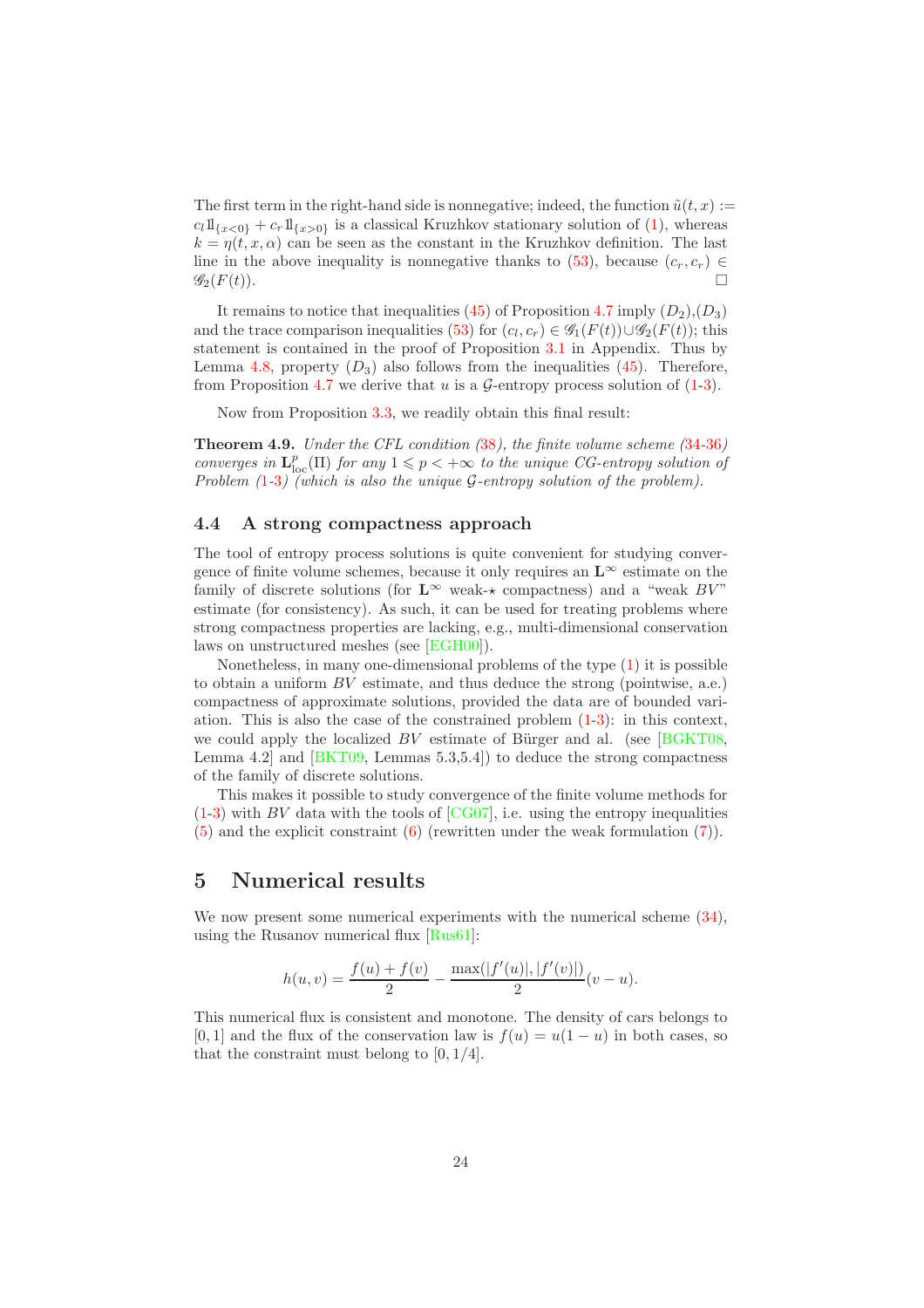The first term in the right-hand side is nonnegative; indeed, the function  $\tilde{u}(t, x) :=$  $c_l 1\!\mathrm{l}_{\{x<0\}} + c_r 1\!\mathrm{l}_{\{x>0\}}$  is a classical Kruzhkov stationary solution of [\(1\)](#page-2-1), whereas  $k = \eta(t, x, \alpha)$  can be seen as the constant in the Kruzhkov definition. The last line in the above inequality is nonnegative thanks to [\(53\)](#page-23-1), because  $(c_r, c_r) \in \mathscr{G}_2(F(t))$ .  $\mathscr{G}_2(F(t))$ .

It remains to notice that inequalities [\(45\)](#page-19-0) of Proposition [4.7](#page-19-2) imply  $(D_2), (D_3)$ and the trace comparison inequalities [\(53\)](#page-23-1) for  $(c_l, c_r) \in \mathscr{G}_1(F(t)) \cup \mathscr{G}_2(F(t))$ ; this statement is contained in the proof of Proposition [3.1](#page-12-2) in Appendix. Thus by Lemma [4.8,](#page-23-0) property  $(D_3)$  also follows from the inequalities [\(45\)](#page-19-0). Therefore, from Proposition [4.7](#page-19-2) we derive that u is a  $\mathcal{G}$ -entropy process solution of [\(1-](#page-2-1)[3\)](#page-2-2).

<span id="page-24-2"></span>Now from Proposition [3.3,](#page-14-3) we readily obtain this final result:

Theorem 4.9. *Under the CFL condition (*[38](#page-16-1)*), the finite volume scheme (*[34](#page-15-1)*-*[36](#page-15-2)*) converges in*  $\mathbf{L}_{\text{loc}}^p(\Pi)$  *for any*  $1 \leq p < +\infty$  *to the unique CG-entropy solution of Problem (*[1](#page-2-1)*-*[3](#page-2-2)*) (which is also the unique* G*-entropy solution of the problem).*

### <span id="page-24-0"></span>4.4 A strong compactness approach

The tool of entropy process solutions is quite convenient for studying convergence of finite volume schemes, because it only requires an  $\mathbf{L}^{\infty}$  estimate on the family of discrete solutions (for  $\mathbf{L}^{\infty}$  weak- $\star$  compactness) and a "weak  $BV$ " estimate (for consistency). As such, it can be used for treating problems where strong compactness properties are lacking, e.g., multi-dimensional conservation laws on unstructured meshes (see [\[EGH00\]](#page-33-2)).

Nonetheless, in many one-dimensional problems of the type [\(1\)](#page-2-1) it is possible to obtain a uniform  $BV$  estimate, and thus deduce the strong (pointwise, a.e.) compactness of approximate solutions, provided the data are of bounded variation. This is also the case of the constrained problem [\(1](#page-2-1)[-3\)](#page-2-2): in this context, we could apply the localized  $BV$  estimate of Bürger and al. (see [\[BGKT08,](#page-33-10) Lemma 4.2] and [\[BKT09,](#page-33-1) Lemmas 5.3,5.4]) to deduce the strong compactness of the family of discrete solutions.

This makes it possible to study convergence of the finite volume methods for  $(1-3)$  $(1-3)$  with BV data with the tools of  $[CG07]$ , i.e. using the entropy inequalities [\(5\)](#page-4-1) and the explicit constraint [\(6\)](#page-4-2) (rewritten under the weak formulation [\(7\)](#page-4-0)).

# <span id="page-24-1"></span>5 Numerical results

We now present some numerical experiments with the numerical scheme  $(34)$ , using the Rusanov numerical flux [\[Rus61\]](#page-34-6):

$$
h(u,v) = \frac{f(u) + f(v)}{2} - \frac{\max(|f'(u)|, |f'(v)|)}{2}(v - u).
$$

This numerical flux is consistent and monotone. The density of cars belongs to [0, 1] and the flux of the conservation law is  $f(u) = u(1 - u)$  in both cases, so that the constraint must belong to  $[0, 1/4]$ .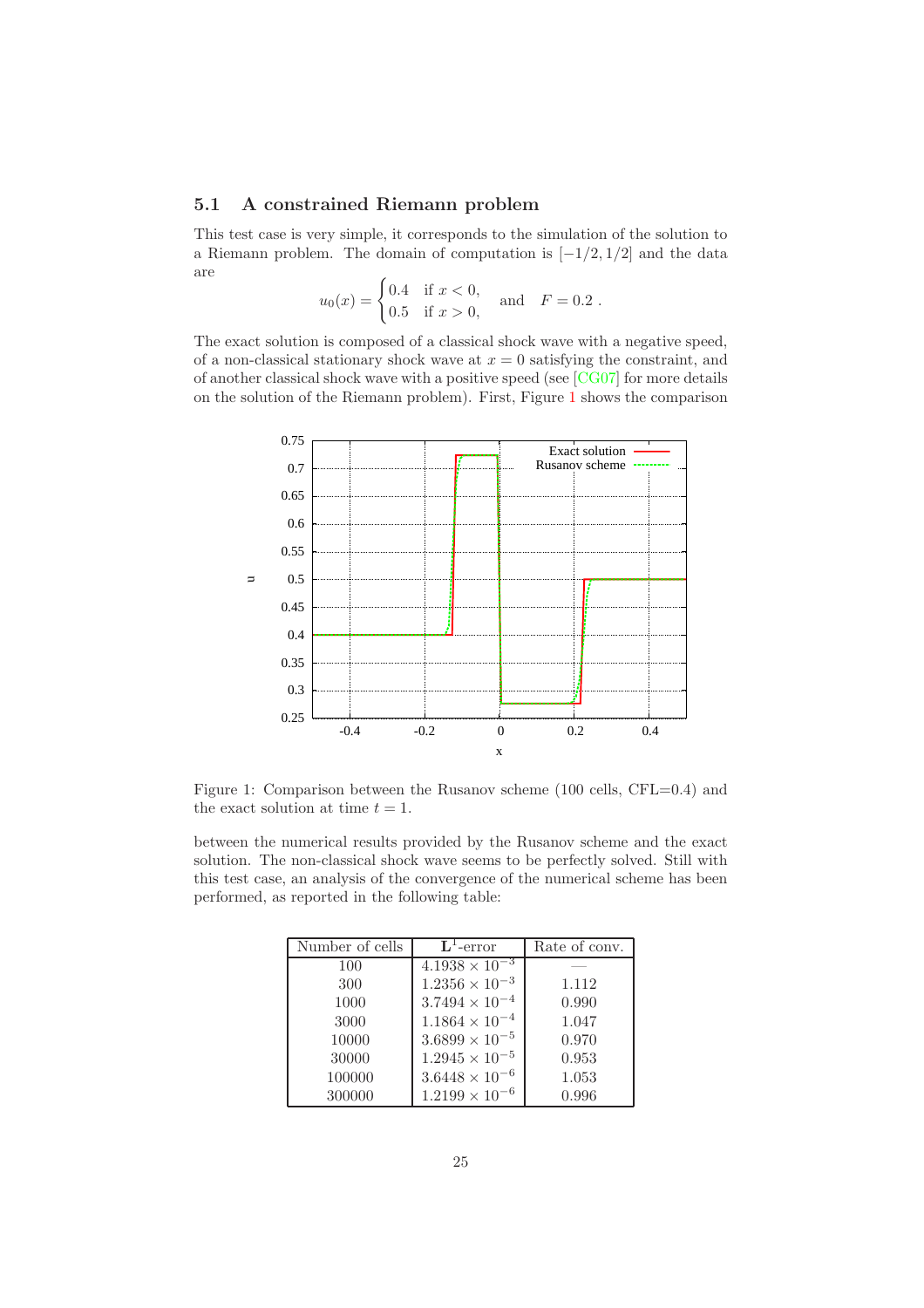### <span id="page-25-0"></span>5.1 A constrained Riemann problem

This test case is very simple, it corresponds to the simulation of the solution to a Riemann problem. The domain of computation is  $[-1/2, 1/2]$  and the data are

$$
u_0(x) = \begin{cases} 0.4 & \text{if } x < 0, \\ 0.5 & \text{if } x > 0, \end{cases} \text{ and } F = 0.2 .
$$

The exact solution is composed of a classical shock wave with a negative speed, of a non-classical stationary shock wave at  $x = 0$  satisfying the constraint, and of another classical shock wave with a positive speed (see [\[CG07\]](#page-33-0) for more details on the solution of the Riemann problem). First, Figure [1](#page-25-1) shows the comparison



<span id="page-25-1"></span>Figure 1: Comparison between the Rusanov scheme (100 cells, CFL=0.4) and the exact solution at time  $t = 1$ .

between the numerical results provided by the Rusanov scheme and the exact solution. The non-classical shock wave seems to be perfectly solved. Still with this test case, an analysis of the convergence of the numerical scheme has been performed, as reported in the following table:

| Number of cells | $L^1$ -error            | Rate of conv. |
|-----------------|-------------------------|---------------|
| 100             | $4.1938 \times 10^{-3}$ |               |
| 300             | $1.2356 \times 10^{-3}$ | 1.112         |
| 1000            | $3.7494 \times 10^{-4}$ | 0.990         |
| 3000            | $1.1864 \times 10^{-4}$ | 1.047         |
| 10000           | $3.6899 \times 10^{-5}$ | 0.970         |
| 30000           | $1.2945 \times 10^{-5}$ | 0.953         |
| 100000          | $3.6448 \times 10^{-6}$ | 1.053         |
| 300000          | $1.2199 \times 10^{-6}$ | 0.996         |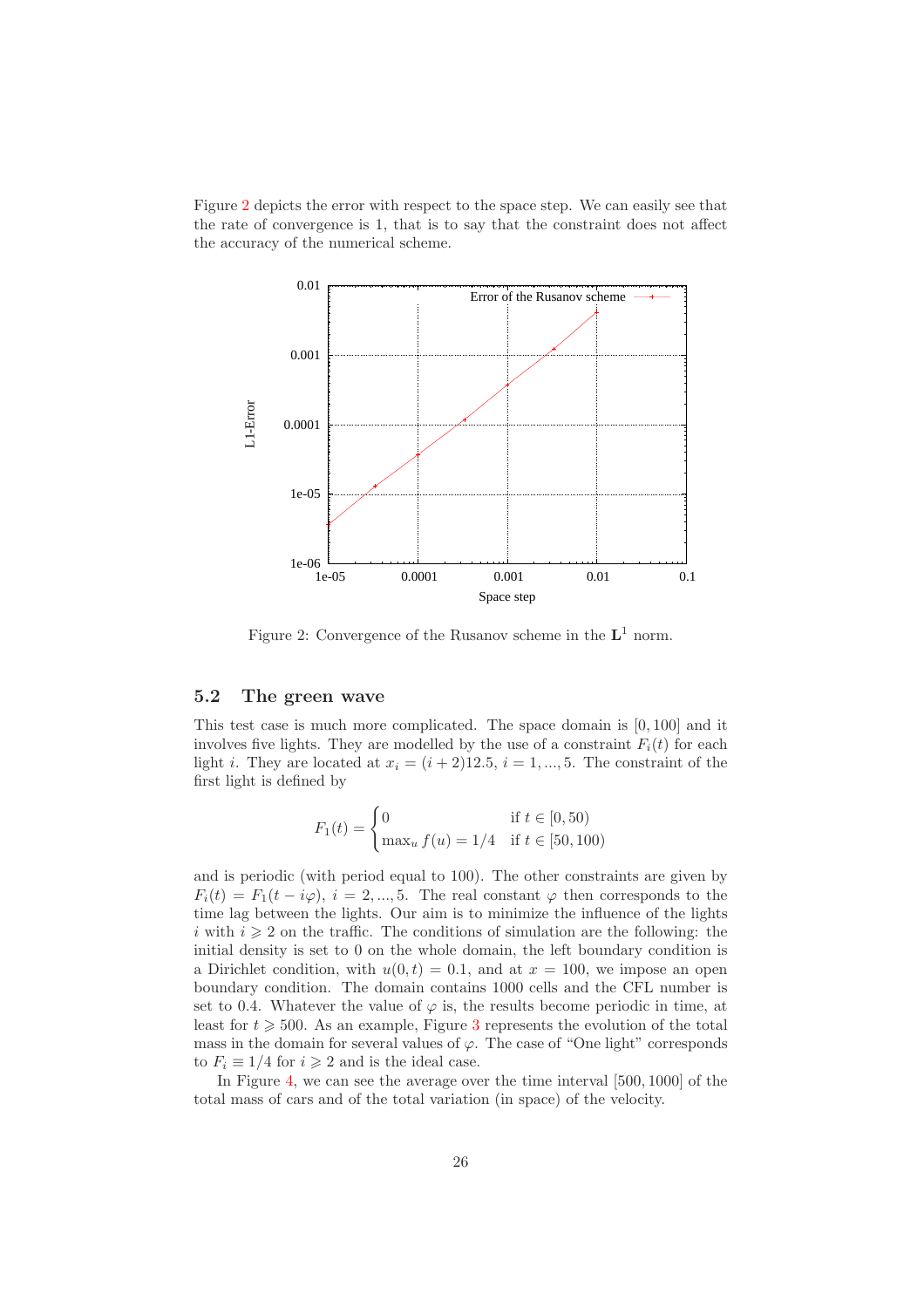Figure [2](#page-26-1) depicts the error with respect to the space step. We can easily see that the rate of convergence is 1, that is to say that the constraint does not affect the accuracy of the numerical scheme.



<span id="page-26-1"></span>Figure 2: Convergence of the Rusanov scheme in the  $L^1$  norm.

## <span id="page-26-0"></span>5.2 The green wave

This test case is much more complicated. The space domain is [0, 100] and it involves five lights. They are modelled by the use of a constraint  $F_i(t)$  for each light *i*. They are located at  $x_i = (i + 2)12.5$ ,  $i = 1, ..., 5$ . The constraint of the first light is defined by

$$
F_1(t) = \begin{cases} 0 & \text{if } t \in [0, 50) \\ \max_u f(u) = 1/4 & \text{if } t \in [50, 100) \end{cases}
$$

and is periodic (with period equal to 100). The other constraints are given by  $F_i(t) = F_1(t - i\varphi), i = 2, ..., 5$ . The real constant  $\varphi$  then corresponds to the time lag between the lights. Our aim is to minimize the influence of the lights i with  $i \geq 2$  on the traffic. The conditions of simulation are the following: the initial density is set to 0 on the whole domain, the left boundary condition is a Dirichlet condition, with  $u(0, t) = 0.1$ , and at  $x = 100$ , we impose an open boundary condition. The domain contains 1000 cells and the CFL number is set to 0.4. Whatever the value of  $\varphi$  is, the results become periodic in time, at least for  $t \geq 500$ . As an example, Figure [3](#page-27-0) represents the evolution of the total mass in the domain for several values of  $\varphi$ . The case of "One light" corresponds to  $F_i \equiv 1/4$  for  $i \geq 2$  and is the ideal case.

In Figure [4,](#page-27-1) we can see the average over the time interval [500, 1000] of the total mass of cars and of the total variation (in space) of the velocity.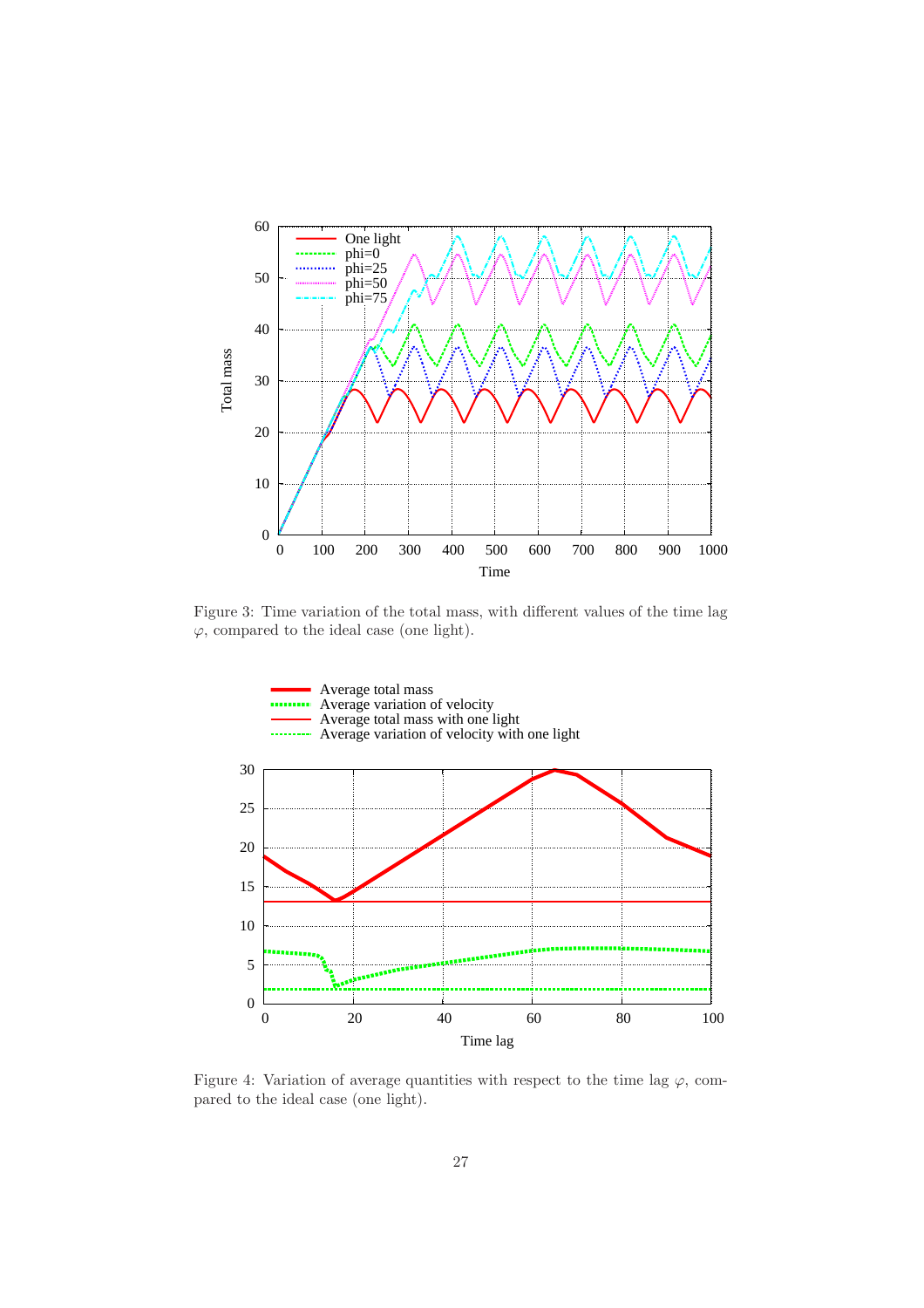

Figure 3: Time variation of the total mass, with different values of the time lag  $\varphi$ , compared to the ideal case (one light).

<span id="page-27-0"></span>

<span id="page-27-1"></span>Figure 4: Variation of average quantities with respect to the time lag  $\varphi$ , compared to the ideal case (one light).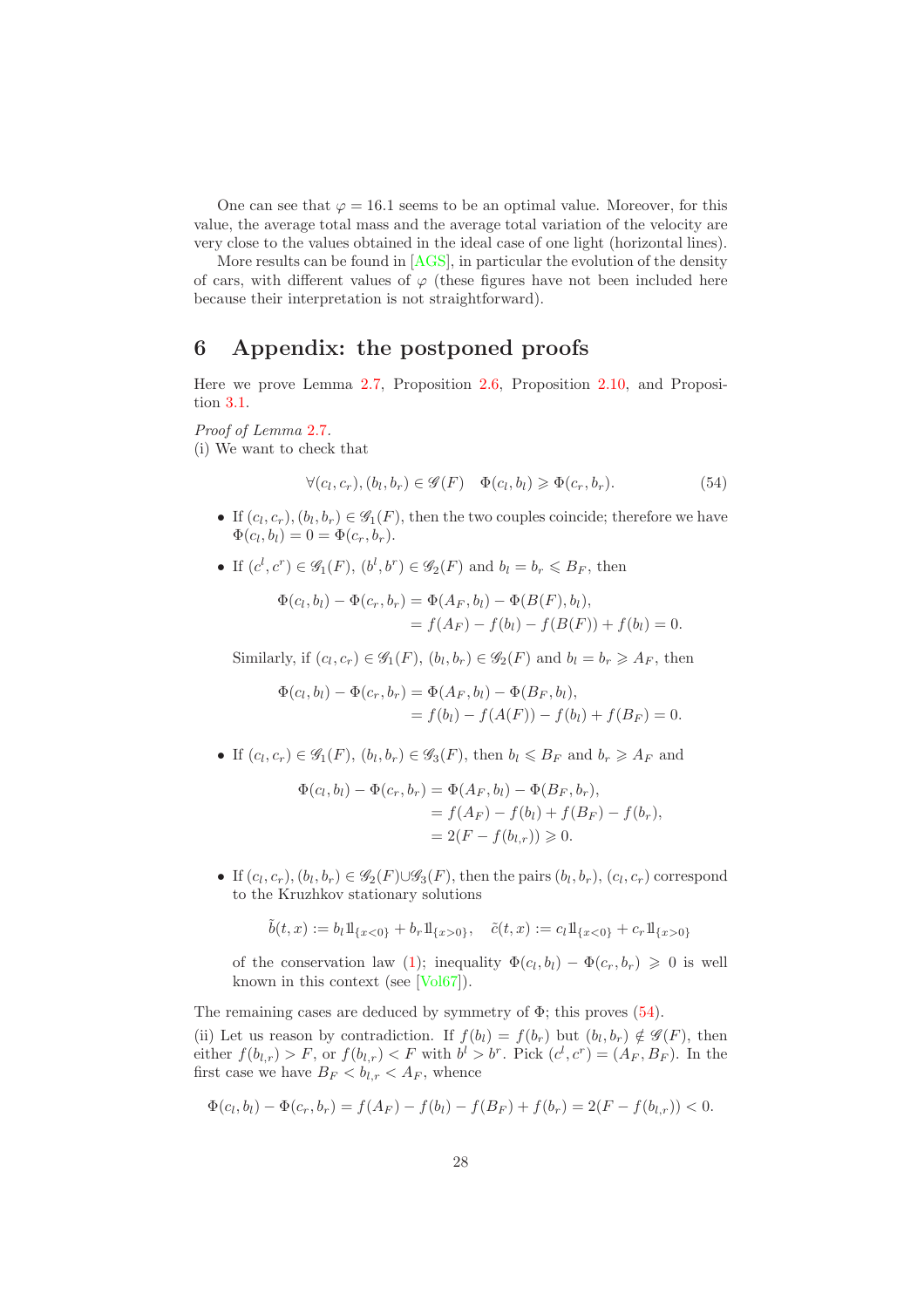One can see that  $\varphi = 16.1$  seems to be an optimal value. Moreover, for this value, the average total mass and the average total variation of the velocity are very close to the values obtained in the ideal case of one light (horizontal lines).

More results can be found in [\[AGS\]](#page-33-11), in particular the evolution of the density of cars, with different values of  $\varphi$  (these figures have not been included here because their interpretation is not straightforward).

# <span id="page-28-0"></span>6 Appendix: the postponed proofs

Here we prove Lemma [2.7,](#page-8-3) Proposition [2.6,](#page-7-1) Proposition [2.10,](#page-11-1) and Proposition [3.1.](#page-12-2)

*Proof of Lemma* [2.7](#page-8-3)*.*

(i) We want to check that

<span id="page-28-1"></span>
$$
\forall (c_l, c_r), (b_l, b_r) \in \mathscr{G}(F) \quad \Phi(c_l, b_l) \geq \Phi(c_r, b_r). \tag{54}
$$

- If  $(c_l, c_r), (b_l, b_r) \in \mathscr{G}_1(F)$ , then the two couples coincide; therefore we have  $\Phi(c_l, b_l) = 0 = \Phi(c_r, b_r).$
- If  $(c^l, c^r) \in \mathscr{G}_1(F)$ ,  $(b^l, b^r) \in \mathscr{G}_2(F)$  and  $b_l = b_r \leq B_F$ , then

$$
\Phi(c_l, b_l) - \Phi(c_r, b_r) = \Phi(A_F, b_l) - \Phi(B(F), b_l),
$$
  
=  $f(A_F) - f(b_l) - f(B(F)) + f(b_l) = 0.$ 

Similarly, if  $(c_l, c_r) \in \mathscr{G}_1(F)$ ,  $(b_l, b_r) \in \mathscr{G}_2(F)$  and  $b_l = b_r \geq A_F$ , then

$$
\Phi(c_l, b_l) - \Phi(c_r, b_r) = \Phi(A_F, b_l) - \Phi(B_F, b_l),
$$
  
=  $f(b_l) - f(A(F)) - f(b_l) + f(B_F) = 0.$ 

• If  $(c_l, c_r) \in \mathscr{G}_1(F)$ ,  $(b_l, b_r) \in \mathscr{G}_3(F)$ , then  $b_l \leq B_F$  and  $b_r \geq A_F$  and

$$
\Phi(c_l, b_l) - \Phi(c_r, b_r) = \Phi(A_F, b_l) - \Phi(B_F, b_r),
$$
  
=  $f(A_F) - f(b_l) + f(B_F) - f(b_r),$   
=  $2(F - f(b_{l,r})) \ge 0.$ 

• If  $(c_l, c_r)$ ,  $(b_l, b_r) \in \mathscr{G}_2(F) \cup \mathscr{G}_3(F)$ , then the pairs  $(b_l, b_r)$ ,  $(c_l, c_r)$  correspond to the Kruzhkov stationary solutions

$$
\tilde{b}(t,x) := b_l 1\!\mathrm{l}_{\{x<0\}} + b_r 1\!\mathrm{l}_{\{x>0\}}, \quad \tilde{c}(t,x) := c_l 1\!\mathrm{l}_{\{x<0\}} + c_r 1\!\mathrm{l}_{\{x>0\}}
$$

of the conservation law [\(1\)](#page-2-1); inequality  $\Phi(c_l, b_l) - \Phi(c_r, b_r) \geq 0$  is well known in this context (see [\[Vol67\]](#page-34-7)).

The remaining cases are deduced by symmetry of  $\Phi$ ; this proves  $(54)$ . (ii) Let us reason by contradiction. If  $f(b_l) = f(b_r)$  but  $(b_l, b_r) \notin \mathscr{G}(F)$ , then either  $f(b_{l,r}) > F$ , or  $f(b_{l,r}) < F$  with  $b^l > b^r$ . Pick  $(c^l, c^r) = (A_F, B_F)$ . In the first case we have  $B_F < b_{l,r} < A_F$ , whence

$$
\Phi(c_l, b_l) - \Phi(c_r, b_r) = f(A_F) - f(b_l) - f(B_F) + f(b_r) = 2(F - f(b_{l,r})) < 0.
$$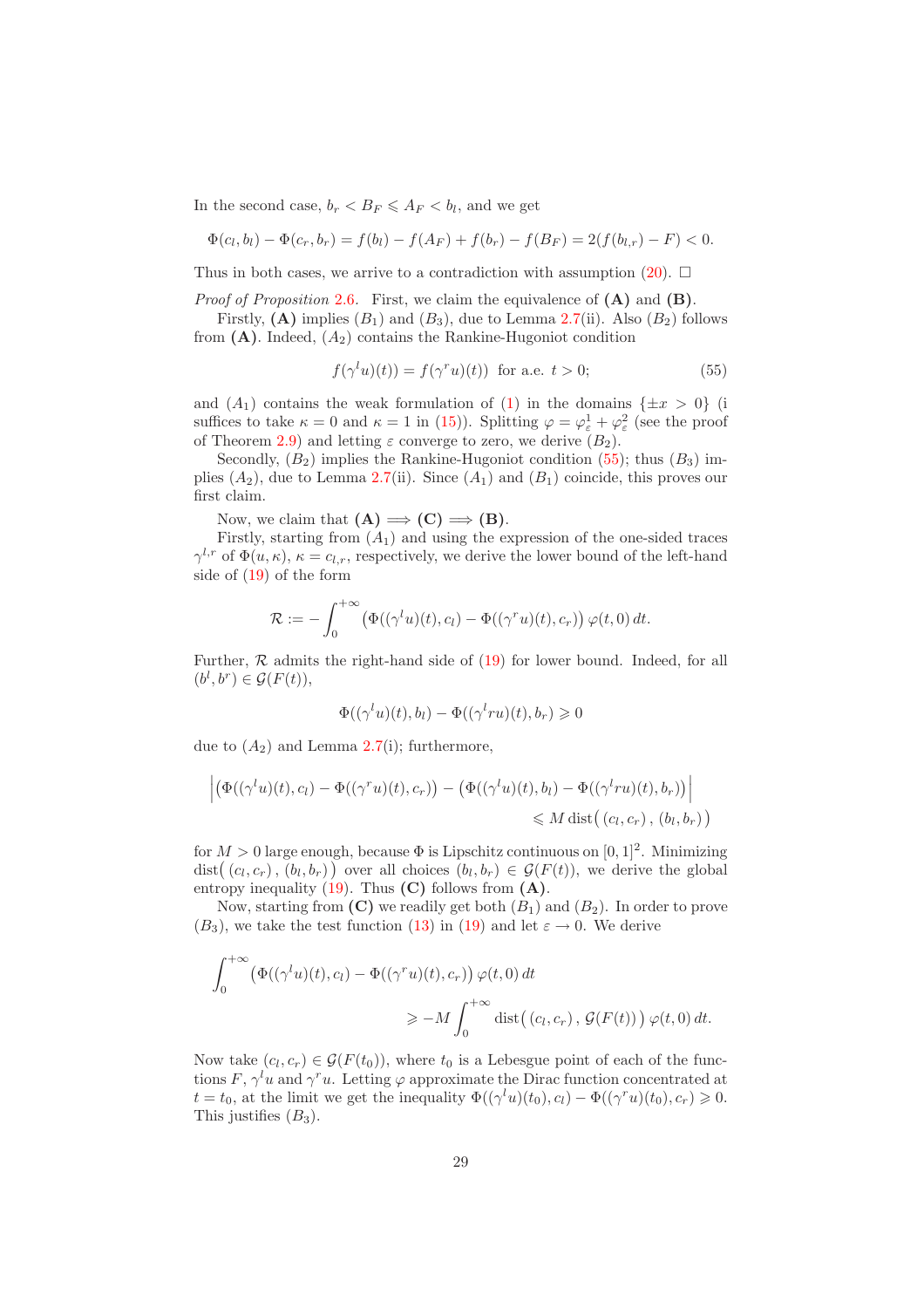In the second case,  $b_r < B_F \leq A_F < b_l$ , and we get

$$
\Phi(c_l, b_l) - \Phi(c_r, b_r) = f(b_l) - f(A_F) + f(b_r) - f(B_F) = 2(f(b_{l,r}) - F) < 0.
$$

Thus in both cases, we arrive to a contradiction with assumption  $(20)$ .  $\Box$ 

*Proof of Proposition* [2.6](#page-7-1). First, we claim the equivalence of (A) and (B).

Firstly,  $(A)$  implies  $(B_1)$  and  $(B_3)$ , due to Lemma [2.7\(](#page-8-3)ii). Also  $(B_2)$  follows from  $(A)$ . Indeed,  $(A_2)$  contains the Rankine-Hugoniot condition

<span id="page-29-0"></span>
$$
f(\gamma^l u)(t)) = f(\gamma^r u)(t) \text{ for a.e. } t > 0;
$$
 (55)

and  $(A_1)$  contains the weak formulation of  $(1)$  in the domains  $\{\pm x > 0\}$  (i suffices to take  $\kappa = 0$  and  $\kappa = 1$  in [\(15\)](#page-8-0)). Splitting  $\varphi = \varphi_{\varepsilon}^1 + \varphi_{\varepsilon}^2$  (see the proof of Theorem [2.9\)](#page-9-4) and letting  $\varepsilon$  converge to zero, we derive  $(B_2)$ .

Secondly,  $(B_2)$  implies the Rankine-Hugoniot condition [\(55\)](#page-29-0); thus  $(B_3)$  implies  $(A_2)$ , due to Lemma [2.7\(](#page-8-3)ii). Since  $(A_1)$  and  $(B_1)$  coincide, this proves our first claim.

Now, we claim that  $(A) \implies (C) \implies (B)$ .

Firstly, starting from  $(A_1)$  and using the expression of the one-sided traces  $\gamma^{l,r}$  of  $\Phi(u,\kappa), \kappa = c_{l,r}$ , respectively, we derive the lower bound of the left-hand side of [\(19\)](#page-8-1) of the form

$$
\mathcal{R} := -\int_0^{+\infty} \left( \Phi((\gamma^t u)(t), c_l) - \Phi((\gamma^r u)(t), c_r) \right) \varphi(t, 0) dt.
$$

Further,  $R$  admits the right-hand side of  $(19)$  for lower bound. Indeed, for all  $(b^l, b^r) \in \mathcal{G}(F(t)),$ 

$$
\Phi((\gamma^l u)(t), b_l) - \Phi((\gamma^l r u)(t), b_r) \geq 0
$$

due to  $(A_2)$  and Lemma [2.7\(](#page-8-3)i); furthermore,

$$
\left| \left( \Phi((\gamma^l u)(t), c_l) - \Phi((\gamma^r u)(t), c_r) \right) - \left( \Phi((\gamma^l u)(t), b_l) - \Phi((\gamma^l ru)(t), b_r) \right) \right|
$$
  

$$
\leq M \operatorname{dist}((c_l, c_r), (b_l, b_r))
$$

for  $M > 0$  large enough, because  $\Phi$  is Lipschitz continuous on  $[0, 1]^2$ . Minimizing dist $((c_l, c_r), (b_l, b_r))$  over all choices  $(b_l, b_r) \in \mathcal{G}(F(t))$ , we derive the global entropy inequality  $(19)$ . Thus  $(C)$  follows from  $(A)$ .

Now, starting from  $(C)$  we readily get both  $(B_1)$  and  $(B_2)$ . In order to prove  $(B_3)$ , we take the test function [\(13\)](#page-7-2) in [\(19\)](#page-8-1) and let  $\varepsilon \to 0$ . We derive

$$
\int_0^{+\infty} \left( \Phi((\gamma^t u)(t), c_l) - \Phi((\gamma^r u)(t), c_r) \right) \varphi(t, 0) dt
$$
  

$$
\ge -M \int_0^{+\infty} \text{dist}((c_l, c_r), \mathcal{G}(F(t))) \varphi(t, 0) dt.
$$

Now take  $(c_l, c_r) \in \mathcal{G}(F(t_0))$ , where  $t_0$  is a Lebesgue point of each of the functions  $F, \gamma^l u$  and  $\gamma^r u$ . Letting  $\varphi$  approximate the Dirac function concentrated at  $t = t_0$ , at the limit we get the inequality  $\Phi((\gamma^l u)(t_0), c_l) - \Phi((\gamma^r u)(t_0), c_r) \geq 0$ . This justifies  $(B_3)$ .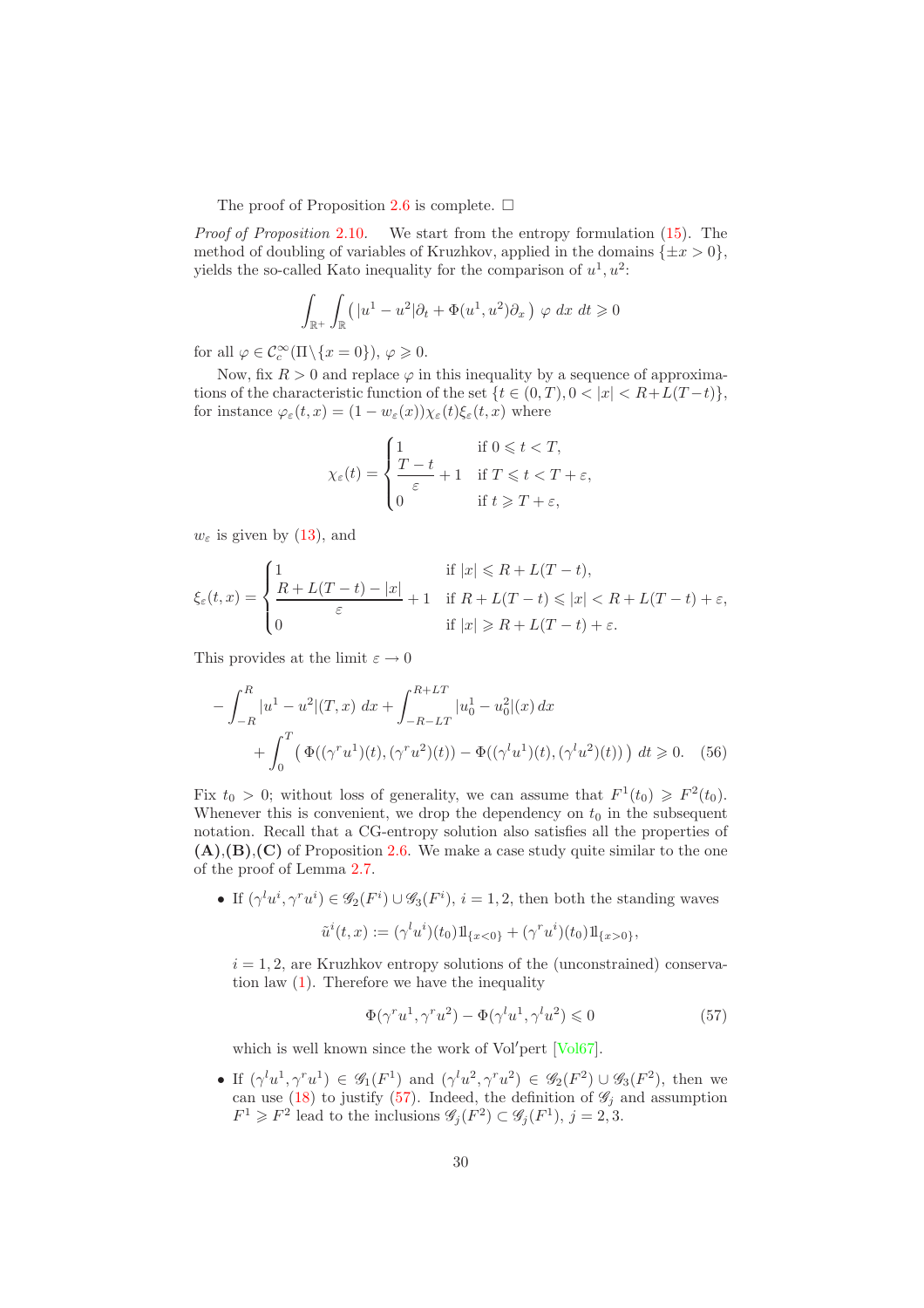The proof of Proposition [2.6](#page-7-1) is complete.  $\Box$ 

*Proof of Proposition* [2.10](#page-11-1)*.* We start from the entropy formulation [\(15\)](#page-8-0). The method of doubling of variables of Kruzhkov, applied in the domains  $\{\pm x > 0\}$ , yields the so-called Kato inequality for the comparison of  $u^1, u^2$ :

$$
\int_{\mathbb{R}^+} \int_{\mathbb{R}} \left( |u^1 - u^2| \partial_t + \Phi(u^1, u^2) \partial_x \right) \varphi \, dx \, dt \ge 0
$$

for all  $\varphi \in \mathcal{C}_c^{\infty}(\Pi \setminus \{x = 0\}), \varphi \geqslant 0.$ 

Now, fix  $R > 0$  and replace  $\varphi$  in this inequality by a sequence of approximations of the characteristic function of the set  $\{t \in (0, T), 0 < |x| < R + L(T - t)\},\$ for instance  $\varphi_{\varepsilon}(t,x) = (1 - w_{\varepsilon}(x)) \chi_{\varepsilon}(t) \xi_{\varepsilon}(t,x)$  where

$$
\chi_{\varepsilon}(t) = \begin{cases}\n1 & \text{if } 0 \leqslant t < T, \\
\frac{T-t}{\varepsilon} + 1 & \text{if } T \leqslant t < T + \varepsilon, \\
0 & \text{if } t \geqslant T + \varepsilon,\n\end{cases}
$$

 $w_{\varepsilon}$  is given by [\(13\)](#page-7-2), and

$$
\xi_{\varepsilon}(t,x) = \begin{cases}\n1 & \text{if } |x| \le R + L(T-t), \\
\frac{R + L(T-t) - |x|}{\varepsilon} + 1 & \text{if } R + L(T-t) \le |x| < R + L(T-t) + \varepsilon, \\
0 & \text{if } |x| \ge R + L(T-t) + \varepsilon.\n\end{cases}
$$

This provides at the limit  $\varepsilon \to 0$ 

$$
-\int_{-R}^{R} |u^1 - u^2| (T, x) \, dx + \int_{-R-LT}^{R+LT} |u_0^1 - u_0^2| (x) \, dx + \int_0^T \left( \Phi((\gamma^r u^1)(t), (\gamma^r u^2)(t)) - \Phi((\gamma^l u^1)(t), (\gamma^l u^2)(t)) \right) \, dt \ge 0. \tag{56}
$$

Fix  $t_0 > 0$ ; without loss of generality, we can assume that  $F^1(t_0) \geq F^2(t_0)$ . Whenever this is convenient, we drop the dependency on  $t_0$  in the subsequent notation. Recall that a CG-entropy solution also satisfies all the properties of  $(A), (B), (C)$  of Proposition [2.6.](#page-7-1) We make a case study quite similar to the one of the proof of Lemma [2.7.](#page-8-3)

• If  $(\gamma^l u^i, \gamma^r u^i) \in \mathscr{G}_2(F^i) \cup \mathscr{G}_3(F^i), i = 1, 2$ , then both the standing waves  $\tilde{u}^{i}(t,x) := (\gamma^{l} u^{i})(t_{0}) 1\!\mathrm{l}_{\{x<0\}} + (\gamma^{r} u^{i})(t_{0}) 1\!\mathrm{l}_{\{x>0\}},$ 

 $i = 1, 2$ , are Kruzhkov entropy solutions of the (unconstrained) conservation law [\(1\)](#page-2-1). Therefore we have the inequality

<span id="page-30-0"></span>
$$
\Phi(\gamma^r u^1, \gamma^r u^2) - \Phi(\gamma^l u^1, \gamma^l u^2) \leq 0 \tag{57}
$$

which is well known since the work of Vol'pert [\[Vol67\]](#page-34-7).

• If  $(\gamma^l u^1, \gamma^r u^1) \in \mathscr{G}_1(F^1)$  and  $(\gamma^l u^2, \gamma^r u^2) \in \mathscr{G}_2(F^2) \cup \mathscr{G}_3(F^2)$ , then we can use [\(18\)](#page-8-4) to justify [\(57\)](#page-30-0). Indeed, the definition of  $\mathscr{G}_i$  and assumption  $F^1 \geq F^2$  lead to the inclusions  $\mathscr{G}_j(F^2) \subset \mathscr{G}_j(F^1), j = 2, 3$ .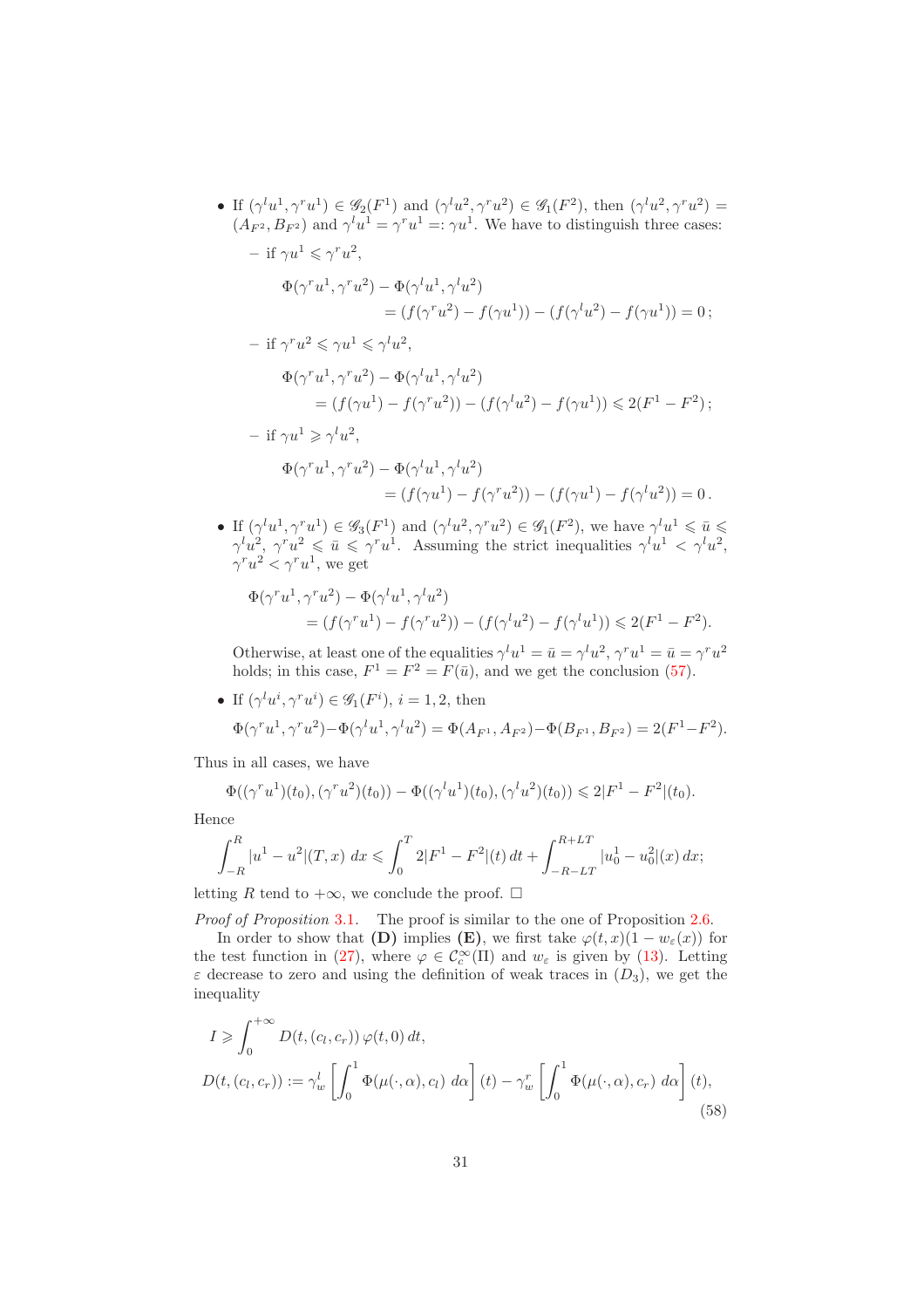- If  $(\gamma^l u^1, \gamma^r u^1) \in \mathscr{G}_2(F^1)$  and  $(\gamma^l u^2, \gamma^r u^2) \in \mathscr{G}_1(F^2)$ , then  $(\gamma^l u^2, \gamma^r u^2) =$  $(A_{F^2}, B_{F^2})$  and  $\gamma^l u^1 = \gamma^r u^1 =: \gamma u^1$ . We have to distinguish three cases:  $-$  if  $\gamma u^1 \leqslant \gamma^r u^2$ ,  $\Phi(\gamma^r u^1, \gamma^r u^2) - \Phi(\gamma^l u^1, \gamma^l u^2)$ =  $(f(\gamma^r u^2) - f(\gamma u^1)) - (f(\gamma^l u^2) - f(\gamma u^1)) = 0;$  $-$  if  $\gamma^r u^2 \leqslant \gamma u^1 \leqslant \gamma^l u^2$ ,  $\Phi(\gamma^r u^1, \gamma^r u^2) - \Phi(\gamma^l u^1, \gamma^l u^2)$ =  $(f(\gamma u^1) - f(\gamma^r u^2)) - (f(\gamma^l u^2) - f(\gamma u^1)) \leq 2(F^1 - F^2);$  $-$  if  $\gamma u^1 \geqslant \gamma^l u^2$ ,  $\Phi(\gamma^r u^1, \gamma^r u^2) - \Phi(\gamma^l u^1, \gamma^l u^2)$ =  $(f(\gamma u^1) - f(\gamma^r u^2)) - (f(\gamma u^1) - f(\gamma^l u^2)) = 0$ .
- If  $(\gamma^l u^1, \gamma^r u^1) \in \mathscr{G}_3(F^1)$  and  $(\gamma^l u^2, \gamma^r u^2) \in \mathscr{G}_1(F^2)$ , we have  $\gamma^l u^1 \leq \overline{u} \leq$  $\gamma^l u^2, \gamma^r u^2 \leqslant \bar{u} \leqslant \gamma^r u^1$ . Assuming the strict inequalities  $\gamma^l u^1 \leqslant \gamma^l u^2$ ,  $\gamma^r u^2 < \gamma^r u^1$ , we get

$$
\Phi(\gamma^r u^1, \gamma^r u^2) - \Phi(\gamma^l u^1, \gamma^l u^2) = (f(\gamma^r u^1) - f(\gamma^r u^2)) - (f(\gamma^l u^2) - f(\gamma^l u^1)) \leq 2(F^1 - F^2).
$$

Otherwise, at least one of the equalities  $\gamma^l u^1 = \bar{u} = \gamma^l u^2, \gamma^r u^1 = \bar{u} = \gamma^r u^2$ holds; in this case,  $F^1 = F^2 = F(\bar{u})$ , and we get the conclusion [\(57\)](#page-30-0).

• If  $(\gamma^l u^i, \gamma^r u^i) \in \mathscr{G}_1(F^i), i = 1, 2$ , then  $\Phi(\gamma^r u^1, \gamma^r u^2) - \Phi(\gamma^l u^1, \gamma^l u^2) = \Phi(A_{F^1}, A_{F^2}) - \Phi(B_{F^1}, B_{F^2}) = 2(F^1 - F^2).$ 

Thus in all cases, we have

$$
\Phi((\gamma^r u^1)(t_0), (\gamma^r u^2)(t_0)) - \Phi((\gamma^l u^1)(t_0), (\gamma^l u^2)(t_0)) \leq 2|F^1 - F^2|(t_0).
$$

Hence

$$
\int_{-R}^{R} |u^1 - u^2| (T, x) \ dx \leqslant \int_{0}^{T} 2|F^1 - F^2|(t) \ dt + \int_{-R-LT}^{R+LT} |u_0^1 - u_0^2|(x) \ dx;
$$

letting R tend to  $+\infty$ , we conclude the proof. □

*Proof of Proposition* [3.1](#page-12-2). The proof is similar to the one of Proposition [2.6.](#page-7-1)

In order to show that (D) implies (E), we first take  $\varphi(t, x)(1 - w_{\varepsilon}(x))$  for the test function in [\(27\)](#page-12-1), where  $\varphi \in C_c^{\infty}(\Pi)$  and  $w_{\varepsilon}$  is given by [\(13\)](#page-7-2). Letting  $\varepsilon$  decrease to zero and using the definition of weak traces in  $(D_3)$ , we get the inequality

<span id="page-31-0"></span>
$$
I \geqslant \int_0^{+\infty} D(t, (c_l, c_r)) \varphi(t, 0) dt,
$$
  

$$
D(t, (c_l, c_r)) := \gamma_w^l \left[ \int_0^1 \Phi(\mu(\cdot, \alpha), c_l) d\alpha \right](t) - \gamma_w^r \left[ \int_0^1 \Phi(\mu(\cdot, \alpha), c_r) d\alpha \right](t),
$$
\n(58)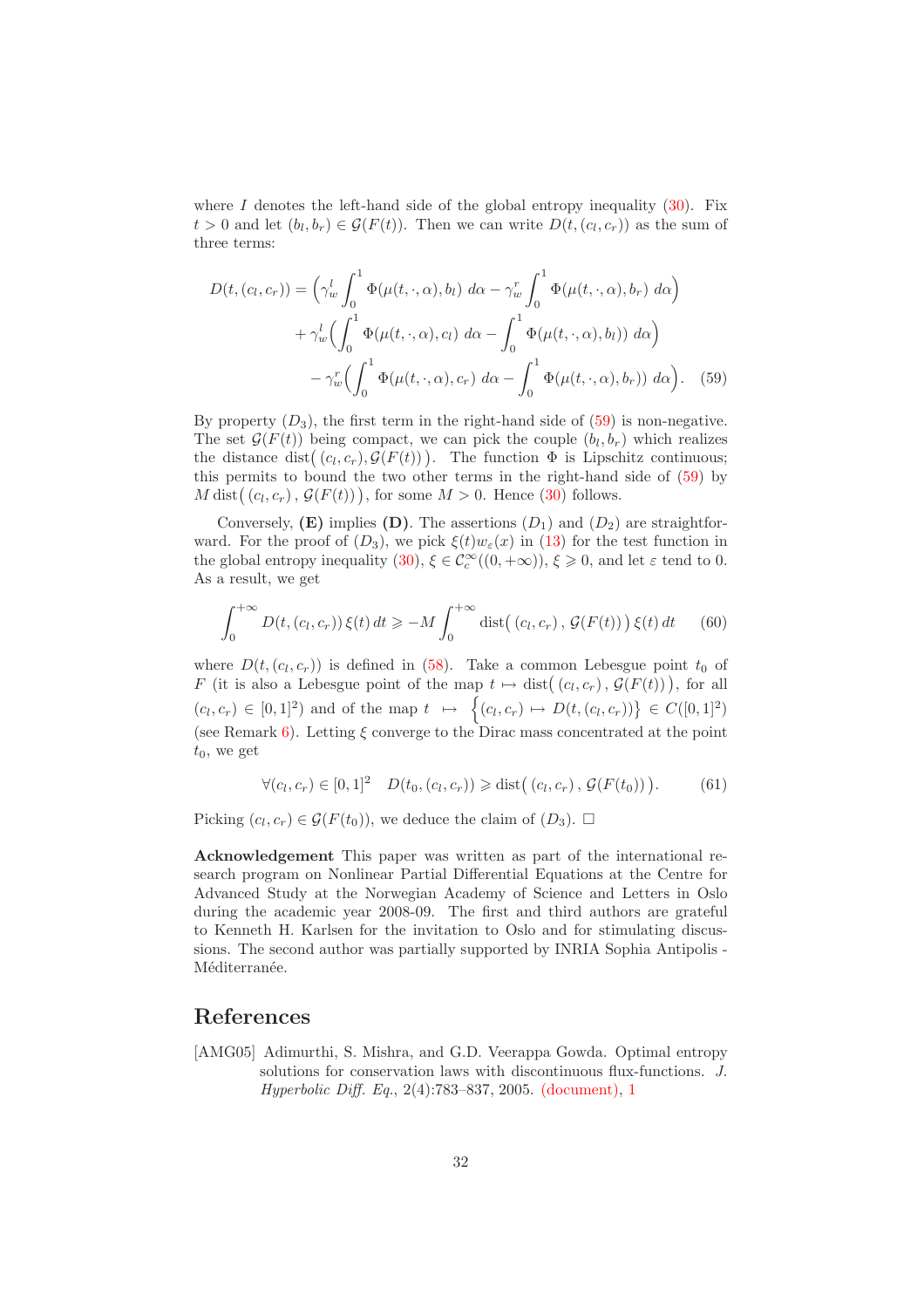where I denotes the left-hand side of the global entropy inequality  $(30)$ . Fix  $t > 0$  and let  $(b_l, b_r) \in \mathcal{G}(F(t))$ . Then we can write  $D(t, (c_l, c_r))$  as the sum of three terms:

<span id="page-32-1"></span>
$$
D(t,(c_l,c_r)) = \left(\gamma_w^l \int_0^1 \Phi(\mu(t,\cdot,\alpha),b_l) \, d\alpha - \gamma_w^r \int_0^1 \Phi(\mu(t,\cdot,\alpha),b_r) \, d\alpha\right) + \gamma_w^l \left(\int_0^1 \Phi(\mu(t,\cdot,\alpha),c_l) \, d\alpha - \int_0^1 \Phi(\mu(t,\cdot,\alpha),b_l) \, d\alpha\right) - \gamma_w^r \left(\int_0^1 \Phi(\mu(t,\cdot,\alpha),c_r) \, d\alpha - \int_0^1 \Phi(\mu(t,\cdot,\alpha),b_r) \, d\alpha\right).
$$
 (59)

By property  $(D_3)$ , the first term in the right-hand side of [\(59\)](#page-32-1) is non-negative. The set  $\mathcal{G}(F(t))$  being compact, we can pick the couple  $(b_l, b_r)$  which realizes the distance dist $((c_l, c_r), \mathcal{G}(F(t)))$ . The function  $\Phi$  is Lipschitz continuous; this permits to bound the two other terms in the right-hand side of [\(59\)](#page-32-1) by  $M \text{ dist}((c_l, c_r), \mathcal{G}(F(t))),$  for some  $M > 0$ . Hence [\(30\)](#page-13-2) follows.

Conversely,  $(E)$  implies  $(D)$ . The assertions  $(D_1)$  and  $(D_2)$  are straightforward. For the proof of  $(D_3)$ , we pick  $\xi(t)w_\varepsilon(x)$  in [\(13\)](#page-7-2) for the test function in the global entropy inequality [\(30\)](#page-13-2),  $\xi \in C_c^{\infty}((0, +\infty))$ ,  $\xi \ge 0$ , and let  $\varepsilon$  tend to 0. As a result, we get

$$
\int_0^{+\infty} D(t, (c_l, c_r)) \xi(t) dt \ge -M \int_0^{+\infty} \text{dist}((c_l, c_r), \mathcal{G}(F(t))) \xi(t) dt \qquad (60)
$$

where  $D(t, (c_l, c_r))$  is defined in [\(58\)](#page-31-0). Take a common Lebesgue point  $t_0$  of F (it is also a Lebesgue point of the map  $t \mapsto \text{dist}((c_l, c_r), \mathcal{G}(F(t)))$ ), for all  $(c_l, c_r) \in [0, 1]^2$  and of the map  $t \mapsto \{(c_l, c_r) \mapsto D(t, (c_l, c_r))\} \in C([0, 1]^2)$ (see Remark [6\)](#page-13-1). Letting  $\xi$  converge to the Dirac mass concentrated at the point  $t_0$ , we get

$$
\forall (c_l, c_r) \in [0, 1]^2 \quad D(t_0, (c_l, c_r)) \geq \text{dist}((c_l, c_r), \mathcal{G}(F(t_0))). \tag{61}
$$

Picking  $(c_l, c_r) \in \mathcal{G}(F(t_0))$ , we deduce the claim of  $(D_3)$ .  $\Box$ 

Acknowledgement This paper was written as part of the international research program on Nonlinear Partial Differential Equations at the Centre for Advanced Study at the Norwegian Academy of Science and Letters in Oslo during the academic year 2008-09. The first and third authors are grateful to Kenneth H. Karlsen for the invitation to Oslo and for stimulating discussions. The second author was partially supported by INRIA Sophia Antipolis - Méditerranée.

## References

<span id="page-32-0"></span>[AMG05] Adimurthi, S. Mishra, and G.D. Veerappa Gowda. Optimal entropy solutions for conservation laws with discontinuous flux-functions. *J. Hyperbolic Diff. Eq.*, 2(4):783–837, 2005. [\(document\),](#page-0-0) [1](#page-2-3)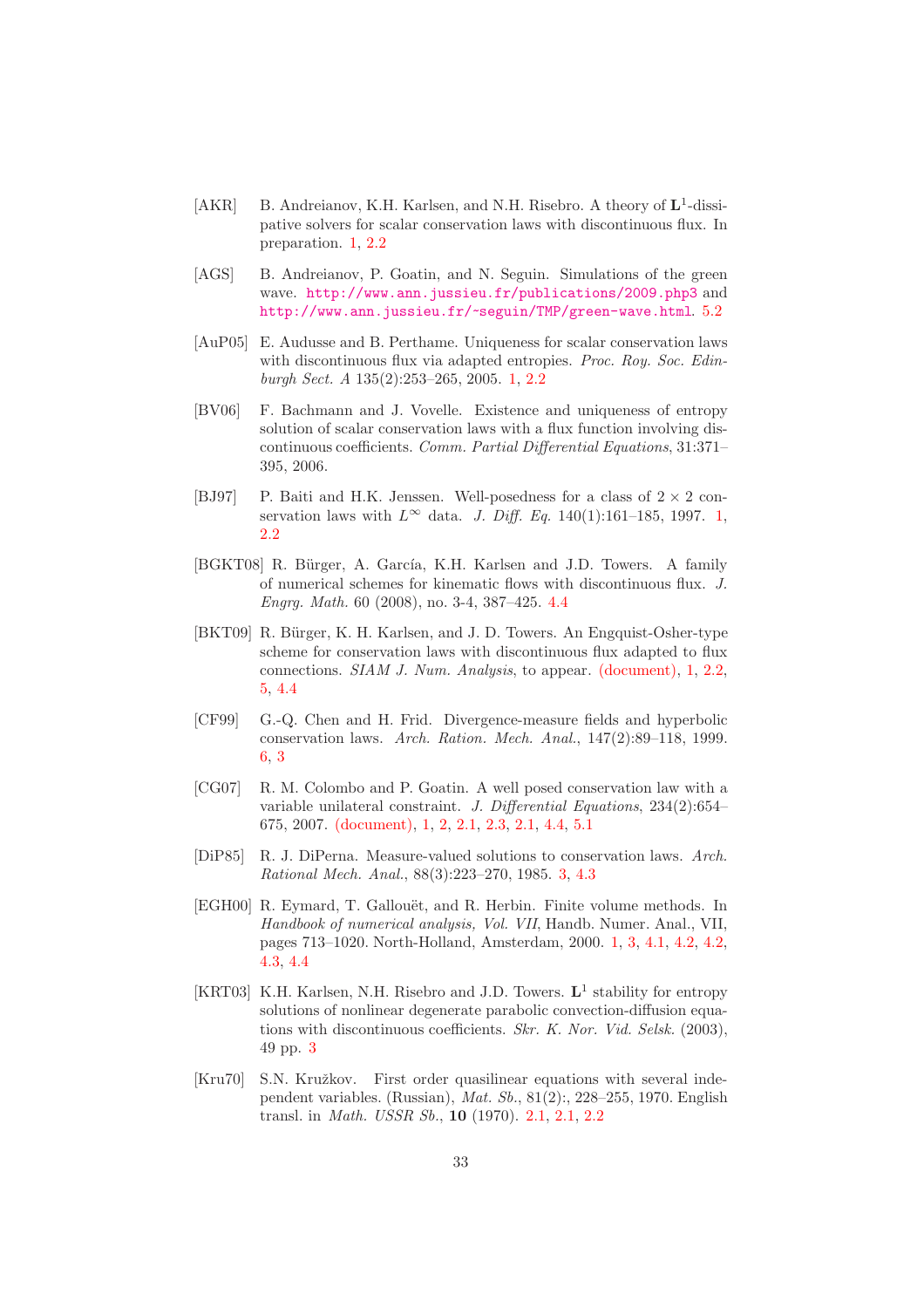- <span id="page-33-5"></span>[AKR] B. Andreianov, K.H. Karlsen, and N.H. Risebro. A theory of  $\mathbf{L}^1$ -dissipative solvers for scalar conservation laws with discontinuous flux. In preparation. [1,](#page-2-3) [2.2](#page-7-2)
- <span id="page-33-11"></span>[AGS] B. Andreianov, P. Goatin, and N. Seguin. Simulations of the green wave. <http://www.ann.jussieu.fr/publications/2009.php3> and <http://www.ann.jussieu.fr/~seguin/TMP/green-wave.html>. [5.2](#page-27-1)
- <span id="page-33-4"></span>[AuP05] E. Audusse and B. Perthame. Uniqueness for scalar conservation laws with discontinuous flux via adapted entropies. *Proc. Roy. Soc. Edinburgh Sect. A* 135(2):253–265, 2005. [1,](#page-2-3) [2.2](#page-7-2)
- [BV06] F. Bachmann and J. Vovelle. Existence and uniqueness of entropy solution of scalar conservation laws with a flux function involving discontinuous coefficients. *Comm. Partial Differential Equations*, 31:371– 395, 2006.
- <span id="page-33-3"></span>[BJ97] P. Baiti and H.K. Jenssen. Well-posedness for a class of  $2 \times 2$  conservation laws with  $L^{\infty}$  data. *J. Diff. Eq.* 140(1):161–185, 1997. [1,](#page-2-3) [2.2](#page-7-2)
- <span id="page-33-10"></span>[BGKT08] R. Bürger, A. García, K.H. Karlsen and J.D. Towers. A family of numerical schemes for kinematic flows with discontinuous flux. *J. Engrg. Math.* 60 (2008), no. 3-4, 387–425. [4.4](#page-24-0)
- <span id="page-33-1"></span>[BKT09] R. Bürger, K. H. Karlsen, and J. D. Towers. An Engquist-Osher-type scheme for conservation laws with discontinuous flux adapted to flux connections. *SIAM J. Num. Analysis*, to appear. [\(document\),](#page-0-0) [1,](#page-2-3) [2.2,](#page-7-2) [5,](#page-9-2) [4.4](#page-24-0)
- <span id="page-33-9"></span>[CF99] G.-Q. Chen and H. Frid. Divergence-measure fields and hyperbolic conservation laws. *Arch. Ration. Mech. Anal.*, 147(2):89–118, 1999. [6,](#page-13-1) [3](#page-14-1)
- <span id="page-33-0"></span>[CG07] R. M. Colombo and P. Goatin. A well posed conservation law with a variable unilateral constraint. *J. Differential Equations*, 234(2):654– 675, 2007. [\(document\),](#page-0-0) [1,](#page-2-3) [2,](#page-3-0) [2.1,](#page-3-1) [2.3,](#page-5-2) [2.1,](#page-5-2) [4.4,](#page-24-0) [5.1](#page-25-0)
- <span id="page-33-8"></span>[DiP85] R. J. DiPerna. Measure-valued solutions to conservation laws. *Arch. Rational Mech. Anal.*, 88(3):223–270, 1985. [3,](#page-12-0) [4.3](#page-18-1)
- <span id="page-33-2"></span>[EGH00] R. Eymard, T. Gallouët, and R. Herbin. Finite volume methods. In *Handbook of numerical analysis, Vol. VII*, Handb. Numer. Anal., VII, pages 713–1020. North-Holland, Amsterdam, 2000. [1,](#page-2-3) [3,](#page-12-0) [4.1,](#page-15-2) [4.2,](#page-16-2) [4.2,](#page-16-3) [4.3,](#page-18-0) [4.4](#page-24-0)
- <span id="page-33-7"></span>[KRT03] K.H. Karlsen, N.H. Risebro and J.D. Towers. L<sup>1</sup> stability for entropy solutions of nonlinear degenerate parabolic convection-diffusion equations with discontinuous coefficients. *Skr. K. Nor. Vid. Selsk.* (2003), 49 pp. [3](#page-5-1)
- <span id="page-33-6"></span>[Kru70] S.N. Kružkov. First order quasilinear equations with several independent variables. (Russian), *Mat. Sb.*, 81(2):, 228–255, 1970. English transl. in *Math. USSR Sb.*, 10 (1970). [2.1,](#page-3-1) [2.1,](#page-5-2) [2.2](#page-10-0)